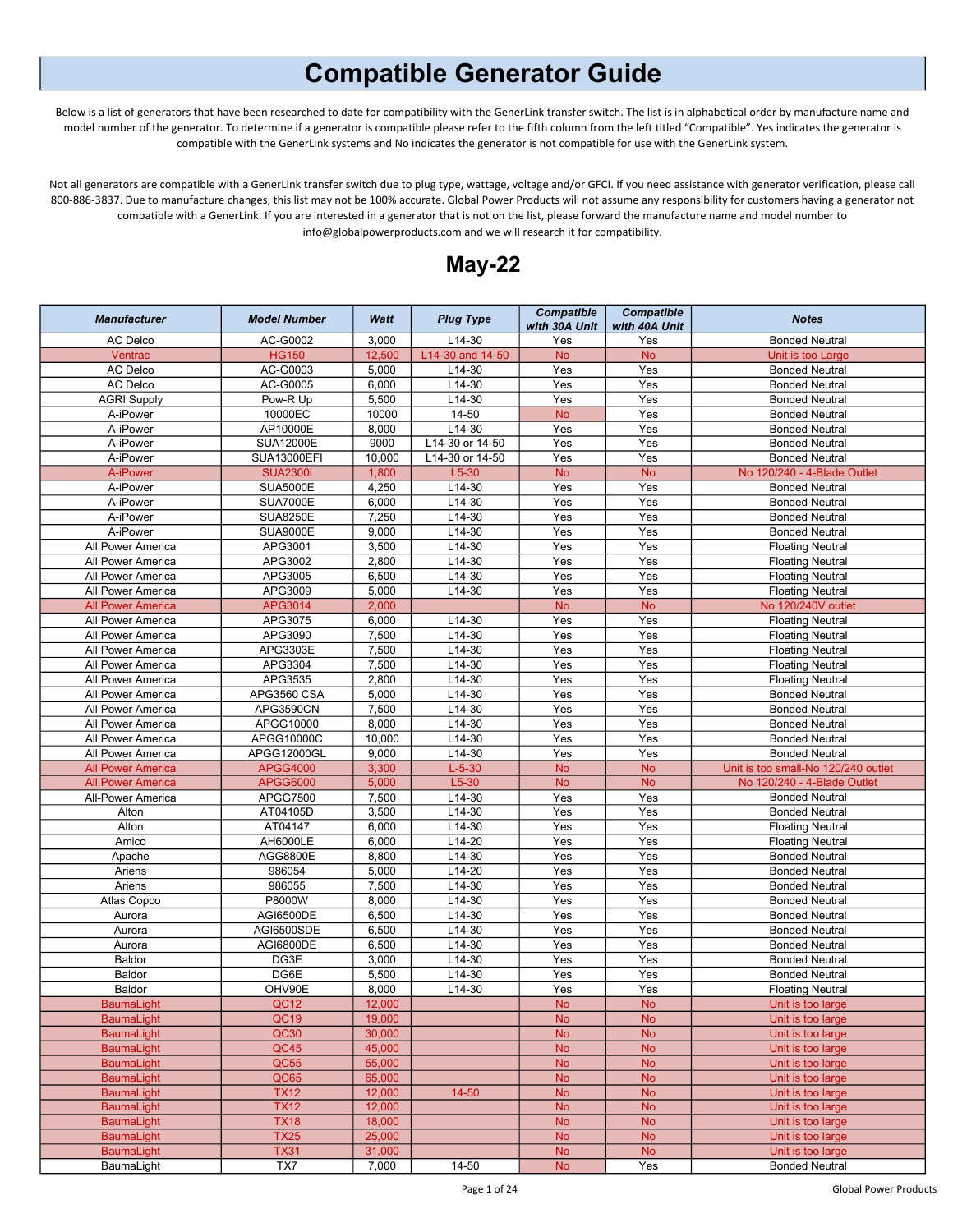## Compatible Generator Guide

Below is a list of generators that have been researched to date for compatibility with the GenerLink transfer switch. The list is in alphabetical order by manufacture name and model number of the generator. To determine if a generator is compatible please refer to the fifth column from the left titled "Compatible". Yes indicates the generator is compatible with the GenerLink systems and No indicates the generator is not compatible for use with the GenerLink system.

Not all generators are compatible with a GenerLink transfer switch due to plug type, wattage, voltage and/or GFCI. If you need assistance with generator verification, please call 800-886-3837. Due to manufacture changes, this list may not be 100% accurate. Global Power Products will not assume any responsibility for customers having a generator not compatible with a GenerLink. If you are interested in a generator that is not on the list, please forward the manufacture name and model number to info@globalpowerproducts.com and we will research it for compatibility.



| $L14-30$<br>AC Delco<br>AC-G0002<br>3,000<br><b>Bonded Neutral</b><br>Yes<br>Yes<br>12,500<br>Ventrac<br><b>HG150</b><br>L14-30 and 14-50<br><b>No</b><br><b>No</b><br>Unit is too Large<br>AC Delco<br>AC-G0003<br>5,000<br>L14-30<br>Yes<br>Yes<br><b>Bonded Neutral</b><br>AC-G0005<br>6,000<br>L14-30<br>Yes<br>Yes<br>AC Delco<br><b>Bonded Neutral</b><br>Pow-R Up<br>5,500<br>L14-30<br>Yes<br>Yes<br><b>AGRI Supply</b><br><b>Bonded Neutral</b><br>10000EC<br>10000<br>14-50<br><b>No</b><br>Yes<br>A-iPower<br><b>Bonded Neutral</b><br>AP10000E<br>L14-30<br>Yes<br>Yes<br>8,000<br>A-iPower<br><b>Bonded Neutral</b><br><b>SUA12000E</b><br>A-iPower<br>9000<br>L14-30 or 14-50<br>Yes<br>Yes<br><b>Bonded Neutral</b><br><b>SUA13000EFI</b><br>10,000<br>L14-30 or 14-50<br>Yes<br>Yes<br>A-iPower<br><b>Bonded Neutral</b><br><b>SUA2300i</b><br><b>No</b><br>A-iPower<br>1,800<br>$L5-30$<br><b>No</b><br>No 120/240 - 4-Blade Outlet<br><b>SUA5000E</b><br>4,250<br>L14-30<br>Yes<br>Yes<br>A-iPower<br><b>Bonded Neutral</b><br>$L14-30$<br>Yes<br>Yes<br>A-iPower<br><b>SUA7000E</b><br>6,000<br><b>Bonded Neutral</b><br>7,250<br>$L14-30$<br>Yes<br>Yes<br>A-iPower<br><b>SUA8250E</b><br><b>Bonded Neutral</b><br>$L14-30$<br><b>SUA9000E</b><br>9,000<br>Yes<br>Yes<br>A-iPower<br><b>Bonded Neutral</b><br>APG3001<br>$L14-30$<br>3,500<br>Yes<br>Yes<br>All Power America<br><b>Floating Neutral</b><br>APG3002<br>2,800<br>L14-30<br>Yes<br>Yes<br>All Power America<br><b>Floating Neutral</b><br>Yes<br>Yes<br>All Power America<br>APG3005<br>6,500<br>$L14-30$<br><b>Floating Neutral</b><br>APG3009<br>5,000<br>L14-30<br>Yes<br>Yes<br>All Power America<br><b>Floating Neutral</b><br><b>All Power America</b><br>APG3014<br>2,000<br><b>No</b><br><b>No</b><br>No 120/240V outlet<br>Yes<br>Yes<br>All Power America<br>APG3075<br>6,000<br>L14-30<br><b>Floating Neutral</b><br>APG3090<br>7,500<br>L14-30<br>Yes<br>Yes<br>All Power America<br><b>Floating Neutral</b><br>APG3303E<br>7,500<br>L14-30<br>Yes<br>Yes<br>All Power America<br><b>Floating Neutral</b><br>APG3304<br>7,500<br>$L14-30$<br>Yes<br>Yes<br>All Power America<br><b>Floating Neutral</b><br>L14-30<br>Yes<br>Yes<br>APG3535<br>2,800<br>All Power America<br><b>Floating Neutral</b><br>Yes<br>Yes<br>APG3560 CSA<br>5,000<br>L14-30<br>All Power America<br><b>Bonded Neutral</b><br>7,500<br>$L14-30$<br>APG3590CN<br>Yes<br>Yes<br>All Power America<br><b>Bonded Neutral</b><br>8,000<br>$L14-30$<br>All Power America<br>APGG10000<br>Yes<br>Yes<br><b>Bonded Neutral</b><br>10,000<br>All Power America<br>L14-30<br>Yes<br>Yes<br><b>Bonded Neutral</b><br>APGG10000C<br>9,000<br>L14-30<br>Yes<br>Yes<br>All Power America<br>APGG12000GL<br><b>Bonded Neutral</b><br><b>APGG4000</b><br>3,300<br>$L-5-30$<br><b>No</b><br><b>No</b><br><b>All Power America</b><br>Unit is too small-No 120/240 outlet<br><b>All Power America</b><br>$L5-30$<br><b>No</b><br><b>No</b><br><b>APGG6000</b><br>5,000<br>No 120/240 - 4-Blade Outlet<br>$L14-30$<br>Yes<br>Yes<br>APGG7500<br>7,500<br><b>Bonded Neutral</b><br>All-Power America<br>AT04105D<br>3,500<br>L14-30<br>Yes<br>Yes<br>Alton<br><b>Bonded Neutral</b><br>Yes<br>Alton<br>AT04147<br>6,000<br>$L14-30$<br>Yes<br><b>Floating Neutral</b><br>AH6000LE<br>6,000<br>L14-20<br>Yes<br>Yes<br>Amico<br><b>Floating Neutral</b><br>$L14-30$<br>Yes<br>Yes<br>AGG8800E<br>8,800<br><b>Bonded Neutral</b><br>Apache<br>986054<br>5,000<br>L14-20<br>Yes<br>Yes<br>Ariens<br><b>Bonded Neutral</b><br>986055<br>L14-30<br>Yes<br>Yes<br>Ariens<br>7,500<br><b>Bonded Neutral</b><br>P8000W<br>$L14-30$<br>8,000<br>Yes<br>Yes<br>Atlas Copco<br><b>Bonded Neutral</b><br>AGI6500DE<br>6,500<br>L14-30<br>Yes<br>Yes<br>Aurora<br><b>Bonded Neutral</b><br>Yes<br>AGI6500SDE<br>6,500<br>L14-30<br>Yes<br>Aurora<br><b>Bonded Neutral</b><br>AGI6800DE<br>6,500<br>L14-30<br>Yes<br>Yes<br>Aurora<br><b>Bonded Neutral</b><br>$L14-30$<br>Yes<br>Yes<br>Baldor<br>DG3E<br>3,000<br><b>Bonded Neutral</b><br>Yes<br>Baldor<br>DG6E<br>5,500<br>$L14-30$<br>Yes<br><b>Bonded Neutral</b><br>L14-30<br>OHV90E<br>8,000<br>Yes<br>Yes<br>Baldor<br><b>Floating Neutral</b><br>QC <sub>12</sub><br>12,000<br><b>BaumaLight</b><br><b>No</b><br><b>No</b><br>Unit is too large<br><b>No</b><br><b>No</b><br><b>BaumaLight</b><br>QC19<br>19,000<br>Unit is too large<br><b>No</b><br><b>No</b><br><b>BaumaLight</b><br>QC30<br>30,000<br>Unit is too large<br><b>BaumaLight</b><br>QC45<br>45,000<br><b>No</b><br><b>No</b><br>Unit is too large<br><b>No</b><br><b>BaumaLight</b><br>QC55<br>55,000<br><b>No</b><br>Unit is too large<br><b>No</b><br><b>No</b><br><b>BaumaLight</b><br>QC65<br>65,000<br>Unit is too large<br><b>No</b><br><b>No</b><br><b>BaumaLight</b><br><b>TX12</b><br>12,000<br>14-50<br>Unit is too large<br><b>No</b><br><b>No</b><br><b>BaumaLight</b><br><b>TX12</b><br>12,000<br>Unit is too large<br><b>BaumaLight</b><br><b>TX18</b><br>18,000<br><b>No</b><br><b>No</b><br>Unit is too large<br><b>TX25</b><br><b>No</b><br><b>BaumaLight</b><br>25,000<br><b>No</b><br>Unit is too large<br><b>BaumaLight</b><br><b>TX31</b><br>31,000<br>No<br><b>No</b><br>Unit is too large<br>TX7<br>14-50<br>${\sf No}$<br>Yes<br>BaumaLight<br>7,000<br><b>Bonded Neutral</b> | <b>Manufacturer</b> | <b>Model Number</b> | Watt | <b>Plug Type</b> | <b>Compatible</b><br>with 30A Unit | <b>Compatible</b><br>with 40A Unit | <b>Notes</b> |
|--------------------------------------------------------------------------------------------------------------------------------------------------------------------------------------------------------------------------------------------------------------------------------------------------------------------------------------------------------------------------------------------------------------------------------------------------------------------------------------------------------------------------------------------------------------------------------------------------------------------------------------------------------------------------------------------------------------------------------------------------------------------------------------------------------------------------------------------------------------------------------------------------------------------------------------------------------------------------------------------------------------------------------------------------------------------------------------------------------------------------------------------------------------------------------------------------------------------------------------------------------------------------------------------------------------------------------------------------------------------------------------------------------------------------------------------------------------------------------------------------------------------------------------------------------------------------------------------------------------------------------------------------------------------------------------------------------------------------------------------------------------------------------------------------------------------------------------------------------------------------------------------------------------------------------------------------------------------------------------------------------------------------------------------------------------------------------------------------------------------------------------------------------------------------------------------------------------------------------------------------------------------------------------------------------------------------------------------------------------------------------------------------------------------------------------------------------------------------------------------------------------------------------------------------------------------------------------------------------------------------------------------------------------------------------------------------------------------------------------------------------------------------------------------------------------------------------------------------------------------------------------------------------------------------------------------------------------------------------------------------------------------------------------------------------------------------------------------------------------------------------------------------------------------------------------------------------------------------------------------------------------------------------------------------------------------------------------------------------------------------------------------------------------------------------------------------------------------------------------------------------------------------------------------------------------------------------------------------------------------------------------------------------------------------------------------------------------------------------------------------------------------------------------------------------------------------------------------------------------------------------------------------------------------------------------------------------------------------------------------------------------------------------------------------------------------------------------------------------------------------------------------------------------------------------------------------------------------------------------------------------------------------------------------------------------------------------------------------------------------------------------------------------------------------------------------------------------------------------------------------------------------------------------------------------------------------------------------------------------------------------------------------------------------------------------------------------------------------------------------------------------------------------------------------------------------------------------------------------------------------------------------------------------------------------------------------------------------------------------------------------------------------------------------------------------------------------------------------------------------------------------------------------------------------------------------------------------------------------------------------------------------------------------------------------------------------------------------------------------------|---------------------|---------------------|------|------------------|------------------------------------|------------------------------------|--------------|
|                                                                                                                                                                                                                                                                                                                                                                                                                                                                                                                                                                                                                                                                                                                                                                                                                                                                                                                                                                                                                                                                                                                                                                                                                                                                                                                                                                                                                                                                                                                                                                                                                                                                                                                                                                                                                                                                                                                                                                                                                                                                                                                                                                                                                                                                                                                                                                                                                                                                                                                                                                                                                                                                                                                                                                                                                                                                                                                                                                                                                                                                                                                                                                                                                                                                                                                                                                                                                                                                                                                                                                                                                                                                                                                                                                                                                                                                                                                                                                                                                                                                                                                                                                                                                                                                                                                                                                                                                                                                                                                                                                                                                                                                                                                                                                                                                                                                                                                                                                                                                                                                                                                                                                                                                                                                                                                                                                    |                     |                     |      |                  |                                    |                                    |              |
|                                                                                                                                                                                                                                                                                                                                                                                                                                                                                                                                                                                                                                                                                                                                                                                                                                                                                                                                                                                                                                                                                                                                                                                                                                                                                                                                                                                                                                                                                                                                                                                                                                                                                                                                                                                                                                                                                                                                                                                                                                                                                                                                                                                                                                                                                                                                                                                                                                                                                                                                                                                                                                                                                                                                                                                                                                                                                                                                                                                                                                                                                                                                                                                                                                                                                                                                                                                                                                                                                                                                                                                                                                                                                                                                                                                                                                                                                                                                                                                                                                                                                                                                                                                                                                                                                                                                                                                                                                                                                                                                                                                                                                                                                                                                                                                                                                                                                                                                                                                                                                                                                                                                                                                                                                                                                                                                                                    |                     |                     |      |                  |                                    |                                    |              |
|                                                                                                                                                                                                                                                                                                                                                                                                                                                                                                                                                                                                                                                                                                                                                                                                                                                                                                                                                                                                                                                                                                                                                                                                                                                                                                                                                                                                                                                                                                                                                                                                                                                                                                                                                                                                                                                                                                                                                                                                                                                                                                                                                                                                                                                                                                                                                                                                                                                                                                                                                                                                                                                                                                                                                                                                                                                                                                                                                                                                                                                                                                                                                                                                                                                                                                                                                                                                                                                                                                                                                                                                                                                                                                                                                                                                                                                                                                                                                                                                                                                                                                                                                                                                                                                                                                                                                                                                                                                                                                                                                                                                                                                                                                                                                                                                                                                                                                                                                                                                                                                                                                                                                                                                                                                                                                                                                                    |                     |                     |      |                  |                                    |                                    |              |
|                                                                                                                                                                                                                                                                                                                                                                                                                                                                                                                                                                                                                                                                                                                                                                                                                                                                                                                                                                                                                                                                                                                                                                                                                                                                                                                                                                                                                                                                                                                                                                                                                                                                                                                                                                                                                                                                                                                                                                                                                                                                                                                                                                                                                                                                                                                                                                                                                                                                                                                                                                                                                                                                                                                                                                                                                                                                                                                                                                                                                                                                                                                                                                                                                                                                                                                                                                                                                                                                                                                                                                                                                                                                                                                                                                                                                                                                                                                                                                                                                                                                                                                                                                                                                                                                                                                                                                                                                                                                                                                                                                                                                                                                                                                                                                                                                                                                                                                                                                                                                                                                                                                                                                                                                                                                                                                                                                    |                     |                     |      |                  |                                    |                                    |              |
|                                                                                                                                                                                                                                                                                                                                                                                                                                                                                                                                                                                                                                                                                                                                                                                                                                                                                                                                                                                                                                                                                                                                                                                                                                                                                                                                                                                                                                                                                                                                                                                                                                                                                                                                                                                                                                                                                                                                                                                                                                                                                                                                                                                                                                                                                                                                                                                                                                                                                                                                                                                                                                                                                                                                                                                                                                                                                                                                                                                                                                                                                                                                                                                                                                                                                                                                                                                                                                                                                                                                                                                                                                                                                                                                                                                                                                                                                                                                                                                                                                                                                                                                                                                                                                                                                                                                                                                                                                                                                                                                                                                                                                                                                                                                                                                                                                                                                                                                                                                                                                                                                                                                                                                                                                                                                                                                                                    |                     |                     |      |                  |                                    |                                    |              |
|                                                                                                                                                                                                                                                                                                                                                                                                                                                                                                                                                                                                                                                                                                                                                                                                                                                                                                                                                                                                                                                                                                                                                                                                                                                                                                                                                                                                                                                                                                                                                                                                                                                                                                                                                                                                                                                                                                                                                                                                                                                                                                                                                                                                                                                                                                                                                                                                                                                                                                                                                                                                                                                                                                                                                                                                                                                                                                                                                                                                                                                                                                                                                                                                                                                                                                                                                                                                                                                                                                                                                                                                                                                                                                                                                                                                                                                                                                                                                                                                                                                                                                                                                                                                                                                                                                                                                                                                                                                                                                                                                                                                                                                                                                                                                                                                                                                                                                                                                                                                                                                                                                                                                                                                                                                                                                                                                                    |                     |                     |      |                  |                                    |                                    |              |
|                                                                                                                                                                                                                                                                                                                                                                                                                                                                                                                                                                                                                                                                                                                                                                                                                                                                                                                                                                                                                                                                                                                                                                                                                                                                                                                                                                                                                                                                                                                                                                                                                                                                                                                                                                                                                                                                                                                                                                                                                                                                                                                                                                                                                                                                                                                                                                                                                                                                                                                                                                                                                                                                                                                                                                                                                                                                                                                                                                                                                                                                                                                                                                                                                                                                                                                                                                                                                                                                                                                                                                                                                                                                                                                                                                                                                                                                                                                                                                                                                                                                                                                                                                                                                                                                                                                                                                                                                                                                                                                                                                                                                                                                                                                                                                                                                                                                                                                                                                                                                                                                                                                                                                                                                                                                                                                                                                    |                     |                     |      |                  |                                    |                                    |              |
|                                                                                                                                                                                                                                                                                                                                                                                                                                                                                                                                                                                                                                                                                                                                                                                                                                                                                                                                                                                                                                                                                                                                                                                                                                                                                                                                                                                                                                                                                                                                                                                                                                                                                                                                                                                                                                                                                                                                                                                                                                                                                                                                                                                                                                                                                                                                                                                                                                                                                                                                                                                                                                                                                                                                                                                                                                                                                                                                                                                                                                                                                                                                                                                                                                                                                                                                                                                                                                                                                                                                                                                                                                                                                                                                                                                                                                                                                                                                                                                                                                                                                                                                                                                                                                                                                                                                                                                                                                                                                                                                                                                                                                                                                                                                                                                                                                                                                                                                                                                                                                                                                                                                                                                                                                                                                                                                                                    |                     |                     |      |                  |                                    |                                    |              |
|                                                                                                                                                                                                                                                                                                                                                                                                                                                                                                                                                                                                                                                                                                                                                                                                                                                                                                                                                                                                                                                                                                                                                                                                                                                                                                                                                                                                                                                                                                                                                                                                                                                                                                                                                                                                                                                                                                                                                                                                                                                                                                                                                                                                                                                                                                                                                                                                                                                                                                                                                                                                                                                                                                                                                                                                                                                                                                                                                                                                                                                                                                                                                                                                                                                                                                                                                                                                                                                                                                                                                                                                                                                                                                                                                                                                                                                                                                                                                                                                                                                                                                                                                                                                                                                                                                                                                                                                                                                                                                                                                                                                                                                                                                                                                                                                                                                                                                                                                                                                                                                                                                                                                                                                                                                                                                                                                                    |                     |                     |      |                  |                                    |                                    |              |
|                                                                                                                                                                                                                                                                                                                                                                                                                                                                                                                                                                                                                                                                                                                                                                                                                                                                                                                                                                                                                                                                                                                                                                                                                                                                                                                                                                                                                                                                                                                                                                                                                                                                                                                                                                                                                                                                                                                                                                                                                                                                                                                                                                                                                                                                                                                                                                                                                                                                                                                                                                                                                                                                                                                                                                                                                                                                                                                                                                                                                                                                                                                                                                                                                                                                                                                                                                                                                                                                                                                                                                                                                                                                                                                                                                                                                                                                                                                                                                                                                                                                                                                                                                                                                                                                                                                                                                                                                                                                                                                                                                                                                                                                                                                                                                                                                                                                                                                                                                                                                                                                                                                                                                                                                                                                                                                                                                    |                     |                     |      |                  |                                    |                                    |              |
|                                                                                                                                                                                                                                                                                                                                                                                                                                                                                                                                                                                                                                                                                                                                                                                                                                                                                                                                                                                                                                                                                                                                                                                                                                                                                                                                                                                                                                                                                                                                                                                                                                                                                                                                                                                                                                                                                                                                                                                                                                                                                                                                                                                                                                                                                                                                                                                                                                                                                                                                                                                                                                                                                                                                                                                                                                                                                                                                                                                                                                                                                                                                                                                                                                                                                                                                                                                                                                                                                                                                                                                                                                                                                                                                                                                                                                                                                                                                                                                                                                                                                                                                                                                                                                                                                                                                                                                                                                                                                                                                                                                                                                                                                                                                                                                                                                                                                                                                                                                                                                                                                                                                                                                                                                                                                                                                                                    |                     |                     |      |                  |                                    |                                    |              |
|                                                                                                                                                                                                                                                                                                                                                                                                                                                                                                                                                                                                                                                                                                                                                                                                                                                                                                                                                                                                                                                                                                                                                                                                                                                                                                                                                                                                                                                                                                                                                                                                                                                                                                                                                                                                                                                                                                                                                                                                                                                                                                                                                                                                                                                                                                                                                                                                                                                                                                                                                                                                                                                                                                                                                                                                                                                                                                                                                                                                                                                                                                                                                                                                                                                                                                                                                                                                                                                                                                                                                                                                                                                                                                                                                                                                                                                                                                                                                                                                                                                                                                                                                                                                                                                                                                                                                                                                                                                                                                                                                                                                                                                                                                                                                                                                                                                                                                                                                                                                                                                                                                                                                                                                                                                                                                                                                                    |                     |                     |      |                  |                                    |                                    |              |
|                                                                                                                                                                                                                                                                                                                                                                                                                                                                                                                                                                                                                                                                                                                                                                                                                                                                                                                                                                                                                                                                                                                                                                                                                                                                                                                                                                                                                                                                                                                                                                                                                                                                                                                                                                                                                                                                                                                                                                                                                                                                                                                                                                                                                                                                                                                                                                                                                                                                                                                                                                                                                                                                                                                                                                                                                                                                                                                                                                                                                                                                                                                                                                                                                                                                                                                                                                                                                                                                                                                                                                                                                                                                                                                                                                                                                                                                                                                                                                                                                                                                                                                                                                                                                                                                                                                                                                                                                                                                                                                                                                                                                                                                                                                                                                                                                                                                                                                                                                                                                                                                                                                                                                                                                                                                                                                                                                    |                     |                     |      |                  |                                    |                                    |              |
|                                                                                                                                                                                                                                                                                                                                                                                                                                                                                                                                                                                                                                                                                                                                                                                                                                                                                                                                                                                                                                                                                                                                                                                                                                                                                                                                                                                                                                                                                                                                                                                                                                                                                                                                                                                                                                                                                                                                                                                                                                                                                                                                                                                                                                                                                                                                                                                                                                                                                                                                                                                                                                                                                                                                                                                                                                                                                                                                                                                                                                                                                                                                                                                                                                                                                                                                                                                                                                                                                                                                                                                                                                                                                                                                                                                                                                                                                                                                                                                                                                                                                                                                                                                                                                                                                                                                                                                                                                                                                                                                                                                                                                                                                                                                                                                                                                                                                                                                                                                                                                                                                                                                                                                                                                                                                                                                                                    |                     |                     |      |                  |                                    |                                    |              |
|                                                                                                                                                                                                                                                                                                                                                                                                                                                                                                                                                                                                                                                                                                                                                                                                                                                                                                                                                                                                                                                                                                                                                                                                                                                                                                                                                                                                                                                                                                                                                                                                                                                                                                                                                                                                                                                                                                                                                                                                                                                                                                                                                                                                                                                                                                                                                                                                                                                                                                                                                                                                                                                                                                                                                                                                                                                                                                                                                                                                                                                                                                                                                                                                                                                                                                                                                                                                                                                                                                                                                                                                                                                                                                                                                                                                                                                                                                                                                                                                                                                                                                                                                                                                                                                                                                                                                                                                                                                                                                                                                                                                                                                                                                                                                                                                                                                                                                                                                                                                                                                                                                                                                                                                                                                                                                                                                                    |                     |                     |      |                  |                                    |                                    |              |
|                                                                                                                                                                                                                                                                                                                                                                                                                                                                                                                                                                                                                                                                                                                                                                                                                                                                                                                                                                                                                                                                                                                                                                                                                                                                                                                                                                                                                                                                                                                                                                                                                                                                                                                                                                                                                                                                                                                                                                                                                                                                                                                                                                                                                                                                                                                                                                                                                                                                                                                                                                                                                                                                                                                                                                                                                                                                                                                                                                                                                                                                                                                                                                                                                                                                                                                                                                                                                                                                                                                                                                                                                                                                                                                                                                                                                                                                                                                                                                                                                                                                                                                                                                                                                                                                                                                                                                                                                                                                                                                                                                                                                                                                                                                                                                                                                                                                                                                                                                                                                                                                                                                                                                                                                                                                                                                                                                    |                     |                     |      |                  |                                    |                                    |              |
|                                                                                                                                                                                                                                                                                                                                                                                                                                                                                                                                                                                                                                                                                                                                                                                                                                                                                                                                                                                                                                                                                                                                                                                                                                                                                                                                                                                                                                                                                                                                                                                                                                                                                                                                                                                                                                                                                                                                                                                                                                                                                                                                                                                                                                                                                                                                                                                                                                                                                                                                                                                                                                                                                                                                                                                                                                                                                                                                                                                                                                                                                                                                                                                                                                                                                                                                                                                                                                                                                                                                                                                                                                                                                                                                                                                                                                                                                                                                                                                                                                                                                                                                                                                                                                                                                                                                                                                                                                                                                                                                                                                                                                                                                                                                                                                                                                                                                                                                                                                                                                                                                                                                                                                                                                                                                                                                                                    |                     |                     |      |                  |                                    |                                    |              |
|                                                                                                                                                                                                                                                                                                                                                                                                                                                                                                                                                                                                                                                                                                                                                                                                                                                                                                                                                                                                                                                                                                                                                                                                                                                                                                                                                                                                                                                                                                                                                                                                                                                                                                                                                                                                                                                                                                                                                                                                                                                                                                                                                                                                                                                                                                                                                                                                                                                                                                                                                                                                                                                                                                                                                                                                                                                                                                                                                                                                                                                                                                                                                                                                                                                                                                                                                                                                                                                                                                                                                                                                                                                                                                                                                                                                                                                                                                                                                                                                                                                                                                                                                                                                                                                                                                                                                                                                                                                                                                                                                                                                                                                                                                                                                                                                                                                                                                                                                                                                                                                                                                                                                                                                                                                                                                                                                                    |                     |                     |      |                  |                                    |                                    |              |
|                                                                                                                                                                                                                                                                                                                                                                                                                                                                                                                                                                                                                                                                                                                                                                                                                                                                                                                                                                                                                                                                                                                                                                                                                                                                                                                                                                                                                                                                                                                                                                                                                                                                                                                                                                                                                                                                                                                                                                                                                                                                                                                                                                                                                                                                                                                                                                                                                                                                                                                                                                                                                                                                                                                                                                                                                                                                                                                                                                                                                                                                                                                                                                                                                                                                                                                                                                                                                                                                                                                                                                                                                                                                                                                                                                                                                                                                                                                                                                                                                                                                                                                                                                                                                                                                                                                                                                                                                                                                                                                                                                                                                                                                                                                                                                                                                                                                                                                                                                                                                                                                                                                                                                                                                                                                                                                                                                    |                     |                     |      |                  |                                    |                                    |              |
|                                                                                                                                                                                                                                                                                                                                                                                                                                                                                                                                                                                                                                                                                                                                                                                                                                                                                                                                                                                                                                                                                                                                                                                                                                                                                                                                                                                                                                                                                                                                                                                                                                                                                                                                                                                                                                                                                                                                                                                                                                                                                                                                                                                                                                                                                                                                                                                                                                                                                                                                                                                                                                                                                                                                                                                                                                                                                                                                                                                                                                                                                                                                                                                                                                                                                                                                                                                                                                                                                                                                                                                                                                                                                                                                                                                                                                                                                                                                                                                                                                                                                                                                                                                                                                                                                                                                                                                                                                                                                                                                                                                                                                                                                                                                                                                                                                                                                                                                                                                                                                                                                                                                                                                                                                                                                                                                                                    |                     |                     |      |                  |                                    |                                    |              |
|                                                                                                                                                                                                                                                                                                                                                                                                                                                                                                                                                                                                                                                                                                                                                                                                                                                                                                                                                                                                                                                                                                                                                                                                                                                                                                                                                                                                                                                                                                                                                                                                                                                                                                                                                                                                                                                                                                                                                                                                                                                                                                                                                                                                                                                                                                                                                                                                                                                                                                                                                                                                                                                                                                                                                                                                                                                                                                                                                                                                                                                                                                                                                                                                                                                                                                                                                                                                                                                                                                                                                                                                                                                                                                                                                                                                                                                                                                                                                                                                                                                                                                                                                                                                                                                                                                                                                                                                                                                                                                                                                                                                                                                                                                                                                                                                                                                                                                                                                                                                                                                                                                                                                                                                                                                                                                                                                                    |                     |                     |      |                  |                                    |                                    |              |
|                                                                                                                                                                                                                                                                                                                                                                                                                                                                                                                                                                                                                                                                                                                                                                                                                                                                                                                                                                                                                                                                                                                                                                                                                                                                                                                                                                                                                                                                                                                                                                                                                                                                                                                                                                                                                                                                                                                                                                                                                                                                                                                                                                                                                                                                                                                                                                                                                                                                                                                                                                                                                                                                                                                                                                                                                                                                                                                                                                                                                                                                                                                                                                                                                                                                                                                                                                                                                                                                                                                                                                                                                                                                                                                                                                                                                                                                                                                                                                                                                                                                                                                                                                                                                                                                                                                                                                                                                                                                                                                                                                                                                                                                                                                                                                                                                                                                                                                                                                                                                                                                                                                                                                                                                                                                                                                                                                    |                     |                     |      |                  |                                    |                                    |              |
|                                                                                                                                                                                                                                                                                                                                                                                                                                                                                                                                                                                                                                                                                                                                                                                                                                                                                                                                                                                                                                                                                                                                                                                                                                                                                                                                                                                                                                                                                                                                                                                                                                                                                                                                                                                                                                                                                                                                                                                                                                                                                                                                                                                                                                                                                                                                                                                                                                                                                                                                                                                                                                                                                                                                                                                                                                                                                                                                                                                                                                                                                                                                                                                                                                                                                                                                                                                                                                                                                                                                                                                                                                                                                                                                                                                                                                                                                                                                                                                                                                                                                                                                                                                                                                                                                                                                                                                                                                                                                                                                                                                                                                                                                                                                                                                                                                                                                                                                                                                                                                                                                                                                                                                                                                                                                                                                                                    |                     |                     |      |                  |                                    |                                    |              |
|                                                                                                                                                                                                                                                                                                                                                                                                                                                                                                                                                                                                                                                                                                                                                                                                                                                                                                                                                                                                                                                                                                                                                                                                                                                                                                                                                                                                                                                                                                                                                                                                                                                                                                                                                                                                                                                                                                                                                                                                                                                                                                                                                                                                                                                                                                                                                                                                                                                                                                                                                                                                                                                                                                                                                                                                                                                                                                                                                                                                                                                                                                                                                                                                                                                                                                                                                                                                                                                                                                                                                                                                                                                                                                                                                                                                                                                                                                                                                                                                                                                                                                                                                                                                                                                                                                                                                                                                                                                                                                                                                                                                                                                                                                                                                                                                                                                                                                                                                                                                                                                                                                                                                                                                                                                                                                                                                                    |                     |                     |      |                  |                                    |                                    |              |
|                                                                                                                                                                                                                                                                                                                                                                                                                                                                                                                                                                                                                                                                                                                                                                                                                                                                                                                                                                                                                                                                                                                                                                                                                                                                                                                                                                                                                                                                                                                                                                                                                                                                                                                                                                                                                                                                                                                                                                                                                                                                                                                                                                                                                                                                                                                                                                                                                                                                                                                                                                                                                                                                                                                                                                                                                                                                                                                                                                                                                                                                                                                                                                                                                                                                                                                                                                                                                                                                                                                                                                                                                                                                                                                                                                                                                                                                                                                                                                                                                                                                                                                                                                                                                                                                                                                                                                                                                                                                                                                                                                                                                                                                                                                                                                                                                                                                                                                                                                                                                                                                                                                                                                                                                                                                                                                                                                    |                     |                     |      |                  |                                    |                                    |              |
|                                                                                                                                                                                                                                                                                                                                                                                                                                                                                                                                                                                                                                                                                                                                                                                                                                                                                                                                                                                                                                                                                                                                                                                                                                                                                                                                                                                                                                                                                                                                                                                                                                                                                                                                                                                                                                                                                                                                                                                                                                                                                                                                                                                                                                                                                                                                                                                                                                                                                                                                                                                                                                                                                                                                                                                                                                                                                                                                                                                                                                                                                                                                                                                                                                                                                                                                                                                                                                                                                                                                                                                                                                                                                                                                                                                                                                                                                                                                                                                                                                                                                                                                                                                                                                                                                                                                                                                                                                                                                                                                                                                                                                                                                                                                                                                                                                                                                                                                                                                                                                                                                                                                                                                                                                                                                                                                                                    |                     |                     |      |                  |                                    |                                    |              |
|                                                                                                                                                                                                                                                                                                                                                                                                                                                                                                                                                                                                                                                                                                                                                                                                                                                                                                                                                                                                                                                                                                                                                                                                                                                                                                                                                                                                                                                                                                                                                                                                                                                                                                                                                                                                                                                                                                                                                                                                                                                                                                                                                                                                                                                                                                                                                                                                                                                                                                                                                                                                                                                                                                                                                                                                                                                                                                                                                                                                                                                                                                                                                                                                                                                                                                                                                                                                                                                                                                                                                                                                                                                                                                                                                                                                                                                                                                                                                                                                                                                                                                                                                                                                                                                                                                                                                                                                                                                                                                                                                                                                                                                                                                                                                                                                                                                                                                                                                                                                                                                                                                                                                                                                                                                                                                                                                                    |                     |                     |      |                  |                                    |                                    |              |
|                                                                                                                                                                                                                                                                                                                                                                                                                                                                                                                                                                                                                                                                                                                                                                                                                                                                                                                                                                                                                                                                                                                                                                                                                                                                                                                                                                                                                                                                                                                                                                                                                                                                                                                                                                                                                                                                                                                                                                                                                                                                                                                                                                                                                                                                                                                                                                                                                                                                                                                                                                                                                                                                                                                                                                                                                                                                                                                                                                                                                                                                                                                                                                                                                                                                                                                                                                                                                                                                                                                                                                                                                                                                                                                                                                                                                                                                                                                                                                                                                                                                                                                                                                                                                                                                                                                                                                                                                                                                                                                                                                                                                                                                                                                                                                                                                                                                                                                                                                                                                                                                                                                                                                                                                                                                                                                                                                    |                     |                     |      |                  |                                    |                                    |              |
|                                                                                                                                                                                                                                                                                                                                                                                                                                                                                                                                                                                                                                                                                                                                                                                                                                                                                                                                                                                                                                                                                                                                                                                                                                                                                                                                                                                                                                                                                                                                                                                                                                                                                                                                                                                                                                                                                                                                                                                                                                                                                                                                                                                                                                                                                                                                                                                                                                                                                                                                                                                                                                                                                                                                                                                                                                                                                                                                                                                                                                                                                                                                                                                                                                                                                                                                                                                                                                                                                                                                                                                                                                                                                                                                                                                                                                                                                                                                                                                                                                                                                                                                                                                                                                                                                                                                                                                                                                                                                                                                                                                                                                                                                                                                                                                                                                                                                                                                                                                                                                                                                                                                                                                                                                                                                                                                                                    |                     |                     |      |                  |                                    |                                    |              |
|                                                                                                                                                                                                                                                                                                                                                                                                                                                                                                                                                                                                                                                                                                                                                                                                                                                                                                                                                                                                                                                                                                                                                                                                                                                                                                                                                                                                                                                                                                                                                                                                                                                                                                                                                                                                                                                                                                                                                                                                                                                                                                                                                                                                                                                                                                                                                                                                                                                                                                                                                                                                                                                                                                                                                                                                                                                                                                                                                                                                                                                                                                                                                                                                                                                                                                                                                                                                                                                                                                                                                                                                                                                                                                                                                                                                                                                                                                                                                                                                                                                                                                                                                                                                                                                                                                                                                                                                                                                                                                                                                                                                                                                                                                                                                                                                                                                                                                                                                                                                                                                                                                                                                                                                                                                                                                                                                                    |                     |                     |      |                  |                                    |                                    |              |
|                                                                                                                                                                                                                                                                                                                                                                                                                                                                                                                                                                                                                                                                                                                                                                                                                                                                                                                                                                                                                                                                                                                                                                                                                                                                                                                                                                                                                                                                                                                                                                                                                                                                                                                                                                                                                                                                                                                                                                                                                                                                                                                                                                                                                                                                                                                                                                                                                                                                                                                                                                                                                                                                                                                                                                                                                                                                                                                                                                                                                                                                                                                                                                                                                                                                                                                                                                                                                                                                                                                                                                                                                                                                                                                                                                                                                                                                                                                                                                                                                                                                                                                                                                                                                                                                                                                                                                                                                                                                                                                                                                                                                                                                                                                                                                                                                                                                                                                                                                                                                                                                                                                                                                                                                                                                                                                                                                    |                     |                     |      |                  |                                    |                                    |              |
|                                                                                                                                                                                                                                                                                                                                                                                                                                                                                                                                                                                                                                                                                                                                                                                                                                                                                                                                                                                                                                                                                                                                                                                                                                                                                                                                                                                                                                                                                                                                                                                                                                                                                                                                                                                                                                                                                                                                                                                                                                                                                                                                                                                                                                                                                                                                                                                                                                                                                                                                                                                                                                                                                                                                                                                                                                                                                                                                                                                                                                                                                                                                                                                                                                                                                                                                                                                                                                                                                                                                                                                                                                                                                                                                                                                                                                                                                                                                                                                                                                                                                                                                                                                                                                                                                                                                                                                                                                                                                                                                                                                                                                                                                                                                                                                                                                                                                                                                                                                                                                                                                                                                                                                                                                                                                                                                                                    |                     |                     |      |                  |                                    |                                    |              |
|                                                                                                                                                                                                                                                                                                                                                                                                                                                                                                                                                                                                                                                                                                                                                                                                                                                                                                                                                                                                                                                                                                                                                                                                                                                                                                                                                                                                                                                                                                                                                                                                                                                                                                                                                                                                                                                                                                                                                                                                                                                                                                                                                                                                                                                                                                                                                                                                                                                                                                                                                                                                                                                                                                                                                                                                                                                                                                                                                                                                                                                                                                                                                                                                                                                                                                                                                                                                                                                                                                                                                                                                                                                                                                                                                                                                                                                                                                                                                                                                                                                                                                                                                                                                                                                                                                                                                                                                                                                                                                                                                                                                                                                                                                                                                                                                                                                                                                                                                                                                                                                                                                                                                                                                                                                                                                                                                                    |                     |                     |      |                  |                                    |                                    |              |
|                                                                                                                                                                                                                                                                                                                                                                                                                                                                                                                                                                                                                                                                                                                                                                                                                                                                                                                                                                                                                                                                                                                                                                                                                                                                                                                                                                                                                                                                                                                                                                                                                                                                                                                                                                                                                                                                                                                                                                                                                                                                                                                                                                                                                                                                                                                                                                                                                                                                                                                                                                                                                                                                                                                                                                                                                                                                                                                                                                                                                                                                                                                                                                                                                                                                                                                                                                                                                                                                                                                                                                                                                                                                                                                                                                                                                                                                                                                                                                                                                                                                                                                                                                                                                                                                                                                                                                                                                                                                                                                                                                                                                                                                                                                                                                                                                                                                                                                                                                                                                                                                                                                                                                                                                                                                                                                                                                    |                     |                     |      |                  |                                    |                                    |              |
|                                                                                                                                                                                                                                                                                                                                                                                                                                                                                                                                                                                                                                                                                                                                                                                                                                                                                                                                                                                                                                                                                                                                                                                                                                                                                                                                                                                                                                                                                                                                                                                                                                                                                                                                                                                                                                                                                                                                                                                                                                                                                                                                                                                                                                                                                                                                                                                                                                                                                                                                                                                                                                                                                                                                                                                                                                                                                                                                                                                                                                                                                                                                                                                                                                                                                                                                                                                                                                                                                                                                                                                                                                                                                                                                                                                                                                                                                                                                                                                                                                                                                                                                                                                                                                                                                                                                                                                                                                                                                                                                                                                                                                                                                                                                                                                                                                                                                                                                                                                                                                                                                                                                                                                                                                                                                                                                                                    |                     |                     |      |                  |                                    |                                    |              |
|                                                                                                                                                                                                                                                                                                                                                                                                                                                                                                                                                                                                                                                                                                                                                                                                                                                                                                                                                                                                                                                                                                                                                                                                                                                                                                                                                                                                                                                                                                                                                                                                                                                                                                                                                                                                                                                                                                                                                                                                                                                                                                                                                                                                                                                                                                                                                                                                                                                                                                                                                                                                                                                                                                                                                                                                                                                                                                                                                                                                                                                                                                                                                                                                                                                                                                                                                                                                                                                                                                                                                                                                                                                                                                                                                                                                                                                                                                                                                                                                                                                                                                                                                                                                                                                                                                                                                                                                                                                                                                                                                                                                                                                                                                                                                                                                                                                                                                                                                                                                                                                                                                                                                                                                                                                                                                                                                                    |                     |                     |      |                  |                                    |                                    |              |
|                                                                                                                                                                                                                                                                                                                                                                                                                                                                                                                                                                                                                                                                                                                                                                                                                                                                                                                                                                                                                                                                                                                                                                                                                                                                                                                                                                                                                                                                                                                                                                                                                                                                                                                                                                                                                                                                                                                                                                                                                                                                                                                                                                                                                                                                                                                                                                                                                                                                                                                                                                                                                                                                                                                                                                                                                                                                                                                                                                                                                                                                                                                                                                                                                                                                                                                                                                                                                                                                                                                                                                                                                                                                                                                                                                                                                                                                                                                                                                                                                                                                                                                                                                                                                                                                                                                                                                                                                                                                                                                                                                                                                                                                                                                                                                                                                                                                                                                                                                                                                                                                                                                                                                                                                                                                                                                                                                    |                     |                     |      |                  |                                    |                                    |              |
|                                                                                                                                                                                                                                                                                                                                                                                                                                                                                                                                                                                                                                                                                                                                                                                                                                                                                                                                                                                                                                                                                                                                                                                                                                                                                                                                                                                                                                                                                                                                                                                                                                                                                                                                                                                                                                                                                                                                                                                                                                                                                                                                                                                                                                                                                                                                                                                                                                                                                                                                                                                                                                                                                                                                                                                                                                                                                                                                                                                                                                                                                                                                                                                                                                                                                                                                                                                                                                                                                                                                                                                                                                                                                                                                                                                                                                                                                                                                                                                                                                                                                                                                                                                                                                                                                                                                                                                                                                                                                                                                                                                                                                                                                                                                                                                                                                                                                                                                                                                                                                                                                                                                                                                                                                                                                                                                                                    |                     |                     |      |                  |                                    |                                    |              |
|                                                                                                                                                                                                                                                                                                                                                                                                                                                                                                                                                                                                                                                                                                                                                                                                                                                                                                                                                                                                                                                                                                                                                                                                                                                                                                                                                                                                                                                                                                                                                                                                                                                                                                                                                                                                                                                                                                                                                                                                                                                                                                                                                                                                                                                                                                                                                                                                                                                                                                                                                                                                                                                                                                                                                                                                                                                                                                                                                                                                                                                                                                                                                                                                                                                                                                                                                                                                                                                                                                                                                                                                                                                                                                                                                                                                                                                                                                                                                                                                                                                                                                                                                                                                                                                                                                                                                                                                                                                                                                                                                                                                                                                                                                                                                                                                                                                                                                                                                                                                                                                                                                                                                                                                                                                                                                                                                                    |                     |                     |      |                  |                                    |                                    |              |
|                                                                                                                                                                                                                                                                                                                                                                                                                                                                                                                                                                                                                                                                                                                                                                                                                                                                                                                                                                                                                                                                                                                                                                                                                                                                                                                                                                                                                                                                                                                                                                                                                                                                                                                                                                                                                                                                                                                                                                                                                                                                                                                                                                                                                                                                                                                                                                                                                                                                                                                                                                                                                                                                                                                                                                                                                                                                                                                                                                                                                                                                                                                                                                                                                                                                                                                                                                                                                                                                                                                                                                                                                                                                                                                                                                                                                                                                                                                                                                                                                                                                                                                                                                                                                                                                                                                                                                                                                                                                                                                                                                                                                                                                                                                                                                                                                                                                                                                                                                                                                                                                                                                                                                                                                                                                                                                                                                    |                     |                     |      |                  |                                    |                                    |              |
|                                                                                                                                                                                                                                                                                                                                                                                                                                                                                                                                                                                                                                                                                                                                                                                                                                                                                                                                                                                                                                                                                                                                                                                                                                                                                                                                                                                                                                                                                                                                                                                                                                                                                                                                                                                                                                                                                                                                                                                                                                                                                                                                                                                                                                                                                                                                                                                                                                                                                                                                                                                                                                                                                                                                                                                                                                                                                                                                                                                                                                                                                                                                                                                                                                                                                                                                                                                                                                                                                                                                                                                                                                                                                                                                                                                                                                                                                                                                                                                                                                                                                                                                                                                                                                                                                                                                                                                                                                                                                                                                                                                                                                                                                                                                                                                                                                                                                                                                                                                                                                                                                                                                                                                                                                                                                                                                                                    |                     |                     |      |                  |                                    |                                    |              |
|                                                                                                                                                                                                                                                                                                                                                                                                                                                                                                                                                                                                                                                                                                                                                                                                                                                                                                                                                                                                                                                                                                                                                                                                                                                                                                                                                                                                                                                                                                                                                                                                                                                                                                                                                                                                                                                                                                                                                                                                                                                                                                                                                                                                                                                                                                                                                                                                                                                                                                                                                                                                                                                                                                                                                                                                                                                                                                                                                                                                                                                                                                                                                                                                                                                                                                                                                                                                                                                                                                                                                                                                                                                                                                                                                                                                                                                                                                                                                                                                                                                                                                                                                                                                                                                                                                                                                                                                                                                                                                                                                                                                                                                                                                                                                                                                                                                                                                                                                                                                                                                                                                                                                                                                                                                                                                                                                                    |                     |                     |      |                  |                                    |                                    |              |
|                                                                                                                                                                                                                                                                                                                                                                                                                                                                                                                                                                                                                                                                                                                                                                                                                                                                                                                                                                                                                                                                                                                                                                                                                                                                                                                                                                                                                                                                                                                                                                                                                                                                                                                                                                                                                                                                                                                                                                                                                                                                                                                                                                                                                                                                                                                                                                                                                                                                                                                                                                                                                                                                                                                                                                                                                                                                                                                                                                                                                                                                                                                                                                                                                                                                                                                                                                                                                                                                                                                                                                                                                                                                                                                                                                                                                                                                                                                                                                                                                                                                                                                                                                                                                                                                                                                                                                                                                                                                                                                                                                                                                                                                                                                                                                                                                                                                                                                                                                                                                                                                                                                                                                                                                                                                                                                                                                    |                     |                     |      |                  |                                    |                                    |              |
|                                                                                                                                                                                                                                                                                                                                                                                                                                                                                                                                                                                                                                                                                                                                                                                                                                                                                                                                                                                                                                                                                                                                                                                                                                                                                                                                                                                                                                                                                                                                                                                                                                                                                                                                                                                                                                                                                                                                                                                                                                                                                                                                                                                                                                                                                                                                                                                                                                                                                                                                                                                                                                                                                                                                                                                                                                                                                                                                                                                                                                                                                                                                                                                                                                                                                                                                                                                                                                                                                                                                                                                                                                                                                                                                                                                                                                                                                                                                                                                                                                                                                                                                                                                                                                                                                                                                                                                                                                                                                                                                                                                                                                                                                                                                                                                                                                                                                                                                                                                                                                                                                                                                                                                                                                                                                                                                                                    |                     |                     |      |                  |                                    |                                    |              |
|                                                                                                                                                                                                                                                                                                                                                                                                                                                                                                                                                                                                                                                                                                                                                                                                                                                                                                                                                                                                                                                                                                                                                                                                                                                                                                                                                                                                                                                                                                                                                                                                                                                                                                                                                                                                                                                                                                                                                                                                                                                                                                                                                                                                                                                                                                                                                                                                                                                                                                                                                                                                                                                                                                                                                                                                                                                                                                                                                                                                                                                                                                                                                                                                                                                                                                                                                                                                                                                                                                                                                                                                                                                                                                                                                                                                                                                                                                                                                                                                                                                                                                                                                                                                                                                                                                                                                                                                                                                                                                                                                                                                                                                                                                                                                                                                                                                                                                                                                                                                                                                                                                                                                                                                                                                                                                                                                                    |                     |                     |      |                  |                                    |                                    |              |
|                                                                                                                                                                                                                                                                                                                                                                                                                                                                                                                                                                                                                                                                                                                                                                                                                                                                                                                                                                                                                                                                                                                                                                                                                                                                                                                                                                                                                                                                                                                                                                                                                                                                                                                                                                                                                                                                                                                                                                                                                                                                                                                                                                                                                                                                                                                                                                                                                                                                                                                                                                                                                                                                                                                                                                                                                                                                                                                                                                                                                                                                                                                                                                                                                                                                                                                                                                                                                                                                                                                                                                                                                                                                                                                                                                                                                                                                                                                                                                                                                                                                                                                                                                                                                                                                                                                                                                                                                                                                                                                                                                                                                                                                                                                                                                                                                                                                                                                                                                                                                                                                                                                                                                                                                                                                                                                                                                    |                     |                     |      |                  |                                    |                                    |              |
|                                                                                                                                                                                                                                                                                                                                                                                                                                                                                                                                                                                                                                                                                                                                                                                                                                                                                                                                                                                                                                                                                                                                                                                                                                                                                                                                                                                                                                                                                                                                                                                                                                                                                                                                                                                                                                                                                                                                                                                                                                                                                                                                                                                                                                                                                                                                                                                                                                                                                                                                                                                                                                                                                                                                                                                                                                                                                                                                                                                                                                                                                                                                                                                                                                                                                                                                                                                                                                                                                                                                                                                                                                                                                                                                                                                                                                                                                                                                                                                                                                                                                                                                                                                                                                                                                                                                                                                                                                                                                                                                                                                                                                                                                                                                                                                                                                                                                                                                                                                                                                                                                                                                                                                                                                                                                                                                                                    |                     |                     |      |                  |                                    |                                    |              |
|                                                                                                                                                                                                                                                                                                                                                                                                                                                                                                                                                                                                                                                                                                                                                                                                                                                                                                                                                                                                                                                                                                                                                                                                                                                                                                                                                                                                                                                                                                                                                                                                                                                                                                                                                                                                                                                                                                                                                                                                                                                                                                                                                                                                                                                                                                                                                                                                                                                                                                                                                                                                                                                                                                                                                                                                                                                                                                                                                                                                                                                                                                                                                                                                                                                                                                                                                                                                                                                                                                                                                                                                                                                                                                                                                                                                                                                                                                                                                                                                                                                                                                                                                                                                                                                                                                                                                                                                                                                                                                                                                                                                                                                                                                                                                                                                                                                                                                                                                                                                                                                                                                                                                                                                                                                                                                                                                                    |                     |                     |      |                  |                                    |                                    |              |
|                                                                                                                                                                                                                                                                                                                                                                                                                                                                                                                                                                                                                                                                                                                                                                                                                                                                                                                                                                                                                                                                                                                                                                                                                                                                                                                                                                                                                                                                                                                                                                                                                                                                                                                                                                                                                                                                                                                                                                                                                                                                                                                                                                                                                                                                                                                                                                                                                                                                                                                                                                                                                                                                                                                                                                                                                                                                                                                                                                                                                                                                                                                                                                                                                                                                                                                                                                                                                                                                                                                                                                                                                                                                                                                                                                                                                                                                                                                                                                                                                                                                                                                                                                                                                                                                                                                                                                                                                                                                                                                                                                                                                                                                                                                                                                                                                                                                                                                                                                                                                                                                                                                                                                                                                                                                                                                                                                    |                     |                     |      |                  |                                    |                                    |              |
|                                                                                                                                                                                                                                                                                                                                                                                                                                                                                                                                                                                                                                                                                                                                                                                                                                                                                                                                                                                                                                                                                                                                                                                                                                                                                                                                                                                                                                                                                                                                                                                                                                                                                                                                                                                                                                                                                                                                                                                                                                                                                                                                                                                                                                                                                                                                                                                                                                                                                                                                                                                                                                                                                                                                                                                                                                                                                                                                                                                                                                                                                                                                                                                                                                                                                                                                                                                                                                                                                                                                                                                                                                                                                                                                                                                                                                                                                                                                                                                                                                                                                                                                                                                                                                                                                                                                                                                                                                                                                                                                                                                                                                                                                                                                                                                                                                                                                                                                                                                                                                                                                                                                                                                                                                                                                                                                                                    |                     |                     |      |                  |                                    |                                    |              |
|                                                                                                                                                                                                                                                                                                                                                                                                                                                                                                                                                                                                                                                                                                                                                                                                                                                                                                                                                                                                                                                                                                                                                                                                                                                                                                                                                                                                                                                                                                                                                                                                                                                                                                                                                                                                                                                                                                                                                                                                                                                                                                                                                                                                                                                                                                                                                                                                                                                                                                                                                                                                                                                                                                                                                                                                                                                                                                                                                                                                                                                                                                                                                                                                                                                                                                                                                                                                                                                                                                                                                                                                                                                                                                                                                                                                                                                                                                                                                                                                                                                                                                                                                                                                                                                                                                                                                                                                                                                                                                                                                                                                                                                                                                                                                                                                                                                                                                                                                                                                                                                                                                                                                                                                                                                                                                                                                                    |                     |                     |      |                  |                                    |                                    |              |
|                                                                                                                                                                                                                                                                                                                                                                                                                                                                                                                                                                                                                                                                                                                                                                                                                                                                                                                                                                                                                                                                                                                                                                                                                                                                                                                                                                                                                                                                                                                                                                                                                                                                                                                                                                                                                                                                                                                                                                                                                                                                                                                                                                                                                                                                                                                                                                                                                                                                                                                                                                                                                                                                                                                                                                                                                                                                                                                                                                                                                                                                                                                                                                                                                                                                                                                                                                                                                                                                                                                                                                                                                                                                                                                                                                                                                                                                                                                                                                                                                                                                                                                                                                                                                                                                                                                                                                                                                                                                                                                                                                                                                                                                                                                                                                                                                                                                                                                                                                                                                                                                                                                                                                                                                                                                                                                                                                    |                     |                     |      |                  |                                    |                                    |              |
|                                                                                                                                                                                                                                                                                                                                                                                                                                                                                                                                                                                                                                                                                                                                                                                                                                                                                                                                                                                                                                                                                                                                                                                                                                                                                                                                                                                                                                                                                                                                                                                                                                                                                                                                                                                                                                                                                                                                                                                                                                                                                                                                                                                                                                                                                                                                                                                                                                                                                                                                                                                                                                                                                                                                                                                                                                                                                                                                                                                                                                                                                                                                                                                                                                                                                                                                                                                                                                                                                                                                                                                                                                                                                                                                                                                                                                                                                                                                                                                                                                                                                                                                                                                                                                                                                                                                                                                                                                                                                                                                                                                                                                                                                                                                                                                                                                                                                                                                                                                                                                                                                                                                                                                                                                                                                                                                                                    |                     |                     |      |                  |                                    |                                    |              |
|                                                                                                                                                                                                                                                                                                                                                                                                                                                                                                                                                                                                                                                                                                                                                                                                                                                                                                                                                                                                                                                                                                                                                                                                                                                                                                                                                                                                                                                                                                                                                                                                                                                                                                                                                                                                                                                                                                                                                                                                                                                                                                                                                                                                                                                                                                                                                                                                                                                                                                                                                                                                                                                                                                                                                                                                                                                                                                                                                                                                                                                                                                                                                                                                                                                                                                                                                                                                                                                                                                                                                                                                                                                                                                                                                                                                                                                                                                                                                                                                                                                                                                                                                                                                                                                                                                                                                                                                                                                                                                                                                                                                                                                                                                                                                                                                                                                                                                                                                                                                                                                                                                                                                                                                                                                                                                                                                                    |                     |                     |      |                  |                                    |                                    |              |
|                                                                                                                                                                                                                                                                                                                                                                                                                                                                                                                                                                                                                                                                                                                                                                                                                                                                                                                                                                                                                                                                                                                                                                                                                                                                                                                                                                                                                                                                                                                                                                                                                                                                                                                                                                                                                                                                                                                                                                                                                                                                                                                                                                                                                                                                                                                                                                                                                                                                                                                                                                                                                                                                                                                                                                                                                                                                                                                                                                                                                                                                                                                                                                                                                                                                                                                                                                                                                                                                                                                                                                                                                                                                                                                                                                                                                                                                                                                                                                                                                                                                                                                                                                                                                                                                                                                                                                                                                                                                                                                                                                                                                                                                                                                                                                                                                                                                                                                                                                                                                                                                                                                                                                                                                                                                                                                                                                    |                     |                     |      |                  |                                    |                                    |              |
|                                                                                                                                                                                                                                                                                                                                                                                                                                                                                                                                                                                                                                                                                                                                                                                                                                                                                                                                                                                                                                                                                                                                                                                                                                                                                                                                                                                                                                                                                                                                                                                                                                                                                                                                                                                                                                                                                                                                                                                                                                                                                                                                                                                                                                                                                                                                                                                                                                                                                                                                                                                                                                                                                                                                                                                                                                                                                                                                                                                                                                                                                                                                                                                                                                                                                                                                                                                                                                                                                                                                                                                                                                                                                                                                                                                                                                                                                                                                                                                                                                                                                                                                                                                                                                                                                                                                                                                                                                                                                                                                                                                                                                                                                                                                                                                                                                                                                                                                                                                                                                                                                                                                                                                                                                                                                                                                                                    |                     |                     |      |                  |                                    |                                    |              |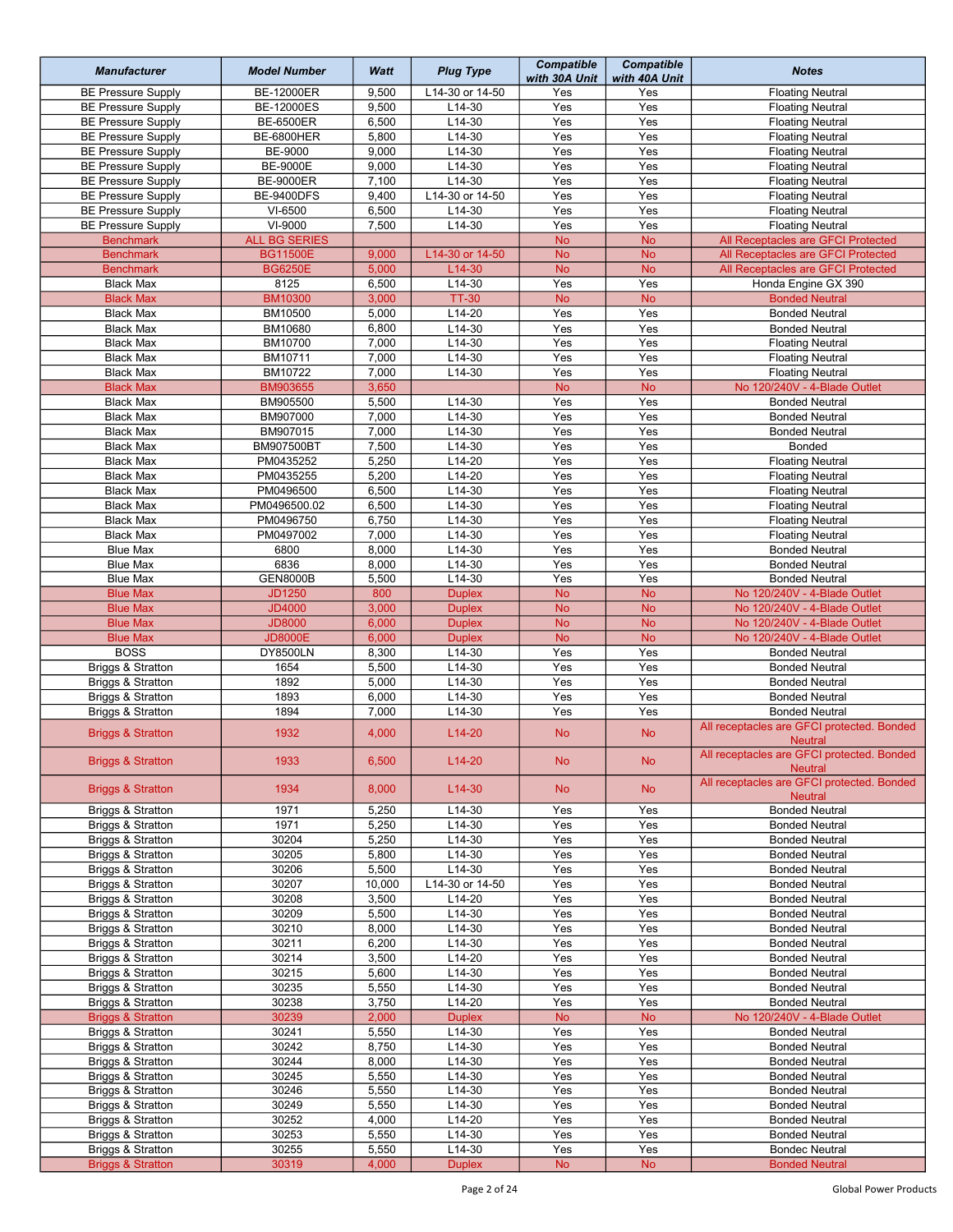| <b>Manufacturer</b>                               | <b>Model Number</b>  | Watt           | <b>Plug Type</b>        | <b>Compatible</b><br>with 30A Unit | <b>Compatible</b><br>with 40A Unit | <b>Notes</b>                                                 |
|---------------------------------------------------|----------------------|----------------|-------------------------|------------------------------------|------------------------------------|--------------------------------------------------------------|
| <b>BE Pressure Supply</b>                         | BE-12000ER           | 9,500          | L14-30 or 14-50         | Yes                                | Yes                                | <b>Floating Neutral</b>                                      |
| <b>BE Pressure Supply</b>                         | <b>BE-12000ES</b>    | 9,500          | L14-30                  | Yes                                | Yes                                | <b>Floating Neutral</b>                                      |
| <b>BE Pressure Supply</b>                         | <b>BE-6500ER</b>     | 6,500          | L14-30                  | Yes                                | Yes                                | <b>Floating Neutral</b>                                      |
| <b>BE Pressure Supply</b>                         | <b>BE-6800HER</b>    | 5,800          | $L14-30$                | Yes                                | Yes                                | <b>Floating Neutral</b>                                      |
| <b>BE Pressure Supply</b>                         | BE-9000              | 9,000          | L14-30                  | Yes                                | Yes                                | <b>Floating Neutral</b>                                      |
| <b>BE Pressure Supply</b>                         | <b>BE-9000E</b>      | 9,000          | L14-30                  | Yes                                | Yes                                | <b>Floating Neutral</b>                                      |
| <b>BE Pressure Supply</b>                         | <b>BE-9000ER</b>     | 7,100          | $L14-30$                | Yes                                | Yes                                | <b>Floating Neutral</b>                                      |
| <b>BE Pressure Supply</b>                         | <b>BE-9400DFS</b>    | 9,400          | L14-30 or 14-50         | Yes                                | Yes                                | <b>Floating Neutral</b>                                      |
| <b>BE Pressure Supply</b>                         | VI-6500              | 6,500          | L14-30                  | Yes                                | Yes                                | <b>Floating Neutral</b>                                      |
| <b>BE Pressure Supply</b>                         | VI-9000              | 7,500          | L14-30                  | $\overline{Yes}$                   | Yes                                | <b>Floating Neutral</b>                                      |
| <b>Benchmark</b>                                  | <b>ALL BG SERIES</b> |                |                         | <b>No</b>                          | <b>No</b>                          | All Receptacles are GFCI Protected                           |
| <b>Benchmark</b>                                  | <b>BG11500E</b>      | 9,000          | L14-30 or 14-50         | <b>No</b>                          | <b>No</b>                          | All Receptacles are GFCI Protected                           |
| <b>Benchmark</b>                                  | <b>BG6250E</b>       | 5,000          | L14-30                  | <b>No</b>                          | <b>No</b>                          | All Receptacles are GFCI Protected                           |
| <b>Black Max</b>                                  | 8125                 | 6,500          | L14-30                  | Yes                                | Yes                                | Honda Engine GX 390                                          |
| <b>Black Max</b>                                  | <b>BM10300</b>       | 3,000          | <b>TT-30</b>            | <b>No</b>                          | <b>No</b>                          | <b>Bonded Neutral</b>                                        |
| <b>Black Max</b>                                  | BM10500              | 5,000          | L14-20                  | Yes                                | Yes                                | <b>Bonded Neutral</b>                                        |
| <b>Black Max</b>                                  | BM10680              | 6,800          | L14-30                  | Yes                                | Yes                                | <b>Bonded Neutral</b>                                        |
| <b>Black Max</b>                                  | BM10700              | 7,000          | $L14-30$                | Yes                                | Yes                                | <b>Floating Neutral</b>                                      |
| <b>Black Max</b>                                  | BM10711              | 7,000          | $L14-30$                | Yes                                | Yes                                | <b>Floating Neutral</b>                                      |
| <b>Black Max</b>                                  | BM10722              | 7,000          | L14-30                  | Yes                                | Yes                                | <b>Floating Neutral</b>                                      |
| <b>Black Max</b>                                  | BM903655             | 3,650          |                         | <b>No</b>                          | <b>No</b>                          | No 120/240V - 4-Blade Outlet                                 |
| <b>Black Max</b>                                  | BM905500             | 5,500          | $L14-30$                | Yes                                | Yes                                | <b>Bonded Neutral</b>                                        |
| <b>Black Max</b>                                  | BM907000             | 7,000          | L14-30                  | Yes                                | Yes                                | <b>Bonded Neutral</b>                                        |
| <b>Black Max</b>                                  | BM907015             | 7,000          | L14-30                  | Yes                                | Yes                                | <b>Bonded Neutral</b>                                        |
| <b>Black Max</b>                                  | BM907500BT           | 7,500          | $L14-30$                | Yes                                | Yes                                | Bonded                                                       |
| <b>Black Max</b>                                  | PM0435252            | 5,250          | $L14-20$                | Yes                                | Yes                                | <b>Floating Neutral</b>                                      |
| <b>Black Max</b>                                  | PM0435255            | 5,200          | L14-20                  | Yes                                | Yes                                | <b>Floating Neutral</b>                                      |
| <b>Black Max</b>                                  | PM0496500            | 6,500          | $L14-30$                | Yes                                | Yes                                | <b>Floating Neutral</b>                                      |
| <b>Black Max</b>                                  | PM0496500.02         | 6,500          | L14-30                  | Yes                                | Yes                                | <b>Floating Neutral</b>                                      |
| <b>Black Max</b>                                  | PM0496750            | 6,750          | L14-30                  | Yes                                | Yes                                | <b>Floating Neutral</b>                                      |
| <b>Black Max</b>                                  | PM0497002            | 7,000          | L14-30                  | Yes                                | Yes                                | <b>Floating Neutral</b>                                      |
| <b>Blue Max</b>                                   | 6800                 | 8,000          | $L14-30$                | Yes                                | Yes                                | <b>Bonded Neutral</b>                                        |
| <b>Blue Max</b>                                   | 6836                 | 8,000          | $L14-30$                | Yes                                | Yes                                | <b>Bonded Neutral</b>                                        |
| <b>Blue Max</b>                                   | <b>GEN8000B</b>      | 5,500          | L14-30                  | Yes                                | Yes                                | <b>Bonded Neutral</b>                                        |
| <b>Blue Max</b>                                   | <b>JD1250</b>        | 800            | <b>Duplex</b>           | <b>No</b>                          | <b>No</b>                          | No 120/240V - 4-Blade Outlet                                 |
| <b>Blue Max</b>                                   | <b>JD4000</b>        | 3,000          | <b>Duplex</b>           | <b>No</b>                          | <b>No</b>                          | No 120/240V - 4-Blade Outlet                                 |
| <b>Blue Max</b>                                   | <b>JD8000</b>        | 6,000          | <b>Duplex</b>           | <b>No</b>                          | <b>No</b>                          | No 120/240V - 4-Blade Outlet                                 |
| <b>Blue Max</b>                                   | <b>JD8000E</b>       | 6,000          | <b>Duplex</b>           | <b>No</b>                          | <b>No</b>                          | No 120/240V - 4-Blade Outlet                                 |
| <b>BOSS</b>                                       | DY8500LN             | 8,300          | L14-30                  | Yes                                | Yes                                | <b>Bonded Neutral</b>                                        |
| Briggs & Stratton                                 | 1654                 | 5,500          | $L14-30$                | Yes                                | Yes                                | <b>Bonded Neutral</b>                                        |
| Briggs & Stratton                                 | 1892                 | 5,000          | L14-30                  | Yes                                | Yes                                | <b>Bonded Neutral</b>                                        |
| Briggs & Stratton                                 | 1893                 | 6,000          | L14-30                  | Yes                                | Yes                                | <b>Bonded Neutral</b>                                        |
| Briggs & Stratton                                 | 1894                 | 7,000          | L14-30                  | Yes                                | Yes                                | <b>Bonded Neutral</b>                                        |
| <b>Briggs &amp; Stratton</b>                      | 1932                 | 4,000          | L14-20                  | <b>No</b>                          | <b>No</b>                          | All receptacles are GFCI protected. Bonded<br><b>Neutral</b> |
| <b>Briggs &amp; Stratton</b>                      | 1933                 | 6,500          | $L14-20$                | <b>No</b>                          | <b>No</b>                          | All receptacles are GFCI protected. Bonded<br><b>Neutral</b> |
| <b>Briggs &amp; Stratton</b>                      | 1934                 | 8,000          | $L14-30$                | <b>No</b>                          | <b>No</b>                          | All receptacles are GFCI protected. Bonded<br><b>Neutral</b> |
| Briggs & Stratton                                 | 1971                 | 5,250          | L14-30                  | Yes                                | Yes                                | <b>Bonded Neutral</b>                                        |
| Briggs & Stratton                                 | 1971                 | 5,250          | L14-30                  | Yes                                | Yes                                | <b>Bonded Neutral</b>                                        |
| Briggs & Stratton                                 | 30204                | 5,250          | L14-30                  | Yes                                | Yes                                | <b>Bonded Neutral</b>                                        |
| Briggs & Stratton                                 | 30205                | 5,800          | L14-30                  | Yes                                | Yes                                | <b>Bonded Neutral</b>                                        |
| Briggs & Stratton                                 | 30206                | 5,500          | L14-30                  | Yes                                | Yes                                | <b>Bonded Neutral</b>                                        |
| Briggs & Stratton                                 | 30207                | 10,000         | L14-30 or 14-50         | Yes                                | Yes                                | <b>Bonded Neutral</b>                                        |
| Briggs & Stratton                                 | 30208                | 3,500          | L14-20                  | Yes                                | Yes                                | <b>Bonded Neutral</b>                                        |
| Briggs & Stratton                                 | 30209                | 5,500          | $L14-30$                | Yes                                | Yes                                | <b>Bonded Neutral</b>                                        |
| Briggs & Stratton                                 | 30210                | 8,000          | L14-30                  | Yes                                | Yes                                | <b>Bonded Neutral</b>                                        |
| Briggs & Stratton                                 | 30211                | 6,200          | L14-30                  | Yes                                | Yes                                | <b>Bonded Neutral</b>                                        |
| Briggs & Stratton                                 | 30214                | 3,500          | L14-20                  | Yes                                | Yes                                | <b>Bonded Neutral</b>                                        |
| Briggs & Stratton                                 | 30215                | 5,600          | L14-30                  | Yes                                | Yes                                | <b>Bonded Neutral</b>                                        |
| Briggs & Stratton                                 | 30235<br>30238       | 5,550<br>3,750 | L14-30<br>L14-20        | Yes<br>Yes                         | Yes<br>Yes                         | <b>Bonded Neutral</b>                                        |
| Briggs & Stratton                                 |                      | 2,000          |                         |                                    | <b>No</b>                          | <b>Bonded Neutral</b>                                        |
| <b>Briggs &amp; Stratton</b><br>Briggs & Stratton | 30239<br>30241       |                | <b>Duplex</b><br>L14-30 | <b>No</b><br>Yes                   | Yes                                | No 120/240V - 4-Blade Outlet                                 |
| Briggs & Stratton                                 | 30242                | 5,550<br>8,750 | L14-30                  | Yes                                | Yes                                | <b>Bonded Neutral</b><br><b>Bonded Neutral</b>               |
| Briggs & Stratton                                 | 30244                | 8,000          | L14-30                  | Yes                                | Yes                                | <b>Bonded Neutral</b>                                        |
| Briggs & Stratton                                 | 30245                | 5,550          | L14-30                  | Yes                                | Yes                                | <b>Bonded Neutral</b>                                        |
| Briggs & Stratton                                 | 30246                | 5,550          | L14-30                  | Yes                                | Yes                                | <b>Bonded Neutral</b>                                        |
| Briggs & Stratton                                 | 30249                | 5,550          | L14-30                  | Yes                                | Yes                                | <b>Bonded Neutral</b>                                        |
| Briggs & Stratton                                 | 30252                | 4,000          | L14-20                  | Yes                                | Yes                                | <b>Bonded Neutral</b>                                        |
| Briggs & Stratton                                 | 30253                | 5,550          | L14-30                  | Yes                                | Yes                                | <b>Bonded Neutral</b>                                        |
| Briggs & Stratton                                 | 30255                | 5,550          | L14-30                  | Yes                                | Yes                                | <b>Bondec Neutral</b>                                        |
| <b>Briggs &amp; Stratton</b>                      | 30319                | 4,000          | <b>Duplex</b>           | No                                 | ${\sf No}$                         | <b>Bonded Neutral</b>                                        |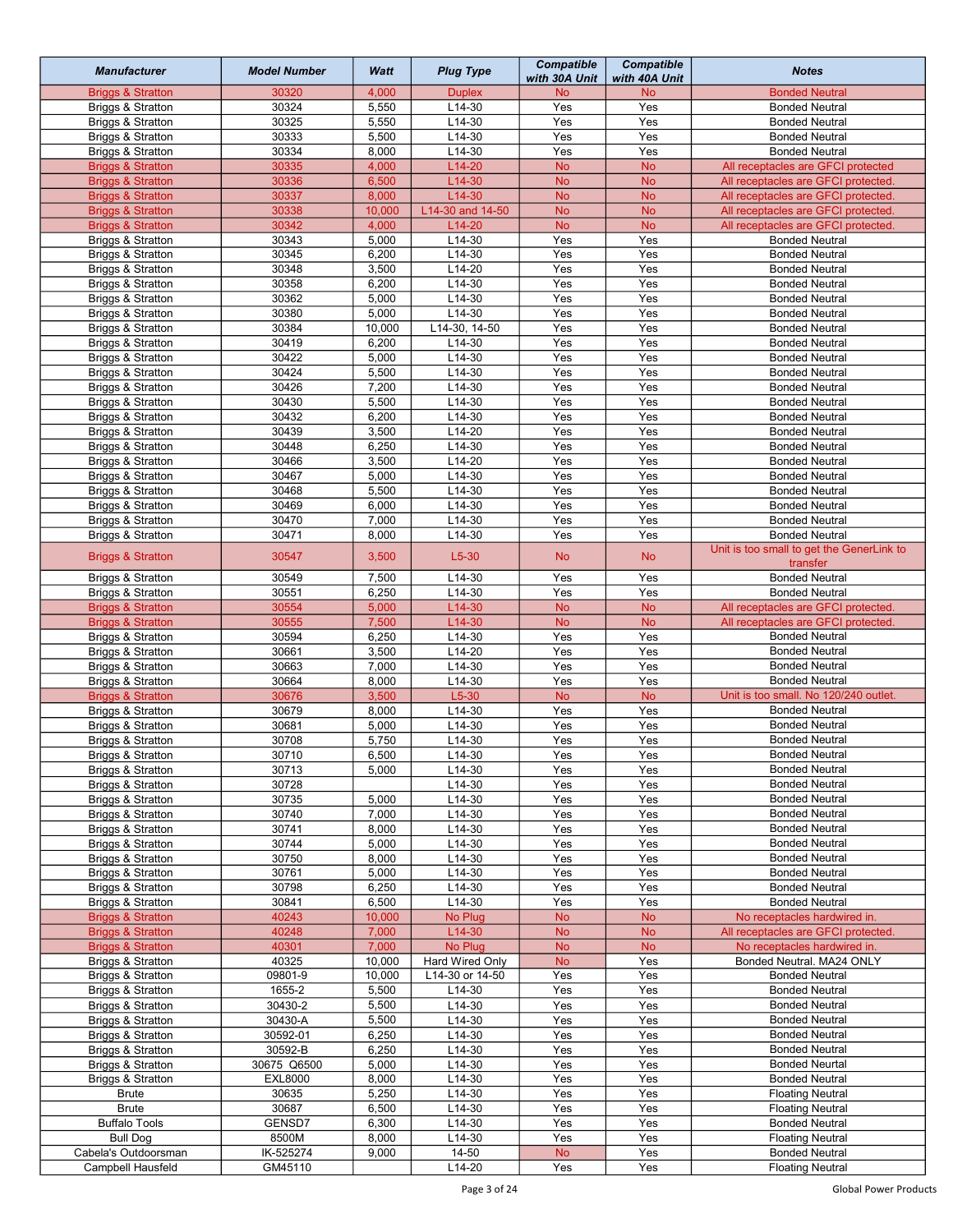| <b>Manufacturer</b>                    | <b>Model Number</b> | Watt           | <b>Plug Type</b> | <b>Compatible</b><br>with 30A Unit | <b>Compatible</b><br>with 40A Unit | <b>Notes</b>                                   |
|----------------------------------------|---------------------|----------------|------------------|------------------------------------|------------------------------------|------------------------------------------------|
| <b>Briggs &amp; Stratton</b>           | 30320               | 4,000          | <b>Duplex</b>    | <b>No</b>                          | <b>No</b>                          | <b>Bonded Neutral</b>                          |
| Briggs & Stratton                      | 30324               | 5,550          | L14-30           | Yes                                | Yes                                | <b>Bonded Neutral</b>                          |
| Briggs & Stratton                      | 30325               | 5,550          | L14-30           | Yes                                | Yes                                | <b>Bonded Neutral</b>                          |
| Briggs & Stratton                      | 30333               | 5,500          | $L14-30$         | Yes                                | Yes                                | <b>Bonded Neutral</b>                          |
| Briggs & Stratton                      | 30334               | 8,000          | L14-30           | Yes                                | Yes                                | <b>Bonded Neutral</b>                          |
| <b>Briggs &amp; Stratton</b>           | 30335               | 4,000          | $L14-20$         | <b>No</b>                          | <b>No</b>                          | All receptacles are GFCI protected             |
| <b>Briggs &amp; Stratton</b>           | 30336               | 6,500          | L14-30           | <b>No</b>                          | <b>No</b>                          | All receptacles are GFCI protected.            |
| <b>Briggs &amp; Stratton</b>           | 30337               | 8,000          | L14-30           | <b>No</b>                          | <b>No</b>                          | All receptacles are GFCI protected.            |
| <b>Briggs &amp; Stratton</b>           | 30338               | 10,000         | L14-30 and 14-50 | <b>No</b>                          | <b>No</b>                          | All receptacles are GFCI protected.            |
| <b>Briggs &amp; Stratton</b>           | 30342<br>30343      | 4,000          | $L14-20$         | <b>No</b><br>$\overline{Yes}$      | <b>No</b>                          | All receptacles are GFCI protected.            |
| Briggs & Stratton                      |                     | 5,000          | L14-30           |                                    | Yes                                | <b>Bonded Neutral</b>                          |
| Briggs & Stratton                      | 30345<br>30348      | 6,200<br>3,500 | L14-30<br>L14-20 | Yes<br>Yes                         | Yes<br>Yes                         | <b>Bonded Neutral</b>                          |
| Briggs & Stratton<br>Briggs & Stratton | 30358               | 6,200          | $L14-30$         | Yes                                | Yes                                | <b>Bonded Neutral</b><br><b>Bonded Neutral</b> |
| Briggs & Stratton                      | 30362               | 5,000          | L14-30           | Yes                                | Yes                                | <b>Bonded Neutral</b>                          |
| Briggs & Stratton                      | 30380               | 5,000          | L14-30           | Yes                                | Yes                                | <b>Bonded Neutral</b>                          |
| Briggs & Stratton                      | 30384               | 10,000         | L14-30, 14-50    | Yes                                | Yes                                | <b>Bonded Neutral</b>                          |
| Briggs & Stratton                      | 30419               | 6,200          | $L14-30$         | Yes                                | Yes                                | <b>Bonded Neutral</b>                          |
| Briggs & Stratton                      | 30422               | 5,000          | L14-30           | Yes                                | Yes                                | <b>Bonded Neutral</b>                          |
| Briggs & Stratton                      | 30424               | 5,500          | L14-30           | Yes                                | Yes                                | <b>Bonded Neutral</b>                          |
| Briggs & Stratton                      | 30426               | 7,200          | L14-30           | Yes                                | Yes                                | <b>Bonded Neutral</b>                          |
| Briggs & Stratton                      | 30430               | 5,500          | L14-30           | Yes                                | Yes                                | <b>Bonded Neutral</b>                          |
| Briggs & Stratton                      | 30432               | 6,200          | L14-30           | Yes                                | Yes                                | <b>Bonded Neutral</b>                          |
| Briggs & Stratton                      | 30439               | 3,500          | $L14-20$         | Yes                                | Yes                                | <b>Bonded Neutral</b>                          |
| Briggs & Stratton                      | 30448               | 6,250          | $L14-30$         | Yes                                | Yes                                | <b>Bonded Neutral</b>                          |
| Briggs & Stratton                      | 30466               | 3,500          | $L14-20$         | Yes                                | Yes                                | <b>Bonded Neutral</b>                          |
| Briggs & Stratton                      | 30467               | 5,000          | L14-30           | Yes                                | Yes                                | <b>Bonded Neutral</b>                          |
| Briggs & Stratton                      | 30468               | 5,500          | L14-30           | Yes                                | Yes                                | <b>Bonded Neutral</b>                          |
| Briggs & Stratton                      | 30469               | 6,000          | L14-30           | Yes                                | Yes                                | <b>Bonded Neutral</b>                          |
| Briggs & Stratton                      | 30470               | 7,000          | L14-30           | Yes                                | Yes                                | <b>Bonded Neutral</b>                          |
| Briggs & Stratton                      | 30471               | 8,000          | L14-30           | Yes                                | Yes                                | <b>Bonded Neutral</b>                          |
|                                        |                     |                |                  |                                    |                                    | Unit is too small to get the GenerLink to      |
| <b>Briggs &amp; Stratton</b>           | 30547               | 3,500          | $L5-30$          | <b>No</b>                          | <b>No</b>                          | transfer                                       |
| Briggs & Stratton                      | 30549               | 7,500          | $L14-30$         | Yes                                | Yes                                | <b>Bonded Neutral</b>                          |
| Briggs & Stratton                      | 30551               | 6,250          | L14-30           | Yes                                | Yes                                | <b>Bonded Neutral</b>                          |
| <b>Briggs &amp; Stratton</b>           | 30554               | 5,000          | L14-30           | <b>No</b>                          | <b>No</b>                          | All receptacles are GFCI protected.            |
| <b>Briggs &amp; Stratton</b>           | 30555               | 7,500          | L14-30           | <b>No</b>                          | <b>No</b>                          | All receptacles are GFCI protected.            |
| Briggs & Stratton                      | 30594               | 6,250          | L14-30           | Yes                                | Yes                                | <b>Bonded Neutral</b>                          |
| Briggs & Stratton                      | 30661               | 3,500          | $L14-20$         | Yes                                | Yes                                | <b>Bonded Neutral</b>                          |
| Briggs & Stratton                      | 30663               | 7,000          | L14-30           | Yes                                | Yes                                | <b>Bonded Neutral</b>                          |
| Briggs & Stratton                      | 30664               | 8,000          | L14-30           | Yes                                | Yes                                | <b>Bonded Neutral</b>                          |
| <b>Briggs &amp; Stratton</b>           | 30676               | 3,500          | $L5-30$          | <b>No</b>                          | <b>No</b>                          | Unit is too small. No 120/240 outlet.          |
| Briggs & Stratton                      | 30679               | 8,000          | L14-30           | Yes                                | Yes                                | <b>Bonded Neutral</b>                          |
| Briggs & Stratton                      | 30681               | 5,000          | $L14-30$         | Yes                                | Yes                                | <b>Bonded Neutral</b>                          |
| Briggs & Stratton                      | 30708               | 5,750          | L14-30           | Yes                                | Yes                                | <b>Bonded Neutral</b><br><b>Bonded Neutral</b> |
| Briggs & Stratton                      | 30710               | 6,500          | $L14-30$         | Yes                                | Yes                                |                                                |
| Briggs & Stratton<br>Briggs & Stratton | 30713<br>30728      | 5,000          | L14-30<br>L14-30 | Yes<br>Yes                         | Yes<br>Yes                         | <b>Bonded Neutral</b><br><b>Bonded Neutral</b> |
| Briggs & Stratton                      | 30735               | 5,000          | L14-30           | Yes                                | Yes                                | <b>Bonded Neutral</b>                          |
| Briggs & Stratton                      | 30740               | 7,000          | L14-30           | Yes                                | Yes                                | <b>Bonded Neutral</b>                          |
| Briggs & Stratton                      | 30741               | 8,000          | L14-30           | Yes                                | Yes                                | <b>Bonded Neutral</b>                          |
| Briggs & Stratton                      | 30744               | 5,000          | L14-30           | Yes                                | Yes                                | <b>Bonded Neutral</b>                          |
| Briggs & Stratton                      | 30750               | 8,000          | L14-30           | Yes                                | Yes                                | <b>Bonded Neutral</b>                          |
| Briggs & Stratton                      | 30761               | 5,000          | L14-30           | Yes                                | Yes                                | <b>Bonded Neutral</b>                          |
| Briggs & Stratton                      | 30798               | 6,250          | L14-30           | Yes                                | Yes                                | <b>Bonded Neutral</b>                          |
| Briggs & Stratton                      | 30841               | 6,500          | L14-30           | Yes                                | Yes                                | <b>Bonded Neutral</b>                          |
| <b>Briggs &amp; Stratton</b>           | 40243               | 10,000         | No Plug          | <b>No</b>                          | <b>No</b>                          | No receptacles hardwired in.                   |
| <b>Briggs &amp; Stratton</b>           | 40248               | 7,000          | L14-30           | <b>No</b>                          | <b>No</b>                          | All receptacles are GFCI protected.            |
| <b>Briggs &amp; Stratton</b>           | 40301               | 7,000          | No Plug          | <b>No</b>                          | <b>No</b>                          | No receptacles hardwired in.                   |
| Briggs & Stratton                      | 40325               | 10,000         | Hard Wired Only  | <b>No</b>                          | Yes                                | Bonded Neutral. MA24 ONLY                      |
| Briggs & Stratton                      | 09801-9             | 10,000         | L14-30 or 14-50  | Yes                                | Yes                                | <b>Bonded Neutral</b>                          |
| Briggs & Stratton                      | 1655-2              | 5,500          | L14-30           | Yes                                | Yes                                | <b>Bonded Neutral</b>                          |
| Briggs & Stratton                      | 30430-2             | 5,500          | L14-30           | Yes                                | Yes                                | <b>Bonded Neutral</b>                          |
| Briggs & Stratton                      | 30430-A             | 5,500          | L14-30           | Yes                                | Yes                                | <b>Bonded Neutral</b>                          |
| Briggs & Stratton                      | 30592-01            | 6,250          | L14-30           | Yes                                | Yes                                | <b>Bonded Neutral</b>                          |
| Briggs & Stratton                      | 30592-B             | 6,250          | L14-30           | Yes                                | Yes                                | <b>Bonded Neutral</b>                          |
| Briggs & Stratton                      | 30675 Q6500         | 5,000          | L14-30           | Yes                                | Yes                                | <b>Bonded Neurtal</b>                          |
| Briggs & Stratton                      | <b>EXL8000</b>      | 8,000          | L14-30           | Yes                                | Yes                                | <b>Bonded Neutral</b>                          |
| <b>Brute</b>                           | 30635               | 5,250          | L14-30           | Yes                                | Yes                                | <b>Floating Neutral</b>                        |
| <b>Brute</b>                           | 30687               | 6,500          | $L14-30$         | Yes                                | Yes                                | <b>Floating Neutral</b>                        |
| <b>Buffalo Tools</b>                   | GENSD7              | 6,300          | L14-30           | Yes                                | Yes                                | <b>Bonded Neutral</b>                          |
| <b>Bull Dog</b>                        | 8500M               | 8,000          | L14-30           | Yes                                | Yes                                | <b>Floating Neutral</b>                        |
| Cabela's Outdoorsman                   | IK-525274           | 9,000          | 14-50            | No                                 | Yes                                | <b>Bonded Neutral</b>                          |
| Campbell Hausfeld                      | GM45110             |                | L14-20           | Yes                                | Yes                                | <b>Floating Neutral</b>                        |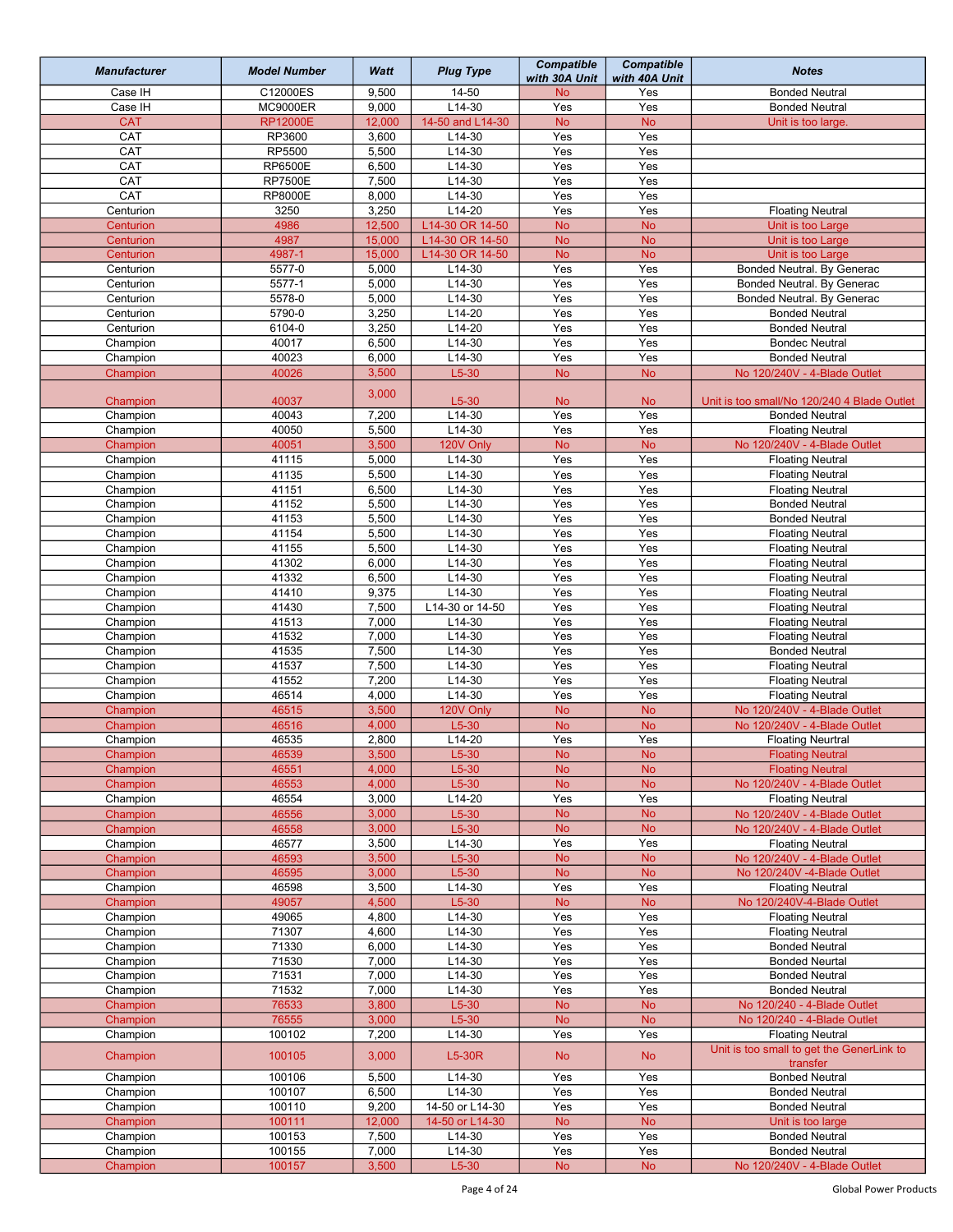| <b>Manufacturer</b>    | <b>Model Number</b> | Watt             | <b>Plug Type</b>                   | <b>Compatible</b><br>with 30A Unit | <b>Compatible</b><br>with 40A Unit | <b>Notes</b>                                         |
|------------------------|---------------------|------------------|------------------------------------|------------------------------------|------------------------------------|------------------------------------------------------|
| Case IH                | C12000ES            | 9,500            | $\overline{1}$ 4-50                | <b>No</b>                          | Yes                                | <b>Bonded Neutral</b>                                |
| Case IH                | <b>MC9000ER</b>     | 9,000            | L14-30                             | Yes                                | Yes                                | <b>Bonded Neutral</b>                                |
| <b>CAT</b>             | <b>RP12000E</b>     | 12,000           | 14-50 and L14-30                   | <b>No</b>                          | No                                 | Unit is too large.                                   |
| CAT                    | RP3600              | 3,600            | $L14-30$                           | Yes                                | Yes                                |                                                      |
| CAT                    | RP5500              | 5,500            | $L14-30$                           | Yes                                | Yes                                |                                                      |
| CAT                    | <b>RP6500E</b>      | 6,500            | L14-30                             | Yes                                | Yes                                |                                                      |
| CAT                    | <b>RP7500E</b>      | 7,500            | $L14-30$                           | Yes                                | Yes                                |                                                      |
| CAT                    | <b>RP8000E</b>      | 8,000            | $L14-30$                           | Yes                                | Yes                                |                                                      |
| Centurion              | 3250                | 3,250            | $L14-20$                           | Yes                                | Yes                                | <b>Floating Neutral</b>                              |
| Centurion              | 4986<br>4987        | 12,500<br>15,000 | L14-30 OR 14-50<br>L14-30 OR 14-50 | <b>No</b><br><b>No</b>             | <b>No</b><br><b>No</b>             | Unit is too Large<br>Unit is too Large               |
| Centurion<br>Centurion | 4987-1              | 15,000           | L14-30 OR 14-50                    | <b>No</b>                          | <b>No</b>                          | Unit is too Large                                    |
| Centurion              | 5577-0              | 5,000            | $L14-30$                           | Yes                                | Yes                                | Bonded Neutral. By Generac                           |
| Centurion              | 5577-1              | 5,000            | $L14-30$                           | Yes                                | Yes                                | Bonded Neutral. By Generac                           |
| Centurion              | 5578-0              | 5,000            | $L14-30$                           | Yes                                | Yes                                | Bonded Neutral. By Generac                           |
| Centurion              | 5790-0              | 3,250            | $L14-20$                           | Yes                                | Yes                                | <b>Bonded Neutral</b>                                |
| Centurion              | 6104-0              | 3,250            | $L14-20$                           | Yes                                | Yes                                | <b>Bonded Neutral</b>                                |
| Champion               | 40017               | 6,500            | $L14-30$                           | Yes                                | Yes                                | <b>Bondec Neutral</b>                                |
| Champion               | 40023               | 6,000            | $L14-30$                           | Yes                                | Yes                                | <b>Bonded Neutral</b>                                |
| Champion               | 40026               | 3,500            | $L5-30$                            | <b>No</b>                          | <b>No</b>                          | No 120/240V - 4-Blade Outlet                         |
|                        |                     | 3,000            |                                    |                                    |                                    |                                                      |
| Champion               | 40037               |                  | $L5-30$                            | <b>No</b>                          | <b>No</b>                          | Unit is too small/No 120/240 4 Blade Outlet          |
| Champion               | 40043               | 7,200            | L14-30                             | Yes                                | Yes                                | <b>Bonded Neutral</b>                                |
| Champion               | 40050               | 5,500            | $L14-30$                           | Yes                                | Yes                                | <b>Floating Neutral</b>                              |
| Champion               | 40051               | 3,500            | 120V Only                          | <b>No</b>                          | <b>No</b>                          | No 120/240V - 4-Blade Outlet                         |
| Champion               | 41115               | 5,000            | $L14-30$                           | Yes                                | Yes                                | <b>Floating Neutral</b>                              |
| Champion               | 41135               | 5,500            | L14-30                             | Yes                                | Yes                                | <b>Floating Neutral</b>                              |
| Champion               | 41151               | 6,500            | L14-30<br>$L14-30$                 | Yes<br>Yes                         | Yes<br>Yes                         | <b>Floating Neutral</b>                              |
| Champion<br>Champion   | 41152<br>41153      | 5,500<br>5,500   | $L14-30$                           | Yes                                | Yes                                | <b>Bonded Neutral</b><br><b>Bonded Neutral</b>       |
| Champion               | 41154               | 5,500            | $L14-30$                           | Yes                                | Yes                                | <b>Floating Neutral</b>                              |
| Champion               | 41155               | 5,500            | $L14-30$                           | Yes                                | Yes                                | <b>Floating Neutral</b>                              |
| Champion               | 41302               | 6,000            | $L14-30$                           | Yes                                | Yes                                | <b>Floating Neutral</b>                              |
| Champion               | 41332               | 6,500            | $L14-30$                           | Yes                                | Yes                                | <b>Floating Neutral</b>                              |
| Champion               | 41410               | 9,375            | $L14-30$                           | Yes                                | Yes                                | <b>Floating Neutral</b>                              |
| Champion               | 41430               | 7,500            | L14-30 or 14-50                    | Yes                                | Yes                                | <b>Floating Neutral</b>                              |
| Champion               | 41513               | 7,000            | L14-30                             | Yes                                | Yes                                | <b>Floating Neutral</b>                              |
| Champion               | 41532               | 7,000            | $L14-30$                           | Yes                                | Yes                                | <b>Floating Neutral</b>                              |
| Champion               | 41535               | 7,500            | $L14-30$                           | Yes                                | Yes                                | <b>Bonded Neutral</b>                                |
| Champion               | 41537               | 7,500            | L14-30                             | Yes                                | Yes                                | <b>Floating Neutral</b>                              |
| Champion               | 41552               | 7,200            | L14-30                             | Yes                                | Yes                                | <b>Floating Neutral</b>                              |
| Champion               | 46514               | 4,000            | $L14-30$                           | Yes                                | Yes                                | <b>Floating Neutral</b>                              |
| Champion               | 46515               | 3,500            | 120V Only                          | <b>No</b>                          | No                                 | No 120/240V - 4-Blade Outlet                         |
| Champion               | 46516               | 4,000            | $L5-30$                            | <b>No</b><br>Yes                   | <b>No</b><br>Yes                   | No 120/240V - 4-Blade Outlet                         |
| Champion               | 46535<br>46539      | 2,800<br>3,500   | L14-20<br>$L5-30$                  | <b>No</b>                          | <b>No</b>                          | <b>Floating Neurtral</b><br><b>Floating Neutral</b>  |
| Champion<br>Champion   | 46551               | 4,000            | $L5-30$                            | <b>No</b>                          | <b>No</b>                          | <b>Floating Neutral</b>                              |
| Champion               | 46553               | 4,000            | $L5-30$                            | <b>No</b>                          | <b>No</b>                          | No 120/240V - 4-Blade Outlet                         |
| Champion               | 46554               | 3,000            | $L14-20$                           | Yes                                | Yes                                | <b>Floating Neutral</b>                              |
| Champion               | 46556               | 3,000            | $L5-30$                            | <b>No</b>                          | <b>No</b>                          | No 120/240V - 4-Blade Outlet                         |
| Champion               | 46558               | 3,000            | $L5-30$                            | <b>No</b>                          | <b>No</b>                          | No 120/240V - 4-Blade Outlet                         |
| Champion               | 46577               | 3,500            | L14-30                             | Yes                                | Yes                                | <b>Floating Neutral</b>                              |
| Champion               | 46593               | 3,500            | $L5-30$                            | <b>No</b>                          | <b>No</b>                          | No 120/240V - 4-Blade Outlet                         |
| Champion               | 46595               | 3,000            | $L5-30$                            | No                                 | <b>No</b>                          | No 120/240V -4-Blade Outlet                          |
| Champion               | 46598               | 3,500            | L14-30                             | Yes                                | Yes                                | <b>Floating Neutral</b>                              |
| Champion               | 49057               | 4,500            | $L5-30$                            | <b>No</b>                          | No                                 | No 120/240V-4-Blade Outlet                           |
| Champion               | 49065               | 4,800            | L14-30                             | Yes                                | Yes                                | <b>Floating Neutral</b>                              |
| Champion               | 71307               | 4,600            | $L14-30$                           | Yes                                | Yes                                | <b>Floating Neutral</b>                              |
| Champion               | 71330               | 6,000            | $L14-30$                           | Yes                                | Yes                                | <b>Bonded Neutral</b>                                |
| Champion               | 71530               | 7,000            | $L14-30$                           | Yes                                | Yes                                | <b>Bonded Neurtal</b>                                |
| Champion               | 71531               | 7,000            | $L14-30$                           | Yes                                | Yes                                | <b>Bonded Neutral</b>                                |
| Champion               | 71532<br>76533      | 7,000<br>3,800   | $L14-30$<br>$L5-30$                | Yes<br><b>No</b>                   | Yes<br><b>No</b>                   | <b>Bonded Neutral</b><br>No 120/240 - 4-Blade Outlet |
| Champion<br>Champion   | 76555               | 3,000            | $L5-30$                            | <b>No</b>                          | <b>No</b>                          | No 120/240 - 4-Blade Outlet                          |
| Champion               | 100102              | 7,200            | L14-30                             | Yes                                | Yes                                | <b>Floating Neutral</b>                              |
|                        |                     |                  |                                    |                                    |                                    | Unit is too small to get the GenerLink to            |
| Champion               | 100105              | 3,000            | L5-30R                             | <b>No</b>                          | <b>No</b>                          | transfer                                             |
| Champion               | 100106              | 5,500            | L14-30                             | Yes                                | Yes                                | <b>Bonbed Neutral</b>                                |
| Champion               | 100107              | 6,500            | $L14-30$                           | Yes                                | Yes                                | <b>Bonded Neutral</b>                                |
| Champion               | 100110              | 9,200            | 14-50 or L14-30                    | Yes                                | Yes                                | <b>Bonded Neutral</b>                                |
| Champion               | 100111              | 12,000           | 14-50 or L14-30                    | <b>No</b>                          | <b>No</b>                          | Unit is too large                                    |
| Champion               | 100153              | 7,500            | L14-30                             | Yes                                | Yes                                | <b>Bonded Neutral</b>                                |
| Champion               | 100155              | 7,000            | L14-30                             | Yes                                | Yes                                | <b>Bonded Neutral</b>                                |
| Champion               | 100157              | 3,500            | $L5-30$                            | <b>No</b>                          | <b>No</b>                          | No 120/240V - 4-Blade Outlet                         |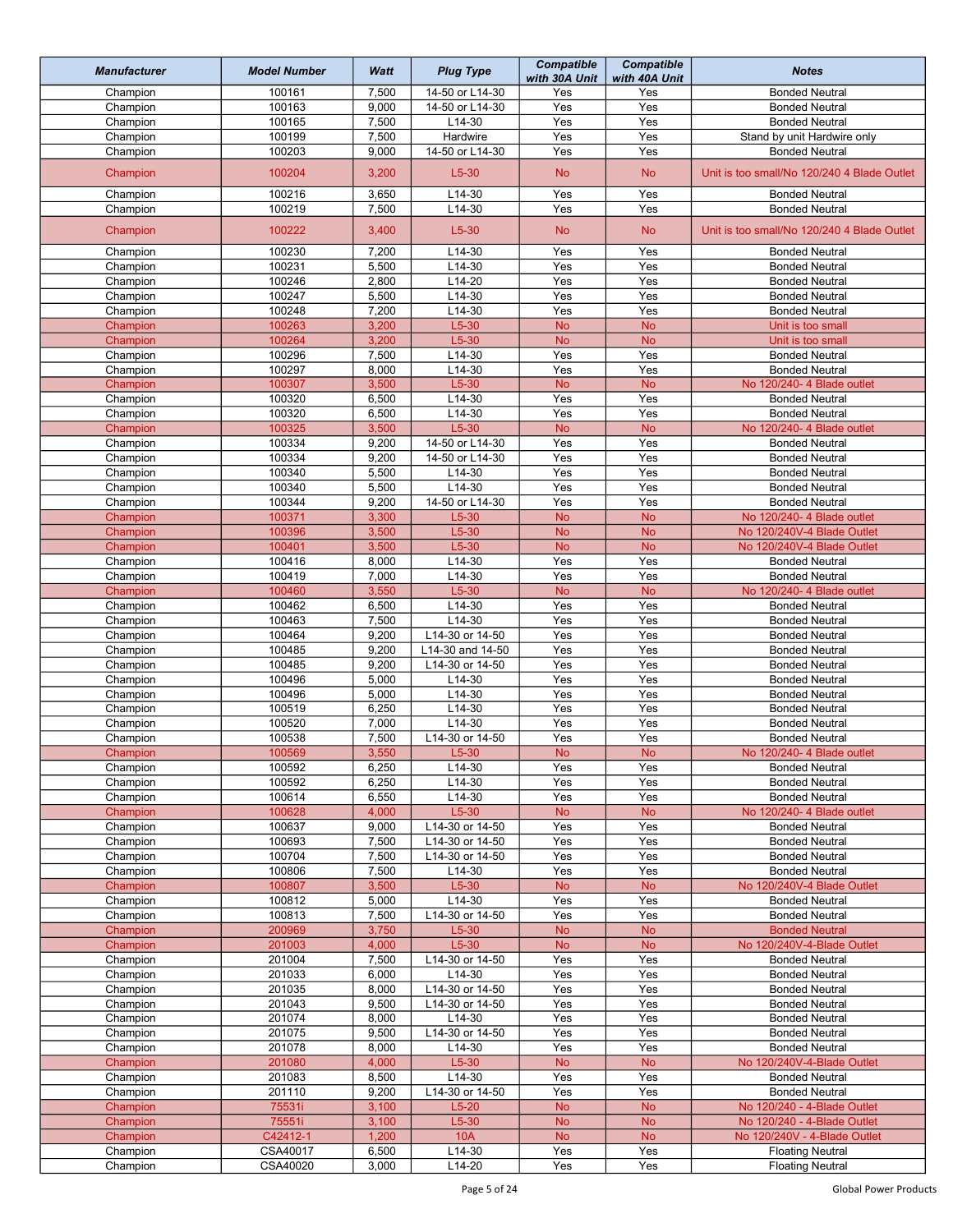| <b>Manufacturer</b> | <b>Model Number</b> | Watt  | <b>Plug Type</b> | <b>Compatible</b><br>with 30A Unit | <b>Compatible</b><br>with 40A Unit | <b>Notes</b>                                |
|---------------------|---------------------|-------|------------------|------------------------------------|------------------------------------|---------------------------------------------|
| Champion            | 100161              | 7,500 | 14-50 or L14-30  | Yes                                | Yes                                | <b>Bonded Neutral</b>                       |
| Champion            | 100163              | 9,000 | 14-50 or L14-30  | Yes                                | Yes                                | <b>Bonded Neutral</b>                       |
| Champion            | 100165              | 7,500 | L14-30           | Yes                                | Yes                                | <b>Bonded Neutral</b>                       |
| Champion            | 100199              | 7,500 | Hardwire         | Yes                                | Yes                                | Stand by unit Hardwire only                 |
| Champion            | 100203              | 9,000 | 14-50 or L14-30  | Yes                                | Yes                                | <b>Bonded Neutral</b>                       |
| Champion            | 100204              | 3,200 | $L5-30$          | <b>No</b>                          | <b>No</b>                          | Unit is too small/No 120/240 4 Blade Outlet |
|                     |                     |       |                  |                                    |                                    |                                             |
| Champion            | 100216              | 3,650 | $L14-30$         | Yes                                | Yes                                | <b>Bonded Neutral</b>                       |
| Champion            | 100219              | 7,500 | $L14-30$         | Yes                                | Yes                                | <b>Bonded Neutral</b>                       |
| Champion            | 100222              | 3,400 | $L5-30$          | <b>No</b>                          | <b>No</b>                          | Unit is too small/No 120/240 4 Blade Outlet |
| Champion            | 100230              | 7,200 | $L14-30$         | Yes                                | Yes                                | <b>Bonded Neutral</b>                       |
| Champion            | 100231              | 5,500 | L14-30           | Yes                                | Yes                                | <b>Bonded Neutral</b>                       |
| Champion            | 100246              | 2,800 | L14-20           | Yes                                | Yes                                | <b>Bonded Neutral</b>                       |
| Champion            | 100247              | 5,500 | $L14-30$         | Yes                                | Yes                                | <b>Bonded Neutral</b>                       |
| Champion            | 100248              | 7,200 | L14-30           | Yes                                | Yes                                | <b>Bonded Neutral</b>                       |
| Champion            | 100263              | 3,200 | $L5-30$          | <b>No</b>                          | <b>No</b>                          | Unit is too small                           |
| Champion            | 100264              | 3,200 | $L5-30$          | <b>No</b>                          | <b>No</b>                          | Unit is too small                           |
| Champion            | 100296              | 7,500 | $L14-30$         | Yes                                | Yes                                | <b>Bonded Neutral</b>                       |
|                     |                     |       |                  | Yes                                | Yes                                |                                             |
| Champion            | 100297              | 8,000 | $L14-30$         |                                    |                                    | <b>Bonded Neutral</b>                       |
| Champion            | 100307              | 3,500 | $L5-30$          | <b>No</b>                          | <b>No</b>                          | No 120/240-4 Blade outlet                   |
| Champion            | 100320              | 6,500 | $L14-30$         | Yes                                | Yes                                | <b>Bonded Neutral</b>                       |
| Champion            | 100320              | 6,500 | $L14-30$         | Yes                                | Yes                                | <b>Bonded Neutral</b>                       |
| Champion            | 100325              | 3,500 | $L5-30$          | <b>No</b>                          | <b>No</b>                          | No 120/240- 4 Blade outlet                  |
| Champion            | 100334              | 9,200 | 14-50 or L14-30  | Yes                                | Yes                                | <b>Bonded Neutral</b>                       |
| Champion            | 100334              | 9,200 | 14-50 or L14-30  | Yes                                | Yes                                | <b>Bonded Neutral</b>                       |
| Champion            | 100340              | 5,500 | $L14-30$         | Yes                                | Yes                                | <b>Bonded Neutral</b>                       |
| Champion            | 100340              | 5,500 | L14-30           | Yes                                | Yes                                | <b>Bonded Neutral</b>                       |
| Champion            | 100344              | 9,200 | 14-50 or L14-30  | Yes                                | Yes                                | <b>Bonded Neutral</b>                       |
|                     |                     |       |                  |                                    |                                    |                                             |
| Champion            | 100371              | 3,300 | $L5-30$          | <b>No</b>                          | <b>No</b>                          | No 120/240- 4 Blade outlet                  |
| Champion            | 100396              | 3,500 | $L5-30$          | <b>No</b>                          | <b>No</b>                          | No 120/240V-4 Blade Outlet                  |
| Champion            | 100401              | 3,500 | $L5-30$          | <b>No</b>                          | <b>No</b>                          | No 120/240V-4 Blade Outlet                  |
| Champion            | 100416              | 8,000 | L14-30           | Yes                                | Yes                                | <b>Bonded Neutral</b>                       |
| Champion            | 100419              | 7,000 | $L14-30$         | Yes                                | Yes                                | <b>Bonded Neutral</b>                       |
| Champion            | 100460              | 3,550 | $L5-30$          | <b>No</b>                          | <b>No</b>                          | No 120/240- 4 Blade outlet                  |
| Champion            | 100462              | 6,500 | $L14-30$         | Yes                                | Yes                                | <b>Bonded Neutral</b>                       |
| Champion            | 100463              | 7,500 | L14-30           | Yes                                | Yes                                | <b>Bonded Neutral</b>                       |
| Champion            | 100464              | 9,200 | L14-30 or 14-50  | Yes                                | Yes                                | <b>Bonded Neutral</b>                       |
| Champion            | 100485              | 9,200 | L14-30 and 14-50 | Yes                                | Yes                                | <b>Bonded Neutral</b>                       |
|                     | 100485              | 9,200 | L14-30 or 14-50  | Yes                                | Yes                                | <b>Bonded Neutral</b>                       |
| Champion            |                     |       |                  | Yes                                |                                    |                                             |
| Champion            | 100496              | 5,000 | $L14-30$         |                                    | Yes                                | <b>Bonded Neutral</b>                       |
| Champion            | 100496              | 5,000 | L14-30           | Yes                                | Yes                                | <b>Bonded Neutral</b>                       |
| Champion            | 100519              | 6,250 | $L14-30$         | Yes                                | Yes                                | <b>Bonded Neutral</b>                       |
| Champion            | 100520              | 7,000 | L14-30           | Yes                                | Yes                                | <b>Bonded Neutral</b>                       |
| Champion            | 100538              | 7,500 | L14-30 or 14-50  | Yes                                | Yes                                | <b>Bonded Neutral</b>                       |
| Champion            | 100569              | 3,550 | $L5-30$          | <b>No</b>                          | <b>No</b>                          | No 120/240- 4 Blade outlet                  |
| Champion            | 100592              | 6,250 | L14-30           | Yes                                | Yes                                | <b>Bonded Neutral</b>                       |
| Champion            | 100592              | 6,250 | $L14-30$         | Yes                                | Yes                                | <b>Bonded Neutral</b>                       |
| Champion            | 100614              | 6,550 | L14-30           | Yes                                | Yes                                | <b>Bonded Neutral</b>                       |
| Champion            | 100628              | 4,000 | $L5-30$          | <b>No</b>                          | <b>No</b>                          | No 120/240-4 Blade outlet                   |
| Champion            | 100637              | 9,000 | L14-30 or 14-50  | Yes                                | Yes                                | <b>Bonded Neutral</b>                       |
|                     |                     |       | L14-30 or 14-50  | Yes                                | Yes                                |                                             |
| Champion            | 100693              | 7,500 |                  |                                    |                                    | <b>Bonded Neutral</b>                       |
| Champion            | 100704              | 7,500 | L14-30 or 14-50  | Yes                                | Yes                                | <b>Bonded Neutral</b>                       |
| Champion            | 100806              | 7,500 | L14-30           | Yes                                | Yes                                | <b>Bonded Neutral</b>                       |
| Champion            | 100807              | 3,500 | $L5-30$          | <b>No</b>                          | <b>No</b>                          | No 120/240V-4 Blade Outlet                  |
| Champion            | 100812              | 5,000 | L14-30           | Yes                                | Yes                                | <b>Bonded Neutral</b>                       |
| Champion            | 100813              | 7,500 | L14-30 or 14-50  | Yes                                | Yes                                | <b>Bonded Neutral</b>                       |
| Champion            | 200969              | 3,750 | $L5-30$          | <b>No</b>                          | <b>No</b>                          | <b>Bonded Neutral</b>                       |
| Champion            | 201003              | 4,000 | $L5-30$          | <b>No</b>                          | <b>No</b>                          | No 120/240V-4-Blade Outlet                  |
| Champion            | 201004              | 7,500 | L14-30 or 14-50  | Yes                                | Yes                                | <b>Bonded Neutral</b>                       |
| Champion            | 201033              | 6,000 | L14-30           | Yes                                | Yes                                | <b>Bonded Neutral</b>                       |
| Champion            | 201035              | 8,000 | L14-30 or 14-50  | Yes                                | Yes                                | <b>Bonded Neutral</b>                       |
| Champion            | 201043              | 9,500 | L14-30 or 14-50  | Yes                                | Yes                                | <b>Bonded Neutral</b>                       |
|                     | 201074              |       |                  | Yes                                |                                    |                                             |
| Champion            |                     | 8,000 | L14-30           |                                    | Yes                                | <b>Bonded Neutral</b>                       |
| Champion            | 201075              | 9,500 | L14-30 or 14-50  | Yes                                | Yes                                | <b>Bonded Neutral</b>                       |
| Champion            | 201078              | 8,000 | L14-30           | Yes                                | Yes                                | <b>Bonded Neutral</b>                       |
| Champion            | 201080              | 4,000 | $L5-30$          | <b>No</b>                          | <b>No</b>                          | No 120/240V-4-Blade Outlet                  |
| Champion            | 201083              | 8,500 | L14-30           | Yes                                | Yes                                | <b>Bonded Neutral</b>                       |
| Champion            | 201110              | 9,200 | L14-30 or 14-50  | Yes                                | Yes                                | <b>Bonded Neutral</b>                       |
| Champion            | 75531i              | 3,100 | $L5-20$          | <b>No</b>                          | <b>No</b>                          | No 120/240 - 4-Blade Outlet                 |
| Champion            | 75551i              | 3,100 | $L5-30$          | <b>No</b>                          | <b>No</b>                          | No 120/240 - 4-Blade Outlet                 |
| Champion            | C42412-1            | 1,200 | 10A              | <b>No</b>                          | <b>No</b>                          | No 120/240V - 4-Blade Outlet                |
| Champion            | CSA40017            | 6,500 | L14-30           | Yes                                | Yes                                | <b>Floating Neutral</b>                     |
| Champion            | CSA40020            | 3,000 | L14-20           | Yes                                | Yes                                | <b>Floating Neutral</b>                     |
|                     |                     |       |                  |                                    |                                    |                                             |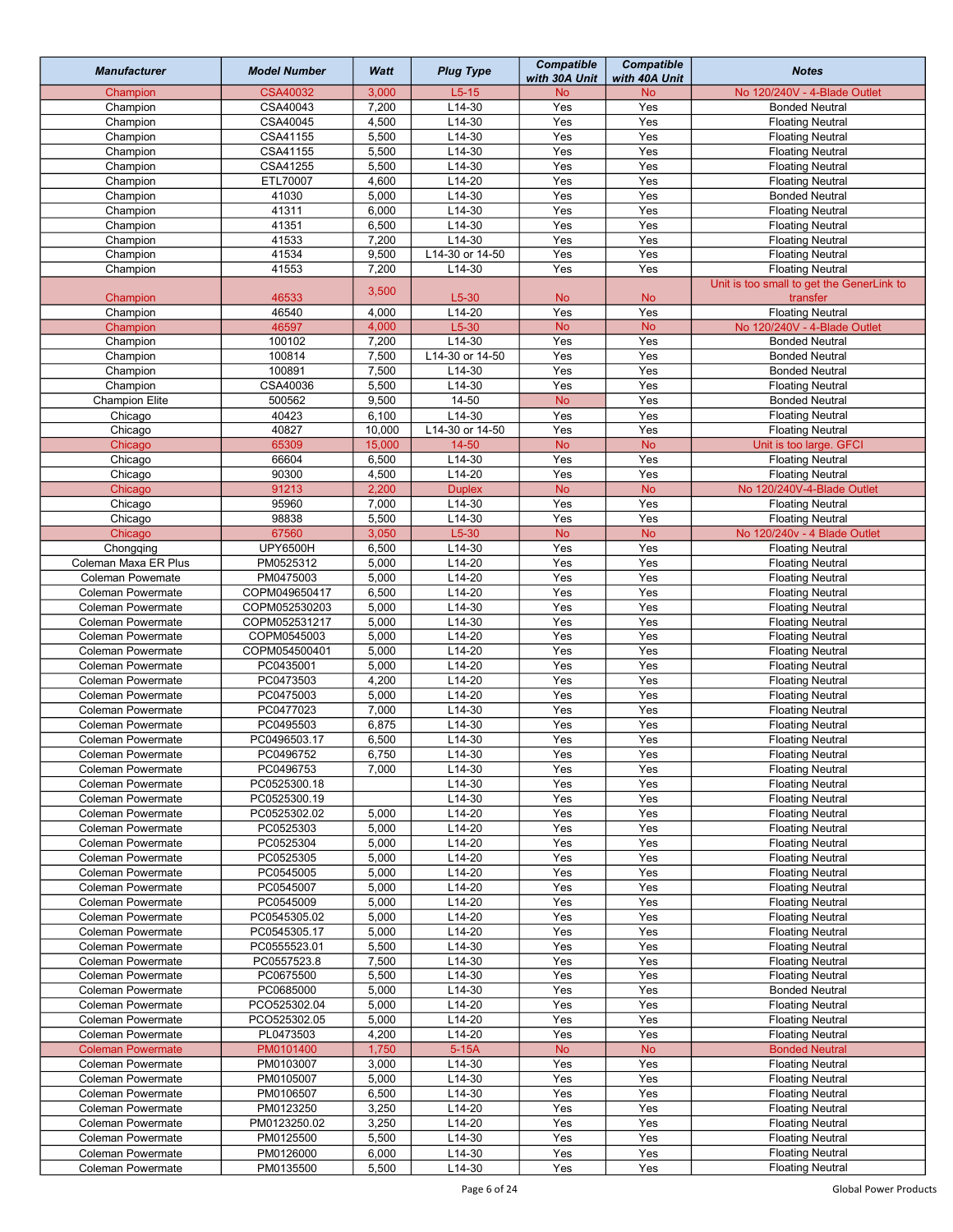| <b>Manufacturer</b>      | <b>Model Number</b> | Watt   | <b>Plug Type</b> | <b>Compatible</b><br>with 30A Unit | Compatible<br>with 40A Unit | <b>Notes</b>                              |
|--------------------------|---------------------|--------|------------------|------------------------------------|-----------------------------|-------------------------------------------|
| Champion                 | <b>CSA40032</b>     | 3,000  | $L5-15$          | <b>No</b>                          | <b>No</b>                   | No 120/240V - 4-Blade Outlet              |
| Champion                 | CSA40043            | 7,200  | $L14-30$         | Yes                                | Yes                         | <b>Bonded Neutral</b>                     |
| Champion                 | CSA40045            | 4,500  | $L14-30$         | Yes                                | Yes                         | <b>Floating Neutral</b>                   |
| Champion                 | CSA41155            | 5,500  | $L14-30$         | Yes                                | Yes                         | <b>Floating Neutral</b>                   |
| Champion                 | CSA41155            | 5,500  | $L14-30$         | Yes                                | Yes                         | <b>Floating Neutral</b>                   |
| Champion                 | CSA41255            | 5,500  | L14-30           | Yes                                | Yes                         | <b>Floating Neutral</b>                   |
| Champion                 | ETL70007            | 4,600  | $L14-20$         | Yes                                | Yes                         | <b>Floating Neutral</b>                   |
| Champion                 | 41030               | 5,000  | $L14-30$         | Yes                                | Yes                         | <b>Bonded Neutral</b>                     |
| Champion                 | 41311               | 6,000  | $L14-30$         | Yes                                | Yes                         | <b>Floating Neutral</b>                   |
| Champion                 | 41351               | 6,500  | $L14-30$         | Yes                                | Yes                         | <b>Floating Neutral</b>                   |
| Champion                 | 41533               | 7,200  | $L14-30$         | Yes                                | Yes                         | <b>Floating Neutral</b>                   |
| Champion                 | 41534               | 9,500  | L14-30 or 14-50  | Yes                                | Yes                         | <b>Floating Neutral</b>                   |
| Champion                 | 41553               | 7,200  | L14-30           | Yes                                | Yes                         | <b>Floating Neutral</b>                   |
|                          |                     |        |                  |                                    |                             | Unit is too small to get the GenerLink to |
| Champion                 | 46533               | 3,500  | $L5-30$          | <b>No</b>                          | <b>No</b>                   | transfer                                  |
| Champion                 | 46540               | 4,000  | $L14-20$         | Yes                                | Yes                         | <b>Floating Neutral</b>                   |
| Champion                 | 46597               | 4,000  | $L5-30$          | <b>No</b>                          | <b>No</b>                   | No 120/240V - 4-Blade Outlet              |
| Champion                 | 100102              | 7,200  | L14-30           | $\overline{Yes}$                   | Yes                         | <b>Bonded Neutral</b>                     |
| Champion                 | 100814              | 7,500  | L14-30 or 14-50  | Yes                                | Yes                         | <b>Bonded Neutral</b>                     |
| Champion                 | 100891              | 7,500  | $L14-30$         | Yes                                | Yes                         | <b>Bonded Neutral</b>                     |
| Champion                 | CSA40036            | 5,500  | $L14-30$         | Yes                                | Yes                         | <b>Floating Neutral</b>                   |
| <b>Champion Elite</b>    | 500562              | 9,500  | $14 - 50$        | <b>No</b>                          | Yes                         |                                           |
|                          |                     |        |                  |                                    |                             | <b>Bonded Neutral</b>                     |
| Chicago                  | 40423               | 6,100  | L14-30           | Yes                                | Yes                         | <b>Floating Neutral</b>                   |
| Chicago                  | 40827               | 10,000 | L14-30 or 14-50  | Yes                                | Yes                         | <b>Floating Neutral</b>                   |
| Chicago                  | 65309               | 15,000 | $14 - 50$        | <b>No</b>                          | <b>No</b>                   | Unit is too large. GFCI                   |
| Chicago                  | 66604               | 6,500  | $L14-30$         | Yes                                | Yes                         | <b>Floating Neutral</b>                   |
| Chicago                  | 90300               | 4,500  | $L14-20$         | Yes                                | Yes                         | <b>Floating Neutral</b>                   |
| Chicago                  | 91213               | 2,200  | <b>Duplex</b>    | <b>No</b>                          | <b>No</b>                   | No 120/240V-4-Blade Outlet                |
| Chicago                  | 95960               | 7,000  | $L14-30$         | Yes                                | Yes                         | <b>Floating Neutral</b>                   |
| Chicago                  | 98838               | 5,500  | $L14-30$         | Yes                                | Yes                         | <b>Floating Neutral</b>                   |
| Chicago                  | 67560               | 3,050  | $L5-30$          | <b>No</b>                          | <b>No</b>                   | No 120/240v - 4 Blade Outlet              |
| Chongqing                | <b>UPY6500H</b>     | 6,500  | L14-30           | Yes                                | Yes                         | <b>Floating Neutral</b>                   |
| Coleman Maxa ER Plus     | PM0525312           | 5,000  | $L14-20$         | Yes                                | Yes                         | <b>Floating Neutral</b>                   |
| Coleman Powemate         | PM0475003           | 5,000  | $L14-20$         | Yes                                | Yes                         | <b>Floating Neutral</b>                   |
| <b>Coleman Powermate</b> | COPM049650417       | 6,500  | $L14-20$         | Yes                                | Yes                         | <b>Floating Neutral</b>                   |
| <b>Coleman Powermate</b> | COPM052530203       | 5,000  | L14-30           | Yes                                | Yes                         | <b>Floating Neutral</b>                   |
| <b>Coleman Powermate</b> | COPM052531217       | 5,000  | L14-30           | Yes                                | Yes                         | <b>Floating Neutral</b>                   |
| <b>Coleman Powermate</b> | COPM0545003         | 5,000  | $L14-20$         | Yes                                | Yes                         | <b>Floating Neutral</b>                   |
| <b>Coleman Powermate</b> | COPM054500401       | 5,000  | L14-20           | Yes                                | Yes                         | <b>Floating Neutral</b>                   |
| <b>Coleman Powermate</b> | PC0435001           | 5,000  | $L14-20$         | Yes                                | Yes                         | <b>Floating Neutral</b>                   |
| <b>Coleman Powermate</b> | PC0473503           | 4,200  | $L14-20$         | Yes                                | Yes                         | <b>Floating Neutral</b>                   |
| <b>Coleman Powermate</b> | PC0475003           | 5,000  | $L14-20$         | Yes                                | Yes                         | <b>Floating Neutral</b>                   |
| <b>Coleman Powermate</b> | PC0477023           | 7,000  | $L14-30$         | Yes                                | Yes                         | <b>Floating Neutral</b>                   |
| <b>Coleman Powermate</b> | PC0495503           | 6,875  | $L14-30$         | Yes                                | Yes                         | <b>Floating Neutral</b>                   |
| <b>Coleman Powermate</b> | PC0496503.17        | 6,500  | $L14-30$         | Yes                                | Yes                         | <b>Floating Neutral</b>                   |
| Coleman Powermate        | PC0496752           | 6,750  | L14-30           | Yes                                | Yes                         | <b>Floating Neutral</b>                   |
| <b>Coleman Powermate</b> | PC0496753           | 7,000  | L14-30           | Yes                                | Yes                         | <b>Floating Neutral</b>                   |
| <b>Coleman Powermate</b> | PC0525300.18        |        | L14-30           | Yes                                | Yes                         | <b>Floating Neutral</b>                   |
| <b>Coleman Powermate</b> | PC0525300.19        |        | $L14-30$         | Yes                                | Yes                         | <b>Floating Neutral</b>                   |
| <b>Coleman Powermate</b> | PC0525302.02        | 5,000  | L14-20           | Yes                                | Yes                         | <b>Floating Neutral</b>                   |
| Coleman Powermate        | PC0525303           | 5,000  | $L14-20$         | Yes                                | Yes                         | <b>Floating Neutral</b>                   |
| Coleman Powermate        | PC0525304           | 5,000  | $L14-20$         | Yes                                | Yes                         | <b>Floating Neutral</b>                   |
| Coleman Powermate        | PC0525305           | 5,000  | $L14-20$         | Yes                                | Yes                         | <b>Floating Neutral</b>                   |
| <b>Coleman Powermate</b> | PC0545005           | 5,000  | L14-20           | Yes                                | Yes                         | <b>Floating Neutral</b>                   |
| <b>Coleman Powermate</b> | PC0545007           | 5,000  | L14-20           | Yes                                | Yes                         | <b>Floating Neutral</b>                   |
| <b>Coleman Powermate</b> | PC0545009           | 5,000  | $L14-20$         | Yes                                | Yes                         | <b>Floating Neutral</b>                   |
| <b>Coleman Powermate</b> | PC0545305.02        | 5,000  | L14-20           | Yes                                | Yes                         | <b>Floating Neutral</b>                   |
| Coleman Powermate        | PC0545305.17        |        | L14-20           | Yes                                | Yes                         | <b>Floating Neutral</b>                   |
|                          |                     | 5,000  | L14-30           | Yes                                | Yes                         |                                           |
| Coleman Powermate        | PC0555523.01        | 5,500  |                  |                                    |                             | <b>Floating Neutral</b>                   |
| <b>Coleman Powermate</b> | PC0557523.8         | 7,500  | L14-30           | Yes                                | Yes                         | <b>Floating Neutral</b>                   |
| <b>Coleman Powermate</b> | PC0675500           | 5,500  | $L14-30$         | Yes                                | Yes                         | <b>Floating Neutral</b>                   |
| Coleman Powermate        | PC0685000           | 5,000  | $L14-30$         | Yes                                | Yes                         | <b>Bonded Neutral</b>                     |
| <b>Coleman Powermate</b> | PCO525302.04        | 5,000  | $L14-20$         | Yes                                | Yes                         | <b>Floating Neutral</b>                   |
| Coleman Powermate        | PCO525302.05        | 5,000  | L14-20           | Yes                                | Yes                         | <b>Floating Neutral</b>                   |
| Coleman Powermate        | PL0473503           | 4,200  | L14-20           | Yes                                | Yes                         | <b>Floating Neutral</b>                   |
| <b>Coleman Powermate</b> | PM0101400           | 1,750  | $5-15A$          | <b>No</b>                          | <b>No</b>                   | <b>Bonded Neutral</b>                     |
| <b>Coleman Powermate</b> | PM0103007           | 3,000  | L14-30           | Yes                                | Yes                         | <b>Floating Neutral</b>                   |
| Coleman Powermate        | PM0105007           | 5,000  | L14-30           | Yes                                | Yes                         | <b>Floating Neutral</b>                   |
| <b>Coleman Powermate</b> | PM0106507           | 6,500  | L14-30           | Yes                                | Yes                         | <b>Floating Neutral</b>                   |
| Coleman Powermate        | PM0123250           | 3,250  | L14-20           | Yes                                | Yes                         | <b>Floating Neutral</b>                   |
| Coleman Powermate        | PM0123250.02        | 3,250  | L14-20           | Yes                                | Yes                         | <b>Floating Neutral</b>                   |
| Coleman Powermate        | PM0125500           | 5,500  | L14-30           | Yes                                | Yes                         | <b>Floating Neutral</b>                   |
| <b>Coleman Powermate</b> | PM0126000           | 6,000  | L14-30           | Yes                                | Yes                         | <b>Floating Neutral</b>                   |
| Coleman Powermate        | PM0135500           | 5,500  | L14-30           | Yes                                | Yes                         | <b>Floating Neutral</b>                   |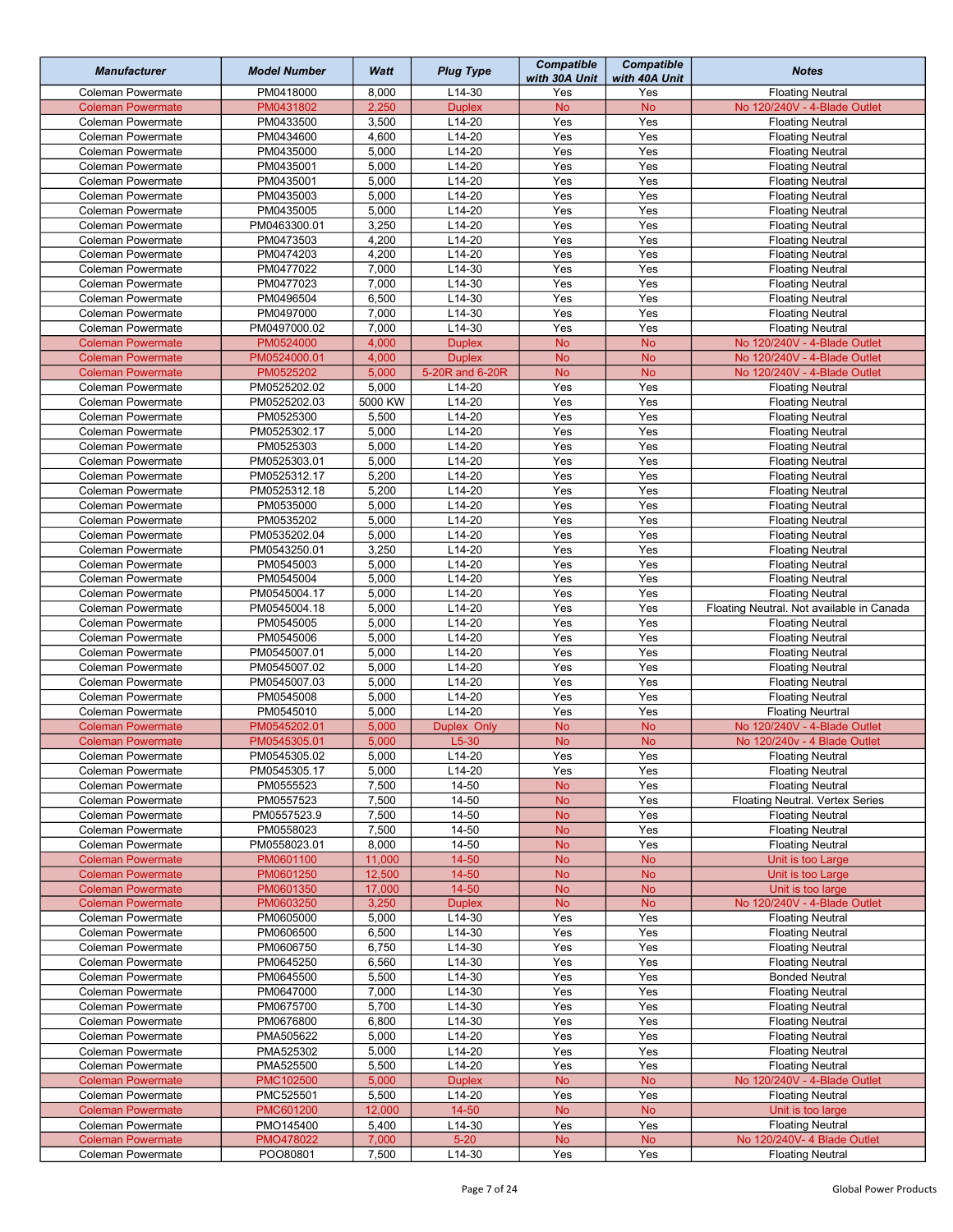| <b>Manufacturer</b>                           | <b>Model Number</b>       | Watt           | <b>Plug Type</b>     | <b>Compatible</b><br>with 30A Unit | <b>Compatible</b><br>with 40A Unit | <b>Notes</b>                                                         |
|-----------------------------------------------|---------------------------|----------------|----------------------|------------------------------------|------------------------------------|----------------------------------------------------------------------|
| Coleman Powermate                             | PM0418000                 | 8,000          | L14-30               | Yes                                | Yes                                | <b>Floating Neutral</b>                                              |
| <b>Coleman Powermate</b>                      | PM0431802                 | 2,250          | <b>Duplex</b>        | <b>No</b>                          | <b>No</b>                          | No 120/240V - 4-Blade Outlet                                         |
| Coleman Powermate                             | PM0433500                 | 3,500          | $L14-20$             | Yes                                | Yes                                | <b>Floating Neutral</b>                                              |
| <b>Coleman Powermate</b>                      | PM0434600                 | 4,600          | L14-20               | Yes                                | Yes                                | <b>Floating Neutral</b>                                              |
| <b>Coleman Powermate</b>                      | PM0435000                 | 5,000          | L14-20               | Yes                                | Yes                                | <b>Floating Neutral</b>                                              |
| <b>Coleman Powermate</b>                      | PM0435001                 | 5,000          | $L14-20$             | Yes                                | Yes                                | <b>Floating Neutral</b>                                              |
| Coleman Powermate                             | PM0435001                 | 5,000          | $L14-20$             | Yes                                | Yes                                | <b>Floating Neutral</b>                                              |
| Coleman Powermate                             | PM0435003                 | 5,000          | $L14-20$             | Yes                                | Yes                                | <b>Floating Neutral</b>                                              |
| Coleman Powermate                             | PM0435005                 | 5,000          | $L14-20$             | Yes                                | Yes                                | <b>Floating Neutral</b>                                              |
| Coleman Powermate                             | PM0463300.01              | 3,250          | $L14-20$             | Yes                                | Yes                                | <b>Floating Neutral</b>                                              |
| <b>Coleman Powermate</b>                      | PM0473503                 | 4,200          | $L14-20$             | Yes                                | Yes                                | <b>Floating Neutral</b>                                              |
| Coleman Powermate                             | PM0474203                 | 4,200          | L14-20               | Yes                                | Yes                                | <b>Floating Neutral</b>                                              |
| Coleman Powermate                             | PM0477022                 | 7,000          | L14-30               | Yes                                | Yes                                | <b>Floating Neutral</b>                                              |
| Coleman Powermate                             | PM0477023                 | 7,000          | L14-30               | Yes                                | Yes                                | <b>Floating Neutral</b>                                              |
| <b>Coleman Powermate</b>                      | PM0496504                 | 6,500          | L14-30               | Yes                                | Yes                                | <b>Floating Neutral</b>                                              |
| <b>Coleman Powermate</b>                      | PM0497000                 | 7,000          | $L14-30$             | Yes                                | Yes                                | <b>Floating Neutral</b>                                              |
| Coleman Powermate                             | PM0497000.02              | 7,000          | L14-30               | Yes                                | Yes                                | <b>Floating Neutral</b>                                              |
| <b>Coleman Powermate</b>                      | PM0524000                 | 4,000          | <b>Duplex</b>        | <b>No</b>                          | <b>No</b>                          | No 120/240V - 4-Blade Outlet                                         |
| <b>Coleman Powermate</b>                      | PM0524000.01              | 4,000          | <b>Duplex</b>        | <b>No</b>                          | <b>No</b>                          | No 120/240V - 4-Blade Outlet<br>No 120/240V - 4-Blade Outlet         |
| <b>Coleman Powermate</b>                      | PM0525202                 | 5,000          | 5-20R and 6-20R      | <b>No</b>                          | <b>No</b>                          |                                                                      |
| <b>Coleman Powermate</b>                      | PM0525202.02              | 5,000          | L14-20               | Yes                                | Yes                                | <b>Floating Neutral</b>                                              |
| Coleman Powermate                             | PM0525202.03              | 5000 KW        | $L14-20$             | Yes                                | Yes                                | <b>Floating Neutral</b>                                              |
| <b>Coleman Powermate</b>                      | PM0525300                 | 5,500          | $L14-20$             | Yes                                | Yes                                | <b>Floating Neutral</b>                                              |
| Coleman Powermate                             | PM0525302.17              | 5,000          | L14-20               | Yes                                | Yes                                | <b>Floating Neutral</b>                                              |
| <b>Coleman Powermate</b>                      | PM0525303                 | 5,000          | $L14-20$             | Yes                                | $\overline{Yes}$                   | <b>Floating Neutral</b>                                              |
| <b>Coleman Powermate</b>                      | PM0525303.01              | 5,000          | $L14-20$             | Yes                                | Yes                                | <b>Floating Neutral</b>                                              |
| <b>Coleman Powermate</b>                      | PM0525312.17              | 5,200          | $L14-20$             | Yes                                | Yes                                | <b>Floating Neutral</b>                                              |
| <b>Coleman Powermate</b>                      | PM0525312.18              | 5,200          | $L14-20$             | Yes                                | Yes                                | <b>Floating Neutral</b>                                              |
| <b>Coleman Powermate</b>                      | PM0535000                 | 5,000          | $L14-20$             | Yes                                | Yes                                | <b>Floating Neutral</b>                                              |
| <b>Coleman Powermate</b>                      | PM0535202                 | 5,000          | $L14-20$             | Yes<br>Yes                         | Yes                                | <b>Floating Neutral</b>                                              |
| Coleman Powermate                             | PM0535202.04              | 5,000          | L14-20               | Yes                                | Yes<br>Yes                         | <b>Floating Neutral</b>                                              |
| Coleman Powermate                             | PM0543250.01<br>PM0545003 | 3,250<br>5,000 | $L14-20$<br>$L14-20$ | Yes                                | Yes                                | <b>Floating Neutral</b>                                              |
| Coleman Powermate                             |                           |                |                      |                                    |                                    | <b>Floating Neutral</b>                                              |
| Coleman Powermate                             | PM0545004                 | 5,000          | $L14-20$             | Yes                                | Yes                                | <b>Floating Neutral</b>                                              |
| <b>Coleman Powermate</b><br>Coleman Powermate | PM0545004.17              | 5,000<br>5,000 | $L14-20$<br>L14-20   | Yes<br>Yes                         | Yes<br>Yes                         | <b>Floating Neutral</b><br>Floating Neutral. Not available in Canada |
| <b>Coleman Powermate</b>                      | PM0545004.18<br>PM0545005 | 5,000          | $L14-20$             | Yes                                | Yes                                |                                                                      |
| Coleman Powermate                             | PM0545006                 | 5,000          | $L14-20$             | Yes                                | Yes                                | <b>Floating Neutral</b><br><b>Floating Neutral</b>                   |
| Coleman Powermate                             | PM0545007.01              | 5,000          | $L14-20$             | Yes                                | Yes                                | <b>Floating Neutral</b>                                              |
| <b>Coleman Powermate</b>                      | PM0545007.02              | 5,000          | $L14-20$             | Yes                                | Yes                                | <b>Floating Neutral</b>                                              |
| <b>Coleman Powermate</b>                      | PM0545007.03              | 5,000          | $L14-20$             | Yes                                | Yes                                | <b>Floating Neutral</b>                                              |
| <b>Coleman Powermate</b>                      | PM0545008                 | 5,000          | $L14-20$             | Yes                                | Yes                                | <b>Floating Neutral</b>                                              |
| <b>Coleman Powermate</b>                      | PM0545010                 | 5,000          | $L14-20$             | Yes                                | Yes                                | <b>Floating Neurtral</b>                                             |
| <b>Coleman Powermate</b>                      | PM0545202.01              | 5,000          | Duplex Only          | <b>No</b>                          | <b>No</b>                          | No 120/240V - 4-Blade Outlet                                         |
| <b>Coleman Powermate</b>                      | PM0545305.01              | 5,000          | $L5-30$              | <b>No</b>                          | <b>No</b>                          | No 120/240v - 4 Blade Outlet                                         |
| Coleman Powermate                             | PM0545305.02              | 5,000          | L14-20               | Yes                                | Yes                                | <b>Floating Neutral</b>                                              |
| Coleman Powermate                             | PM0545305.17              | 5,000          | $L14-20$             | Yes                                | Yes                                | <b>Floating Neutral</b>                                              |
| <b>Coleman Powermate</b>                      | PM0555523                 | 7,500          | 14-50                | No                                 | Yes                                | <b>Floating Neutral</b>                                              |
| Coleman Powermate                             | PM0557523                 | 7,500          | 14-50                | <b>No</b>                          | Yes                                | Floating Neutral. Vertex Series                                      |
| Coleman Powermate                             | PM0557523.9               | 7,500          | 14-50                | No                                 | Yes                                | <b>Floating Neutral</b>                                              |
| Coleman Powermate                             | PM0558023                 | 7,500          | 14-50                | <b>No</b>                          | Yes                                | <b>Floating Neutral</b>                                              |
| Coleman Powermate                             | PM0558023.01              | 8,000          | 14-50                | <b>No</b>                          | Yes                                | <b>Floating Neutral</b>                                              |
| <b>Coleman Powermate</b>                      | PM0601100                 | 11,000         | 14-50                | <b>No</b>                          | <b>No</b>                          | Unit is too Large                                                    |
| <b>Coleman Powermate</b>                      | PM0601250                 | 12,500         | 14-50                | <b>No</b>                          | <b>No</b>                          | Unit is too Large                                                    |
| <b>Coleman Powermate</b>                      | PM0601350                 | 17,000         | 14-50                | <b>No</b>                          | <b>No</b>                          | Unit is too large                                                    |
| <b>Coleman Powermate</b>                      | PM0603250                 | 3,250          | <b>Duplex</b>        | <b>No</b>                          | <b>No</b>                          | No 120/240V - 4-Blade Outlet                                         |
| Coleman Powermate                             | PM0605000                 | 5,000          | L14-30               | Yes                                | Yes                                | <b>Floating Neutral</b>                                              |
| Coleman Powermate                             | PM0606500                 | 6,500          | L14-30               | Yes                                | Yes                                | <b>Floating Neutral</b>                                              |
| Coleman Powermate                             | PM0606750                 | 6,750          | $L14-30$             | Yes                                | Yes                                | <b>Floating Neutral</b>                                              |
| Coleman Powermate                             | PM0645250                 | 6,560          | L14-30               | Yes                                | Yes                                | <b>Floating Neutral</b>                                              |
| Coleman Powermate                             | PM0645500                 | 5,500          | L14-30               | Yes                                | Yes                                | <b>Bonded Neutral</b>                                                |
| Coleman Powermate                             | PM0647000                 | 7,000          | L14-30               | Yes                                | Yes                                | <b>Floating Neutral</b>                                              |
| Coleman Powermate                             | PM0675700                 | 5,700          | L14-30               | Yes                                | Yes                                | <b>Floating Neutral</b>                                              |
| Coleman Powermate                             | PM0676800                 | 6,800          | L14-30               | Yes                                | Yes                                | <b>Floating Neutral</b>                                              |
| Coleman Powermate                             | PMA505622                 | 5,000          | L14-20               | Yes                                | Yes                                | <b>Floating Neutral</b>                                              |
| <b>Coleman Powermate</b>                      | PMA525302                 | 5,000          | L14-20               | Yes                                | Yes                                | <b>Floating Neutral</b>                                              |
| Coleman Powermate                             | PMA525500                 | 5,500          | L14-20               | Yes                                | Yes                                | <b>Floating Neutral</b>                                              |
| <b>Coleman Powermate</b>                      | PMC102500                 | 5,000          | <b>Duplex</b>        | <b>No</b>                          | <b>No</b>                          | No 120/240V - 4-Blade Outlet                                         |
| Coleman Powermate                             | PMC525501                 | 5,500          | L14-20               | Yes                                | Yes                                | <b>Floating Neutral</b>                                              |
| <b>Coleman Powermate</b>                      | PMC601200                 | 12,000         | $14 - 50$            | <b>No</b>                          | <b>No</b>                          | Unit is too large                                                    |
| Coleman Powermate                             | PMO145400                 | 5,400          | L14-30               | Yes                                | Yes                                | <b>Floating Neutral</b>                                              |
| <b>Coleman Powermate</b>                      | PMO478022                 | 7,000          | $5 - 20$             | <b>No</b>                          | <b>No</b>                          | No 120/240V- 4 Blade Outlet                                          |
| Coleman Powermate                             | POO80801                  | 7,500          | L14-30               | Yes                                | Yes                                | <b>Floating Neutral</b>                                              |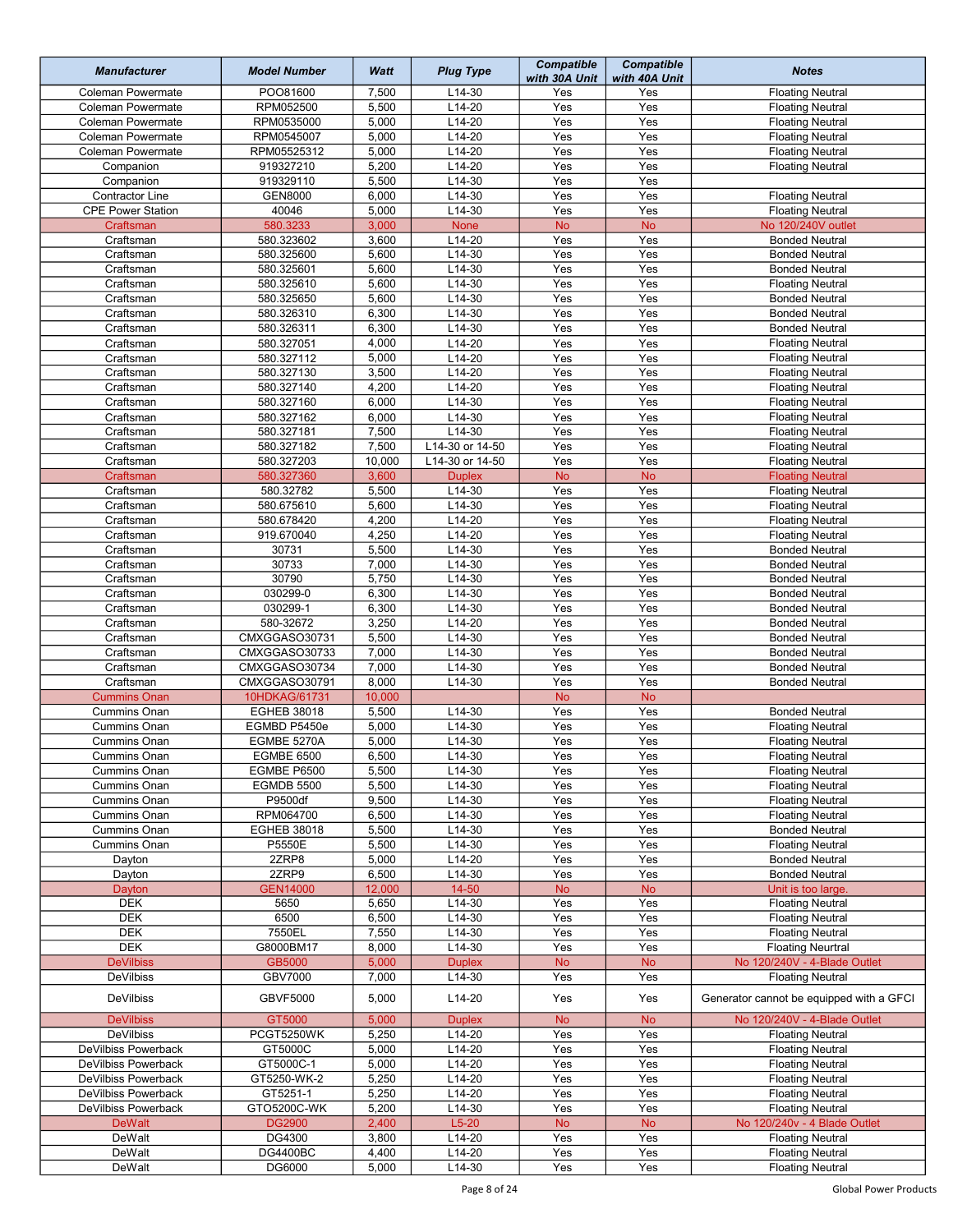| <b>Manufacturer</b>                 | <b>Model Number</b>          | Watt           | <b>Plug Type</b>     | <b>Compatible</b><br>with 30A Unit | <b>Compatible</b><br>with 40A Unit | <b>Notes</b>                                            |
|-------------------------------------|------------------------------|----------------|----------------------|------------------------------------|------------------------------------|---------------------------------------------------------|
| <b>Coleman Powermate</b>            | POO81600                     | 7,500          | $L14-30$             | Yes                                | Yes                                | <b>Floating Neutral</b>                                 |
| <b>Coleman Powermate</b>            | RPM052500                    | 5,500          | $L14-20$             | Yes                                | Yes                                | <b>Floating Neutral</b>                                 |
| <b>Coleman Powermate</b>            | RPM0535000                   | 5,000          | $L14-20$             | Yes                                | Yes                                | <b>Floating Neutral</b>                                 |
| <b>Coleman Powermate</b>            | RPM0545007                   | 5,000          | $L14-20$             | Yes                                | Yes                                | <b>Floating Neutral</b>                                 |
| Coleman Powermate                   | RPM05525312                  | 5,000          | $L14-20$             | Yes<br>Yes                         | Yes<br>Yes                         | <b>Floating Neutral</b>                                 |
| Companion                           | 919327210<br>919329110       | 5,200<br>5,500 | $L14-20$<br>$L14-30$ | Yes                                | Yes                                | <b>Floating Neutral</b>                                 |
| Companion<br><b>Contractor Line</b> | <b>GEN8000</b>               | 6,000          | $L14-30$             | Yes                                | Yes                                | <b>Floating Neutral</b>                                 |
| <b>CPE Power Station</b>            | 40046                        | 5,000          | $L14-30$             | Yes                                | Yes                                | <b>Floating Neutral</b>                                 |
| Craftsman                           | 580.3233                     | 3,000          | <b>None</b>          | <b>No</b>                          | <b>No</b>                          | No 120/240V outlet                                      |
| Craftsman                           | 580.323602                   | 3,600          | L14-20               | Yes                                | Yes                                | <b>Bonded Neutral</b>                                   |
| Craftsman                           | 580.325600                   | 5,600          | L14-30               | Yes                                | Yes                                | <b>Bonded Neutral</b>                                   |
| Craftsman                           | 580.325601                   | 5,600          | L14-30               | Yes                                | Yes                                | <b>Bonded Neutral</b>                                   |
| Craftsman                           | 580.325610                   | 5,600          | $L14-30$             | Yes                                | Yes                                | <b>Floating Neutral</b>                                 |
| Craftsman                           | 580.325650                   | 5,600          | L14-30               | Yes                                | Yes                                | <b>Bonded Neutral</b>                                   |
| Craftsman                           | 580.326310                   | 6,300          | $L14-30$             | Yes                                | Yes                                | <b>Bonded Neutral</b>                                   |
| Craftsman                           | 580.326311                   | 6,300          | $L14-30$             | Yes                                | Yes                                | <b>Bonded Neutral</b>                                   |
| Craftsman                           | 580.327051                   | 4,000          | L14-20               | Yes                                | Yes                                | <b>Floating Neutral</b>                                 |
| Craftsman                           | 580.327112                   | 5,000          | $L14-20$             | Yes                                | Yes                                | <b>Floating Neutral</b>                                 |
| Craftsman                           | 580.327130                   | 3,500          | L14-20               | Yes                                | Yes                                | <b>Floating Neutral</b>                                 |
| Craftsman                           | 580.327140                   | 4,200          | L14-20               | Yes                                | Yes                                | <b>Floating Neutral</b>                                 |
| Craftsman                           | 580.327160                   | 6,000          | L14-30               | Yes                                | Yes                                | <b>Floating Neutral</b>                                 |
| Craftsman                           | 580.327162                   | 6,000          | $L14-30$             | Yes                                | Yes                                | <b>Floating Neutral</b>                                 |
| Craftsman                           | 580.327181                   | 7,500          | L14-30               | Yes                                | Yes                                | <b>Floating Neutral</b>                                 |
| Craftsman                           | 580.327182                   | 7,500          | L14-30 or 14-50      | Yes                                | Yes                                | <b>Floating Neutral</b>                                 |
| Craftsman                           | 580.327203                   | 10,000         | L14-30 or 14-50      | Yes                                | Yes                                | <b>Floating Neutral</b>                                 |
| Craftsman                           | 580.327360                   | 3,600          | <b>Duplex</b>        | <b>No</b>                          | <b>No</b>                          | <b>Floating Neutral</b>                                 |
| Craftsman                           | 580.32782                    | 5,500          | L14-30               | Yes                                | Yes                                | <b>Floating Neutral</b>                                 |
| Craftsman                           | 580.675610                   | 5,600          | L14-30               | Yes                                | Yes                                | <b>Floating Neutral</b>                                 |
| Craftsman                           | 580.678420                   | 4,200          | $L14-20$             | Yes                                | Yes                                | <b>Floating Neutral</b>                                 |
| Craftsman                           | 919.670040                   | 4,250          | $L14-20$             | Yes                                | Yes                                | <b>Floating Neutral</b>                                 |
| Craftsman                           | 30731<br>30733               | 5,500<br>7,000 | $L14-30$<br>$L14-30$ | Yes<br>Yes                         | Yes<br>Yes                         | <b>Bonded Neutral</b>                                   |
| Craftsman                           | 30790                        | 5,750          | $L14-30$             | Yes                                | Yes                                | <b>Bonded Neutral</b>                                   |
| Craftsman<br>Craftsman              | 030299-0                     | 6,300          | $L14-30$             | Yes                                | Yes                                | <b>Bonded Neutral</b><br><b>Bonded Neutral</b>          |
| Craftsman                           | 030299-1                     | 6,300          | $L14-30$             | Yes                                | Yes                                | <b>Bonded Neutral</b>                                   |
| Craftsman                           | 580-32672                    | 3,250          | $L14-20$             | Yes                                | Yes                                | <b>Bonded Neutral</b>                                   |
| Craftsman                           | CMXGGASO30731                | 5,500          | L14-30               | Yes                                | Yes                                | <b>Bonded Neutral</b>                                   |
| Craftsman                           | CMXGGASO30733                | 7,000          | L14-30               | Yes                                | Yes                                | <b>Bonded Neutral</b>                                   |
| Craftsman                           | CMXGGASO30734                | 7,000          | $L14-30$             | Yes                                | Yes                                | <b>Bonded Neutral</b>                                   |
| Craftsman                           | CMXGGASO30791                | 8,000          | $L14-30$             | Yes                                | Yes                                | <b>Bonded Neutral</b>                                   |
| <b>Cummins Onan</b>                 | 10HDKAG/61731                | 10,000         |                      | <b>No</b>                          | <b>No</b>                          |                                                         |
| <b>Cummins Onan</b>                 | <b>EGHEB 38018</b>           | 5,500          | L14-30               | Yes                                | Yes                                | <b>Bonded Neutral</b>                                   |
| Cummins Onan                        | EGMBD P5450e                 | 5,000          | L14-30               | Yes                                | Yes                                | <b>Floating Neutral</b>                                 |
| <b>Cummins Onan</b>                 | EGMBE 5270A                  | 5,000          | L14-30               | Yes                                | Yes                                | <b>Floating Neutral</b>                                 |
| Cummins Onan                        | <b>EGMBE 6500</b>            | 6,500          | L14-30               | Yes                                | Yes                                | <b>Floating Neutral</b>                                 |
| Cummins Onan                        | <b>EGMBE P6500</b>           | 5,500          | L14-30               | Yes                                | Yes                                | <b>Floating Neutral</b>                                 |
| <b>Cummins Onan</b>                 | <b>EGMDB 5500</b>            | 5,500          | $L14-30$             | Yes                                | Yes                                | <b>Floating Neutral</b>                                 |
| Cummins Onan                        | P9500df                      | 9,500          | L14-30               | Yes                                | Yes                                | <b>Floating Neutral</b>                                 |
| <b>Cummins Onan</b>                 | RPM064700                    | 6,500          | L14-30               | Yes                                | Yes                                | <b>Floating Neutral</b>                                 |
| Cummins Onan                        | <b>EGHEB 38018</b>           | 5,500          | L14-30               | Yes                                | Yes                                | <b>Bonded Neutral</b>                                   |
| Cummins Onan                        | P5550E                       | 5,500          | $L14-30$             | Yes                                | Yes                                | <b>Floating Neutral</b>                                 |
| Dayton                              | 2ZRP8                        | 5,000          | L14-20               | Yes                                | Yes                                | <b>Bonded Neutral</b>                                   |
| Dayton                              | 2ZRP9                        | 6,500          | $L14-30$             | Yes                                | Yes                                | <b>Bonded Neutral</b>                                   |
| Dayton                              | <b>GEN14000</b>              | 12,000         | 14-50                | <b>No</b>                          | <b>No</b>                          | Unit is too large.                                      |
| DEK                                 | 5650                         | 5,650          | L14-30               | Yes                                | Yes                                | <b>Floating Neutral</b>                                 |
| <b>DEK</b>                          | 6500                         | 6,500          | L14-30               | Yes                                | Yes                                | <b>Floating Neutral</b>                                 |
| <b>DEK</b><br><b>DEK</b>            | 7550EL<br>G8000BM17          | 7,550          | $L14-30$<br>$L14-30$ | Yes<br>Yes                         | Yes<br>Yes                         | <b>Floating Neutral</b><br><b>Floating Neurtral</b>     |
| <b>DeVilbiss</b>                    | GB5000                       | 8,000<br>5,000 | <b>Duplex</b>        | <b>No</b>                          | <b>No</b>                          | No 120/240V - 4-Blade Outlet                            |
| <b>DeVilbiss</b>                    | <b>GBV7000</b>               | 7,000          | L14-30               | Yes                                | Yes                                | <b>Floating Neutral</b>                                 |
|                                     |                              |                |                      |                                    |                                    |                                                         |
| <b>DeVilbiss</b>                    | <b>GBVF5000</b>              | 5,000          | L14-20               | Yes                                | Yes                                | Generator cannot be equipped with a GFCI                |
| <b>DeVilbiss</b>                    | GT5000                       | 5,000          | <b>Duplex</b>        | <b>No</b>                          | <b>No</b>                          | No 120/240V - 4-Blade Outlet                            |
| <b>DeVilbiss</b>                    | PCGT5250WK                   | 5,250          | L14-20               | Yes                                | Yes                                | <b>Floating Neutral</b>                                 |
| DeVilbiss Powerback                 | GT5000C                      | 5,000          | L14-20               | Yes                                | Yes                                | <b>Floating Neutral</b>                                 |
| DeVilbiss Powerback                 | GT5000C-1                    | 5,000          | L14-20               | Yes                                | Yes                                | <b>Floating Neutral</b>                                 |
| DeVilbiss Powerback                 | GT5250-WK-2                  | 5,250          | L14-20               | Yes                                | Yes                                | <b>Floating Neutral</b>                                 |
| DeVilbiss Powerback                 | GT5251-1                     | 5,250          | L14-20               | Yes                                | Yes                                | <b>Floating Neutral</b>                                 |
| DeVilbiss Powerback                 | GTO5200C-WK<br><b>DG2900</b> | 5,200<br>2,400 | L14-30<br>$L5-20$    | Yes                                | Yes<br><b>No</b>                   | <b>Floating Neutral</b><br>No 120/240v - 4 Blade Outlet |
| <b>DeWalt</b><br>DeWalt             | DG4300                       | 3,800          | $L14-20$             | <b>No</b><br>Yes                   | Yes                                | <b>Floating Neutral</b>                                 |
| DeWalt                              | <b>DG4400BC</b>              | 4,400          | $L14-20$             | Yes                                | Yes                                | <b>Floating Neutral</b>                                 |
| DeWalt                              | DG6000                       | 5,000          | L14-30               | Yes                                | Yes                                | <b>Floating Neutral</b>                                 |
|                                     |                              |                |                      |                                    |                                    |                                                         |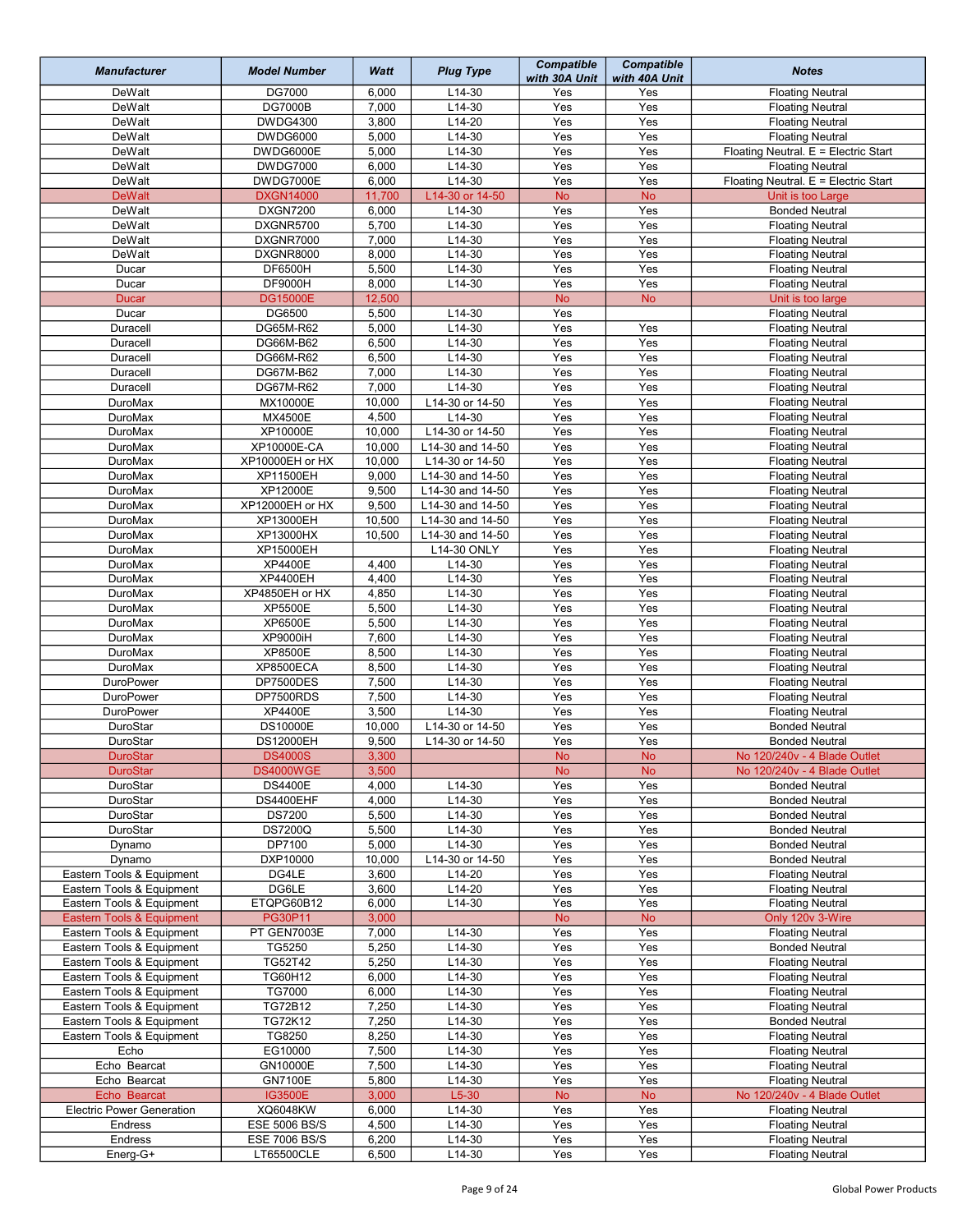| <b>Manufacturer</b>                  | <b>Model Number</b>         | Watt           | <b>Plug Type</b>               | <b>Compatible</b><br>with 30A Unit | <b>Compatible</b><br>with 40A Unit | <b>Notes</b>                                                 |
|--------------------------------------|-----------------------------|----------------|--------------------------------|------------------------------------|------------------------------------|--------------------------------------------------------------|
| DeWalt                               | DG7000                      | 6,000          | $L14-30$                       | Yes                                | Yes                                | <b>Floating Neutral</b>                                      |
| DeWalt                               | <b>DG7000B</b>              | 7,000          | L14-30                         | Yes                                | Yes                                | <b>Floating Neutral</b>                                      |
| DeWalt                               | <b>DWDG4300</b>             | 3,800          | $L14-20$                       | Yes                                | Yes                                | <b>Floating Neutral</b>                                      |
| DeWalt                               | <b>DWDG6000</b>             | 5,000          | $L14-30$                       | Yes                                | Yes                                | <b>Floating Neutral</b>                                      |
| DeWalt                               | DWDG6000E                   | 5,000          | $L14-30$                       | Yes                                | Yes                                | Floating Neutral. E = Electric Start                         |
| DeWalt                               | <b>DWDG7000</b>             | 6,000          | L14-30                         | Yes                                | Yes                                | <b>Floating Neutral</b>                                      |
| DeWalt                               | DWDG7000E                   | 6,000          | $L14-30$                       | Yes                                | Yes                                | Floating Neutral. E = Electric Start                         |
| <b>DeWalt</b>                        | <b>DXGN14000</b>            | 11,700         | L14-30 or 14-50                | <b>No</b>                          | <b>No</b>                          | Unit is too Large                                            |
| DeWalt                               | <b>DXGN7200</b>             | 6,000          | $L14-30$                       | Yes                                | Yes                                | <b>Bonded Neutral</b>                                        |
| DeWalt                               | DXGNR5700                   | 5,700          | $L14-30$                       | Yes                                | Yes                                | <b>Floating Neutral</b>                                      |
| DeWalt                               | DXGNR7000                   | 7,000          | $L14-30$                       | Yes                                | Yes                                | <b>Floating Neutral</b>                                      |
| DeWalt                               | DXGNR8000                   | 8,000          | L14-30                         | Yes                                | Yes                                | <b>Floating Neutral</b>                                      |
| Ducar                                | DF6500H                     | 5,500          | L14-30                         | Yes                                | Yes                                | <b>Floating Neutral</b>                                      |
| Ducar                                | <b>DF9000H</b>              | 8,000          | $L14-30$                       | Yes                                | Yes                                | <b>Floating Neutral</b>                                      |
| <b>Ducar</b>                         | <b>DG15000E</b>             | 12,500         |                                | <b>No</b>                          | <b>No</b>                          | Unit is too large                                            |
| Ducar                                | DG6500                      | 5,500          | $L14-30$                       | Yes                                |                                    | <b>Floating Neutral</b>                                      |
| Duracell                             | DG65M-R62                   | 5,000          | L14-30                         | $\overline{Yes}$                   | Yes                                | <b>Floating Neutral</b>                                      |
| Duracell                             | DG66M-B62                   | 6,500          | $L14-30$                       | Yes                                | Yes                                | <b>Floating Neutral</b>                                      |
| Duracell                             | DG66M-R62                   | 6,500          | $L14-30$                       | Yes                                | Yes                                | <b>Floating Neutral</b>                                      |
| Duracell                             | DG67M-B62                   | 7,000          | L14-30                         | Yes                                | Yes                                | <b>Floating Neutral</b>                                      |
| Duracell                             | DG67M-R62                   | 7,000          | $L14-30$                       | Yes                                | Yes                                | <b>Floating Neutral</b>                                      |
| <b>DuroMax</b>                       | MX10000E                    | 10,000         | L14-30 or 14-50                | Yes                                | Yes                                | <b>Floating Neutral</b>                                      |
| <b>DuroMax</b>                       | <b>MX4500E</b>              | 4,500          | L14-30                         | Yes                                | Yes                                | <b>Floating Neutral</b>                                      |
| DuroMax                              | XP10000E                    | 10,000         | L14-30 or 14-50                | Yes                                | Yes                                | <b>Floating Neutral</b>                                      |
| DuroMax                              | XP10000E-CA                 | 10,000         | L14-30 and 14-50               | Yes                                | Yes                                | <b>Floating Neutral</b>                                      |
| DuroMax                              | XP10000EH or HX             | 10,000         | L14-30 or 14-50                | Yes                                | Yes                                | <b>Floating Neutral</b>                                      |
| DuroMax                              | XP11500EH                   | 9,000          | L14-30 and 14-50               | Yes                                | Yes                                | <b>Floating Neutral</b>                                      |
| DuroMax                              | XP12000E                    | 9,500          | L14-30 and 14-50               | Yes                                | Yes                                | <b>Floating Neutral</b>                                      |
| <b>DuroMax</b>                       | XP12000EH or HX             | 9,500          | L14-30 and 14-50               | Yes                                | Yes                                | <b>Floating Neutral</b>                                      |
| DuroMax                              | XP13000EH                   | 10,500         | L14-30 and 14-50               | Yes                                | Yes                                | <b>Floating Neutral</b>                                      |
| DuroMax                              | XP13000HX                   | 10,500         | $\overline{L14}$ -30 and 14-50 | Yes                                | Yes                                | <b>Floating Neutral</b>                                      |
| <b>DuroMax</b>                       | XP15000EH                   |                | L14-30 ONLY                    | Yes                                | Yes                                | <b>Floating Neutral</b>                                      |
| <b>DuroMax</b>                       | <b>XP4400E</b>              | 4,400          | $L14-30$                       | Yes                                | Yes                                | <b>Floating Neutral</b>                                      |
| DuroMax                              | XP4400EH                    | 4,400          | $L14-30$                       | Yes                                | Yes                                | <b>Floating Neutral</b>                                      |
| <b>DuroMax</b>                       | XP4850EH or HX              | 4,850          | L14-30                         | Yes                                | Yes                                | <b>Floating Neutral</b>                                      |
| <b>DuroMax</b>                       | <b>XP5500E</b>              | 5,500          | $L14-30$                       | Yes                                | Yes                                | <b>Floating Neutral</b>                                      |
| DuroMax                              | XP6500E                     | 5,500          | L14-30                         | Yes                                | Yes                                | <b>Floating Neutral</b>                                      |
| DuroMax                              | <b>XP9000iH</b>             | 7,600          | L14-30                         | Yes<br>Yes                         | Yes<br>Yes                         | <b>Floating Neutral</b>                                      |
| DuroMax                              | <b>XP8500E</b>              | 8,500          | $L14-30$                       |                                    |                                    | <b>Floating Neutral</b>                                      |
| <b>DuroMax</b>                       | <b>XP8500ECA</b>            | 8,500          | $L14-30$                       | Yes                                | Yes                                | <b>Floating Neutral</b>                                      |
| <b>DuroPower</b>                     | DP7500DES                   | 7,500          | L14-30                         | Yes<br>Yes                         | Yes<br>Yes                         | <b>Floating Neutral</b>                                      |
| <b>DuroPower</b><br><b>DuroPower</b> | DP7500RDS<br><b>XP4400E</b> | 7,500<br>3,500 | $L14-30$<br>$L14-30$           | Yes                                | Yes                                | <b>Floating Neutral</b>                                      |
| DuroStar                             | <b>DS10000E</b>             | 10,000         | L14-30 or 14-50                | Yes                                | Yes                                | <b>Floating Neutral</b><br><b>Bonded Neutral</b>             |
| DuroStar                             | <b>DS12000EH</b>            | 9,500          | L14-30 or 14-50                | Yes                                | Yes                                | <b>Bonded Neutral</b>                                        |
|                                      |                             |                |                                |                                    |                                    |                                                              |
| DuroStar<br><b>DuroStar</b>          | <b>DS4000S</b><br>DS4000WGE | 3,300<br>3,500 |                                | No.<br><b>No</b>                   | No.<br><b>No</b>                   | No 120/240v - 4 Blade Outlet<br>No 120/240v - 4 Blade Outlet |
| DuroStar                             | <b>DS4400E</b>              | 4,000          | L14-30                         | Yes                                | Yes                                | <b>Bonded Neutral</b>                                        |
| DuroStar                             | DS4400EHF                   | 4,000          | L14-30                         | Yes                                | Yes                                | <b>Bonded Neutral</b>                                        |
| DuroStar                             | <b>DS7200</b>               | 5,500          | L14-30                         | Yes                                | Yes                                | <b>Bonded Neutral</b>                                        |
| DuroStar                             | <b>DS7200Q</b>              | 5,500          | L14-30                         | Yes                                | Yes                                | <b>Bonded Neutral</b>                                        |
| Dynamo                               | DP7100                      | 5,000          | L14-30                         | Yes                                | Yes                                | <b>Bonded Neutral</b>                                        |
| Dynamo                               | DXP10000                    | 10,000         | L14-30 or 14-50                | Yes                                | Yes                                | <b>Bonded Neutral</b>                                        |
| Eastern Tools & Equipment            | DG4LE                       | 3,600          | $L14-20$                       | Yes                                | Yes                                | <b>Floating Neutral</b>                                      |
| Eastern Tools & Equipment            | DG6LE                       | 3,600          | L14-20                         | Yes                                | Yes                                | <b>Floating Neutral</b>                                      |
| Eastern Tools & Equipment            | ETQPG60B12                  | 6,000          | L14-30                         | Yes                                | Yes                                | <b>Floating Neutral</b>                                      |
| Eastern Tools & Equipment            | PG30P11                     | 3,000          |                                | <b>No</b>                          | <b>No</b>                          | Only 120v 3-Wire                                             |
| Eastern Tools & Equipment            | PT GEN7003E                 | 7,000          | L14-30                         | Yes                                | Yes                                | <b>Floating Neutral</b>                                      |
| Eastern Tools & Equipment            | TG5250                      | 5,250          | L14-30                         | Yes                                | Yes                                | <b>Bonded Neutral</b>                                        |
| Eastern Tools & Equipment            | TG52T42                     | 5,250          | L14-30                         | Yes                                | Yes                                | <b>Floating Neutral</b>                                      |
| Eastern Tools & Equipment            | TG60H12                     | 6,000          | L14-30                         | Yes                                | Yes                                | <b>Floating Neutral</b>                                      |
| Eastern Tools & Equipment            | TG7000                      | 6,000          | L14-30                         | Yes                                | Yes                                | <b>Floating Neutral</b>                                      |
| Eastern Tools & Equipment            | TG72B12                     | 7,250          | L14-30                         | Yes                                | Yes                                | <b>Floating Neutral</b>                                      |
| Eastern Tools & Equipment            | TG72K12                     | 7,250          | L14-30                         | Yes                                | Yes                                | <b>Bonded Neutral</b>                                        |
| Eastern Tools & Equipment            | TG8250                      | 8,250          | $L14-30$                       | Yes                                | Yes                                | <b>Floating Neutral</b>                                      |
| Echo                                 | EG10000                     | 7,500          | $L14-30$                       | Yes                                | Yes                                | <b>Floating Neutral</b>                                      |
| Echo Bearcat                         | GN10000E                    | 7,500          | L14-30                         | Yes                                | Yes                                | <b>Floating Neutral</b>                                      |
| Echo Bearcat                         | <b>GN7100E</b>              | 5,800          | $L14-30$                       | Yes                                | Yes                                | <b>Floating Neutral</b>                                      |
| Echo Bearcat                         | <b>IG3500E</b>              | 3,000          | $L5-30$                        | <b>No</b>                          | <b>No</b>                          | No 120/240v - 4 Blade Outlet                                 |
| <b>Electric Power Generation</b>     | XQ6048KW                    | 6,000          | L14-30                         | Yes                                | Yes                                | <b>Floating Neutral</b>                                      |
| Endress                              | ESE 5006 BS/S               | 4,500          | L14-30                         | Yes                                | Yes                                | <b>Floating Neutral</b>                                      |
| Endress                              | ESE 7006 BS/S               | 6,200          | L14-30                         | Yes                                | Yes                                | <b>Floating Neutral</b>                                      |
| Energ-G+                             | LT65500CLE                  | 6,500          | L14-30                         | Yes                                | Yes                                | <b>Floating Neutral</b>                                      |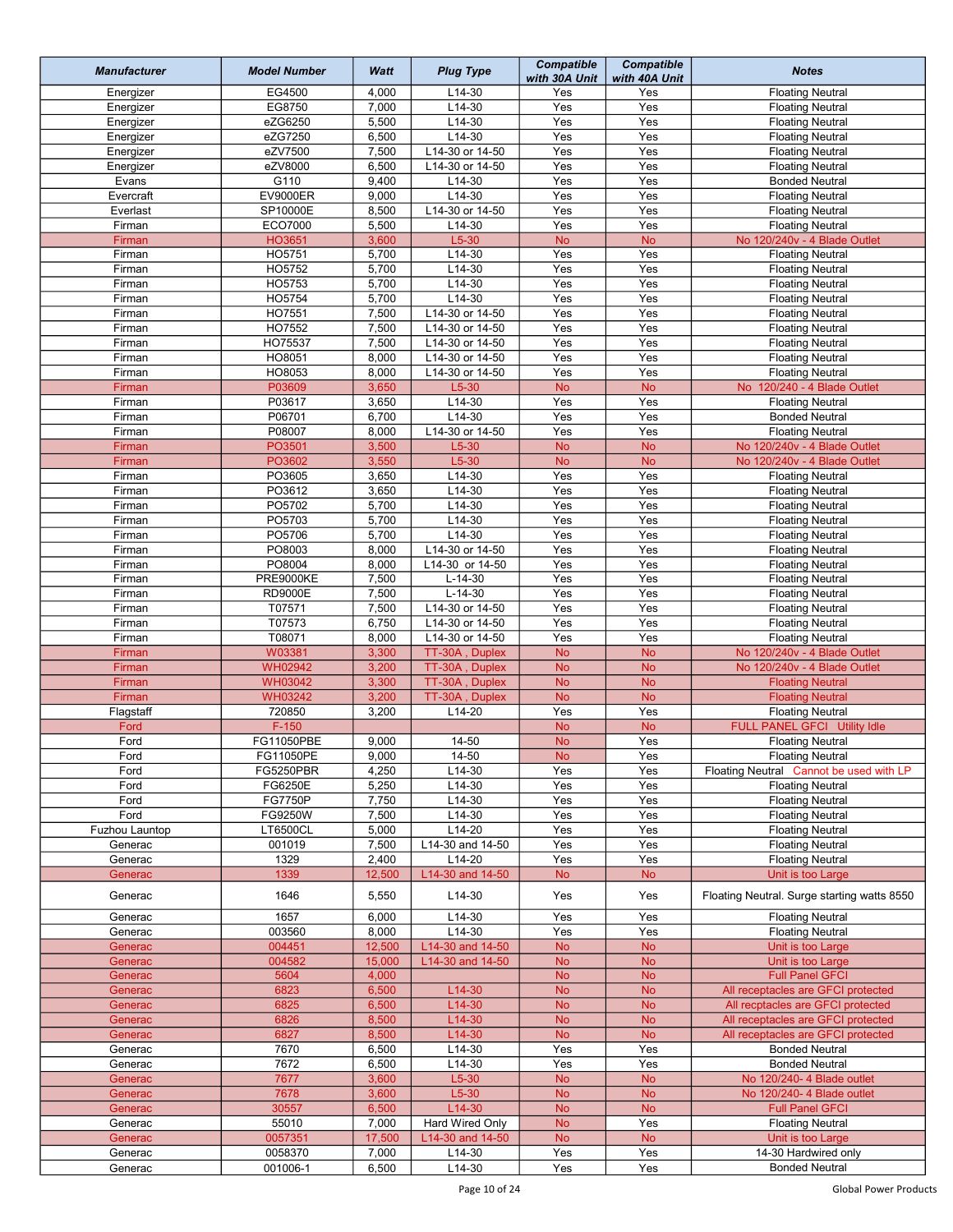| <b>Manufacturer</b> | <b>Model Number</b>           | Watt           | <b>Plug Type</b> | <b>Compatible</b><br>with 30A Unit | <b>Compatible</b><br>with 40A Unit | <b>Notes</b>                                                       |
|---------------------|-------------------------------|----------------|------------------|------------------------------------|------------------------------------|--------------------------------------------------------------------|
| Energizer           | EG4500                        | 4,000          | $L14-30$         | Yes                                | Yes                                | <b>Floating Neutral</b>                                            |
| Energizer           | EG8750                        | 7,000          | L14-30           | Yes                                | Yes                                | <b>Floating Neutral</b>                                            |
| Energizer           | eZG6250                       | 5,500          | $L14-30$         | Yes                                | Yes                                | <b>Floating Neutral</b>                                            |
| Energizer           | eZG7250                       | 6,500          | $L14-30$         | Yes                                | Yes                                | <b>Floating Neutral</b>                                            |
| Energizer           | eZV7500                       | 7,500          | L14-30 or 14-50  | Yes                                | Yes                                | <b>Floating Neutral</b>                                            |
| Energizer           | eZV8000                       | 6,500          | L14-30 or 14-50  | Yes                                | Yes                                | <b>Floating Neutral</b>                                            |
| Evans               | G110                          | 9,400          | $L14-30$         | Yes                                | Yes                                | <b>Bonded Neutral</b>                                              |
| Evercraft           | <b>EV9000ER</b>               | 9,000          | $L14-30$         | Yes                                | Yes                                | <b>Floating Neutral</b>                                            |
| Everlast            | SP10000E                      | 8,500          | L14-30 or 14-50  | Yes                                | Yes                                | <b>Floating Neutral</b>                                            |
| Firman              | ECO7000                       | 5,500          | L14-30           | Yes                                | Yes                                | <b>Floating Neutral</b>                                            |
| Firman              | HO3651                        | 3,600          | $L5-30$          | <b>No</b>                          | <b>No</b>                          | No 120/240v - 4 Blade Outlet                                       |
| Firman              | HO5751                        | 5,700          | $L14-30$         | Yes                                | Yes                                | <b>Floating Neutral</b>                                            |
| Firman              | HO5752                        | 5,700          | L14-30           | Yes                                | Yes                                | <b>Floating Neutral</b>                                            |
| Firman              | HO5753                        | 5,700          | $L14-30$         | Yes                                | Yes                                | <b>Floating Neutral</b>                                            |
| Firman              | HO5754                        | 5,700          | $L14-30$         | Yes                                | Yes                                | <b>Floating Neutral</b>                                            |
| Firman              | HO7551                        | 7,500          | L14-30 or 14-50  | Yes                                | Yes                                | <b>Floating Neutral</b>                                            |
| Firman              | HO7552                        | 7,500          | L14-30 or 14-50  | Yes                                | Yes                                | <b>Floating Neutral</b>                                            |
| Firman              | HO75537                       | 7,500          | L14-30 or 14-50  | Yes                                | Yes                                | <b>Floating Neutral</b>                                            |
| Firman              | HO8051                        | 8,000          | L14-30 or 14-50  | Yes                                | Yes                                | <b>Floating Neutral</b>                                            |
| Firman              | HO8053                        | 8,000          | L14-30 or 14-50  | Yes                                | Yes                                | <b>Floating Neutral</b>                                            |
| Firman              | P03609                        | 3,650          | $L5-30$          | <b>No</b>                          | <b>No</b>                          | No 120/240 - 4 Blade Outlet                                        |
| Firman              | P03617                        | 3,650          | $L14-30$         | Yes                                | Yes                                | <b>Floating Neutral</b>                                            |
| Firman              | P06701                        | 6,700          | L14-30           | Yes                                | Yes                                | <b>Bonded Neutral</b>                                              |
| Firman              | P08007                        | 8,000          | L14-30 or 14-50  | Yes                                | Yes                                | <b>Floating Neutral</b>                                            |
| Firman              | PO3501                        | 3,500          | $L5-30$          | <b>No</b>                          | <b>No</b>                          | No 120/240v - 4 Blade Outlet                                       |
| Firman              | PO3602                        | 3,550          | $L5-30$          | $\overline{No}$                    | No                                 | No 120/240v - 4 Blade Outlet                                       |
| Firman              | PO3605                        | 3,650          | L14-30           | Yes                                | Yes                                | <b>Floating Neutral</b>                                            |
| Firman              | PO3612                        | 3,650          | $L14-30$         | Yes                                | Yes                                | <b>Floating Neutral</b>                                            |
| Firman              | PO5702                        | 5,700          | L14-30           | Yes                                | Yes                                | <b>Floating Neutral</b>                                            |
| Firman              | PO5703                        | 5,700          | L14-30           | Yes                                | Yes                                | <b>Floating Neutral</b>                                            |
| Firman              | PO5706                        | 5,700          | L14-30           | Yes                                | Yes                                | <b>Floating Neutral</b>                                            |
| Firman              | PO8003                        | 8,000          | L14-30 or 14-50  | Yes                                | Yes                                | <b>Floating Neutral</b>                                            |
| Firman              | PO8004                        | 8,000          | L14-30 or 14-50  | Yes                                | Yes                                | <b>Floating Neutral</b>                                            |
| Firman              | <b>PRE9000KE</b>              | 7,500          | $L-14-30$        | Yes                                | Yes                                | <b>Floating Neutral</b>                                            |
| Firman              | <b>RD9000E</b>                | 7,500          | $L-14-30$        | Yes                                | Yes                                | <b>Floating Neutral</b>                                            |
| Firman              | T07571                        | 7,500          | L14-30 or 14-50  | Yes                                | Yes                                | <b>Floating Neutral</b>                                            |
| Firman              | T07573                        | 6,750          | L14-30 or 14-50  | Yes                                | Yes                                | <b>Floating Neutral</b>                                            |
| Firman              | T08071                        | 8,000          | L14-30 or 14-50  | Yes                                | Yes                                | <b>Floating Neutral</b>                                            |
| Firman              | W03381                        | 3,300          | TT-30A, Duplex   | <b>No</b>                          | <b>No</b>                          | No 120/240v - 4 Blade Outlet                                       |
| Firman              | WH02942                       | 3,200          | TT-30A, Duplex   | <b>No</b>                          | <b>No</b>                          | No 120/240v - 4 Blade Outlet                                       |
| Firman              | WH03042                       | 3,300          | TT-30A, Duplex   | <b>No</b>                          | <b>No</b>                          | <b>Floating Neutral</b>                                            |
| Firman              | WH03242                       | 3,200          | TT-30A, Duplex   | <b>No</b>                          | <b>No</b>                          | <b>Floating Neutral</b>                                            |
| Flagstaff<br>Ford   | 720850<br>$F-150$             | 3,200          | L14-20           | Yes<br>No                          | Yes<br>No                          | <b>Floating Neutral</b><br>FULL PANEL GFCI Utility Idle            |
| Ford                | FG11050PBE                    | 9,000          | 14-50            | <b>No</b>                          | Yes                                |                                                                    |
|                     |                               |                |                  |                                    |                                    | <b>Floating Neutral</b>                                            |
| Ford<br>Ford        | FG11050PE<br><b>FG5250PBR</b> | 9,000<br>4,250 | 14-50<br>L14-30  | No.<br>Yes                         | Yes<br>Yes                         | <b>Floating Neutral</b><br>Floating Neutral Cannot be used with LP |
| Ford                | FG6250E                       | 5,250          | L14-30           | Yes                                | Yes                                | <b>Floating Neutral</b>                                            |
| Ford                | FG7750P                       | 7,750          | L14-30           | Yes                                | Yes                                | <b>Floating Neutral</b>                                            |
| Ford                | FG9250W                       | 7,500          | L14-30           | Yes                                | Yes                                | <b>Floating Neutral</b>                                            |
| Fuzhou Launtop      | LT6500CL                      | 5,000          | $L14-20$         | Yes                                | Yes                                | <b>Floating Neutral</b>                                            |
| Generac             | 001019                        | 7,500          | L14-30 and 14-50 | Yes                                | Yes                                | <b>Floating Neutral</b>                                            |
| Generac             | 1329                          | 2,400          | $L14-20$         | Yes                                | Yes                                | <b>Floating Neutral</b>                                            |
| Generac             | 1339                          | 12,500         | L14-30 and 14-50 | <b>No</b>                          | <b>No</b>                          | Unit is too Large                                                  |
| Generac             | 1646                          | 5,550          | $L14-30$         | Yes                                | Yes                                | Floating Neutral. Surge starting watts 8550                        |
| Generac             | 1657                          | 6,000          | L14-30           | Yes                                | Yes                                | <b>Floating Neutral</b>                                            |
| Generac             | 003560                        | 8,000          | L14-30           | Yes                                | Yes                                | <b>Floating Neutral</b>                                            |
| Generac             | 004451                        | 12,500         | L14-30 and 14-50 | <b>No</b>                          | <b>No</b>                          | Unit is too Large                                                  |
| Generac             | 004582                        | 15,000         | L14-30 and 14-50 | <b>No</b>                          | <b>No</b>                          | Unit is too Large                                                  |
| Generac             | 5604                          | 4,000          |                  | <b>No</b>                          | <b>No</b>                          | <b>Full Panel GFCI</b>                                             |
| Generac             | 6823                          | 6,500          | L14-30           | <b>No</b>                          | <b>No</b>                          | All receptacles are GFCI protected                                 |
| Generac             | 6825                          | 6,500          | $L14-30$         | <b>No</b>                          | <b>No</b>                          | All recptacles are GFCI protected                                  |
| Generac             | 6826                          | 8,500          | $L14-30$         | <b>No</b>                          | <b>No</b>                          | All receptacles are GFCI protected                                 |
| Generac             | 6827                          | 8,500          | L14-30           | <b>No</b>                          | No                                 | All receptacles are GFCI protected                                 |
| Generac             | 7670                          | 6,500          | $L14-30$         | Yes                                | Yes                                | <b>Bonded Neutral</b>                                              |
| Generac             | 7672                          | 6,500          | $L14-30$         | Yes                                | Yes                                | <b>Bonded Neutral</b>                                              |
| Generac             | 7677                          | 3,600          | $L5-30$          | <b>No</b>                          | <b>No</b>                          | No 120/240-4 Blade outlet                                          |
| Generac             | 7678                          | 3,600          | $L5-30$          | <b>No</b>                          | <b>No</b>                          | No 120/240-4 Blade outlet                                          |
| Generac             | 30557                         | 6,500          | L14-30           | <b>No</b>                          | <b>No</b>                          | <b>Full Panel GFCI</b>                                             |
| Generac             | 55010                         | 7,000          | Hard Wired Only  | <b>No</b>                          | Yes                                | <b>Floating Neutral</b>                                            |
| Generac             | 0057351                       | 17,500         | L14-30 and 14-50 | <b>No</b>                          | <b>No</b>                          | Unit is too Large                                                  |
| Generac             | 0058370                       | 7,000          | L14-30           | Yes                                | Yes                                | 14-30 Hardwired only                                               |
| Generac             | 001006-1                      | 6,500          | L14-30           | Yes                                | Yes                                | <b>Bonded Neutral</b>                                              |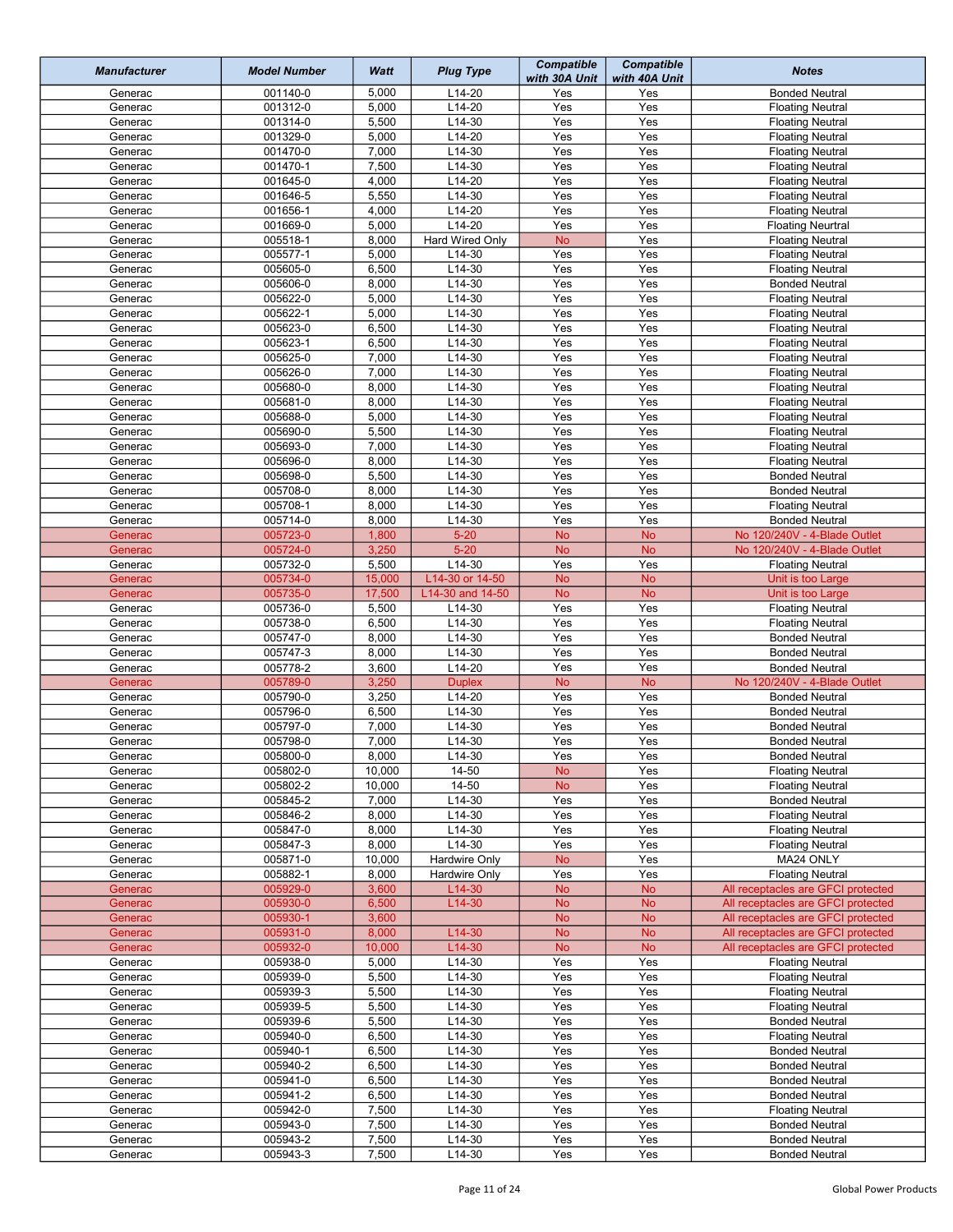| <b>Manufacturer</b> | <b>Model Number</b>  | Watt           | <b>Plug Type</b>          | <b>Compatible</b><br>with 30A Unit | <b>Compatible</b><br>with 40A Unit | <b>Notes</b>                                                             |
|---------------------|----------------------|----------------|---------------------------|------------------------------------|------------------------------------|--------------------------------------------------------------------------|
| Generac             | 001140-0             | 5,000          | $L14-20$                  | Yes                                | Yes                                | <b>Bonded Neutral</b>                                                    |
| Generac             | 001312-0             | 5,000          | $L14-20$                  | Yes                                | Yes                                | <b>Floating Neutral</b>                                                  |
| Generac             | 001314-0             | 5,500          | $L14-30$                  | Yes                                | Yes                                | <b>Floating Neutral</b>                                                  |
| Generac             | 001329-0             | 5,000          | $L14-20$                  | Yes                                | Yes                                | <b>Floating Neutral</b>                                                  |
| Generac<br>Generac  | 001470-0<br>001470-1 | 7,000<br>7,500 | $L14-30$<br>$L14-30$      | Yes<br>Yes                         | Yes<br>Yes                         | <b>Floating Neutral</b>                                                  |
| Generac             | 001645-0             | 4,000          | $L14-20$                  | Yes                                | Yes                                | <b>Floating Neutral</b><br><b>Floating Neutral</b>                       |
| Generac             | 001646-5             | 5,550          | $L14-30$                  | Yes                                | Yes                                | <b>Floating Neutral</b>                                                  |
| Generac             | 001656-1             | 4,000          | $L14-20$                  | Yes                                | Yes                                | <b>Floating Neutral</b>                                                  |
| Generac             | 001669-0             | 5,000          | $L14-20$                  | Yes                                | Yes                                | <b>Floating Neurtral</b>                                                 |
| Generac             | 005518-1             | 8,000          | Hard Wired Only           | <b>No</b>                          | Yes                                | <b>Floating Neutral</b>                                                  |
| Generac             | 005577-1             | 5,000          | $L14-30$                  | Yes                                | Yes                                | <b>Floating Neutral</b>                                                  |
| Generac             | 005605-0             | 6,500          | $L14-30$                  | Yes                                | Yes                                | <b>Floating Neutral</b>                                                  |
| Generac             | 005606-0             | 8,000          | $L14-30$                  | Yes                                | Yes                                | <b>Bonded Neutral</b>                                                    |
| Generac             | 005622-0             | 5,000          | $L14-30$                  | Yes                                | Yes                                | <b>Floating Neutral</b>                                                  |
| Generac             | 005622-1             | 5,000          | $L14-30$                  | Yes                                | Yes                                | <b>Floating Neutral</b>                                                  |
| Generac             | 005623-0             | 6,500          | $L14-30$                  | Yes                                | Yes                                | <b>Floating Neutral</b>                                                  |
| Generac             | 005623-1             | 6,500          | $L14-30$                  | Yes                                | Yes                                | <b>Floating Neutral</b>                                                  |
| Generac             | 005625-0             | 7,000          | $L14-30$                  | Yes                                | Yes                                | <b>Floating Neutral</b>                                                  |
| Generac             | 005626-0             | 7,000          | $L14-30$                  | Yes                                | Yes                                | <b>Floating Neutral</b>                                                  |
| Generac             | 005680-0             | 8,000          | $L14-30$                  | Yes                                | Yes                                | <b>Floating Neutral</b>                                                  |
| Generac             | 005681-0<br>005688-0 | 8,000          | $L14-30$                  | Yes<br>Yes                         | Yes<br>Yes                         | <b>Floating Neutral</b>                                                  |
| Generac             | 005690-0             | 5,000<br>5,500 | $L14-30$<br>$L14-30$      | Yes                                | Yes                                | <b>Floating Neutral</b>                                                  |
| Generac<br>Generac  | 005693-0             | 7,000          | $L14-30$                  | Yes                                | Yes                                | <b>Floating Neutral</b><br><b>Floating Neutral</b>                       |
| Generac             | 005696-0             | 8,000          | $L14-30$                  | Yes                                | Yes                                | <b>Floating Neutral</b>                                                  |
| Generac             | 005698-0             | 5,500          | $L14-30$                  | Yes                                | Yes                                | <b>Bonded Neutral</b>                                                    |
| Generac             | 005708-0             | 8,000          | $L14-30$                  | Yes                                | Yes                                | <b>Bonded Neutral</b>                                                    |
| Generac             | 005708-1             | 8,000          | $L14-30$                  | Yes                                | Yes                                | <b>Floating Neutral</b>                                                  |
| Generac             | 005714-0             | 8,000          | L14-30                    | Yes                                | Yes                                | <b>Bonded Neutral</b>                                                    |
| Generac             | 005723-0             | 1,800          | $5 - 20$                  | <b>No</b>                          | <b>No</b>                          | No 120/240V - 4-Blade Outlet                                             |
| Generac             | 005724-0             | 3,250          | $5 - 20$                  | <b>No</b>                          | <b>No</b>                          | No 120/240V - 4-Blade Outlet                                             |
| Generac             | 005732-0             | 5,500          | $L14-30$                  | Yes                                | Yes                                | <b>Floating Neutral</b>                                                  |
| Generac             | 005734-0             | 15,000         | L14-30 or 14-50           | <b>No</b>                          | <b>No</b>                          | Unit is too Large                                                        |
| Generac             | 005735-0             | 17,500         | L14-30 and 14-50          | <b>No</b>                          | <b>No</b>                          | Unit is too Large                                                        |
| Generac             | 005736-0             | 5,500          | $L14-30$                  | Yes                                | Yes                                | <b>Floating Neutral</b>                                                  |
| Generac             | 005738-0             | 6,500          | L14-30                    | Yes                                | Yes                                | <b>Floating Neutral</b>                                                  |
| Generac             | 005747-0             | 8,000          | L14-30                    | Yes                                | Yes                                | <b>Bonded Neutral</b>                                                    |
| Generac             | 005747-3             | 8,000          | $L14-30$                  | Yes                                | Yes                                | <b>Bonded Neutral</b>                                                    |
| Generac             | 005778-2<br>005789-0 | 3,600          | $L14-20$                  | Yes                                | Yes<br><b>No</b>                   | <b>Bonded Neutral</b><br>No 120/240V - 4-Blade Outlet                    |
| Generac<br>Generac  | 005790-0             | 3,250<br>3,250 | <b>Duplex</b><br>$L14-20$ | <b>No</b><br>Yes                   | Yes                                | <b>Bonded Neutral</b>                                                    |
| Generac             | 005796-0             | 6,500          | $L14-30$                  | Yes                                | Yes                                | <b>Bonded Neutral</b>                                                    |
| Generac             | 005797-0             | 7,000          | $L14-30$                  | Yes                                | Yes                                | <b>Bonded Neutral</b>                                                    |
| Generac             | 005798-0             | 7,000          | $L14-30$                  | Yes                                | Yes                                | <b>Bonded Neutral</b>                                                    |
| Generac             | 005800-0             | 8,000          | L <sub>14</sub> -30       | Yes                                | Yes                                | <b>Bonded Neutral</b>                                                    |
| Generac             | 005802-0             | 10,000         | $14 - 50$                 | <b>No</b>                          | Yes                                | <b>Floating Neutral</b>                                                  |
| Generac             | 005802-2             | 10,000         | 14-50                     | <b>No</b>                          | Yes                                | <b>Floating Neutral</b>                                                  |
| Generac             | 005845-2             | 7,000          | L14-30                    | Yes                                | Yes                                | <b>Bonded Neutral</b>                                                    |
| Generac             | 005846-2             | 8,000          | L14-30                    | Yes                                | Yes                                | <b>Floating Neutral</b>                                                  |
| Generac             | 005847-0             | 8,000          | L14-30                    | Yes                                | Yes                                | <b>Floating Neutral</b>                                                  |
| Generac             | 005847-3             | 8,000          | L14-30                    | Yes                                | Yes                                | <b>Floating Neutral</b>                                                  |
| Generac             | 005871-0             | 10,000         | <b>Hardwire Only</b>      | No                                 | Yes                                | MA24 ONLY                                                                |
| Generac             | 005882-1             | 8,000          | Hardwire Only             | Yes                                | Yes                                | <b>Floating Neutral</b>                                                  |
| Generac             | 005929-0             | 3,600          | $L14-30$                  | <b>No</b>                          | <b>No</b>                          | All receptacles are GFCI protected                                       |
| Generac<br>Generac  | 005930-0<br>005930-1 | 6,500<br>3,600 | L14-30                    | <b>No</b><br><b>No</b>             | <b>No</b><br><b>No</b>             | All receptacles are GFCI protected<br>All receptacles are GFCI protected |
| Generac             | 005931-0             | 8,000          | L14-30                    | <b>No</b>                          | <b>No</b>                          | All receptacles are GFCI protected                                       |
| Generac             | 005932-0             | 10,000         | L14-30                    | <b>No</b>                          | No                                 | All receptacles are GFCI protected                                       |
| Generac             | 005938-0             | 5,000          | L14-30                    | Yes                                | Yes                                | <b>Floating Neutral</b>                                                  |
| Generac             | 005939-0             | 5,500          | L14-30                    | Yes                                | Yes                                | <b>Floating Neutral</b>                                                  |
| Generac             | 005939-3             | 5,500          | L14-30                    | Yes                                | Yes                                | <b>Floating Neutral</b>                                                  |
| Generac             | 005939-5             | 5,500          | L14-30                    | Yes                                | Yes                                | <b>Floating Neutral</b>                                                  |
| Generac             | 005939-6             | 5,500          | L14-30                    | Yes                                | Yes                                | <b>Bonded Neutral</b>                                                    |
| Generac             | 005940-0             | 6,500          | L14-30                    | Yes                                | Yes                                | <b>Floating Neutral</b>                                                  |
| Generac             | 005940-1             | 6,500          | $L14-30$                  | Yes                                | Yes                                | <b>Bonded Neutral</b>                                                    |
| Generac             | 005940-2             | 6,500          | L14-30                    | Yes                                | Yes                                | <b>Bonded Neutral</b>                                                    |
| Generac             | 005941-0             | 6,500          | L14-30                    | Yes                                | Yes                                | <b>Bonded Neutral</b>                                                    |
| Generac             | 005941-2             | 6,500          | L14-30                    | Yes                                | Yes                                | <b>Bonded Neutral</b>                                                    |
| Generac             | 005942-0             | 7,500          | L14-30                    | Yes                                | Yes                                | <b>Floating Neutral</b>                                                  |
| Generac             | 005943-0             | 7,500          | L14-30                    | Yes                                | Yes                                | <b>Bonded Neutral</b>                                                    |
| Generac             | 005943-2<br>005943-3 | 7,500<br>7,500 | L14-30<br>$L14-30$        | Yes<br>Yes                         | Yes                                | <b>Bonded Neutral</b>                                                    |
| Generac             |                      |                |                           |                                    | Yes                                | <b>Bonded Neutral</b>                                                    |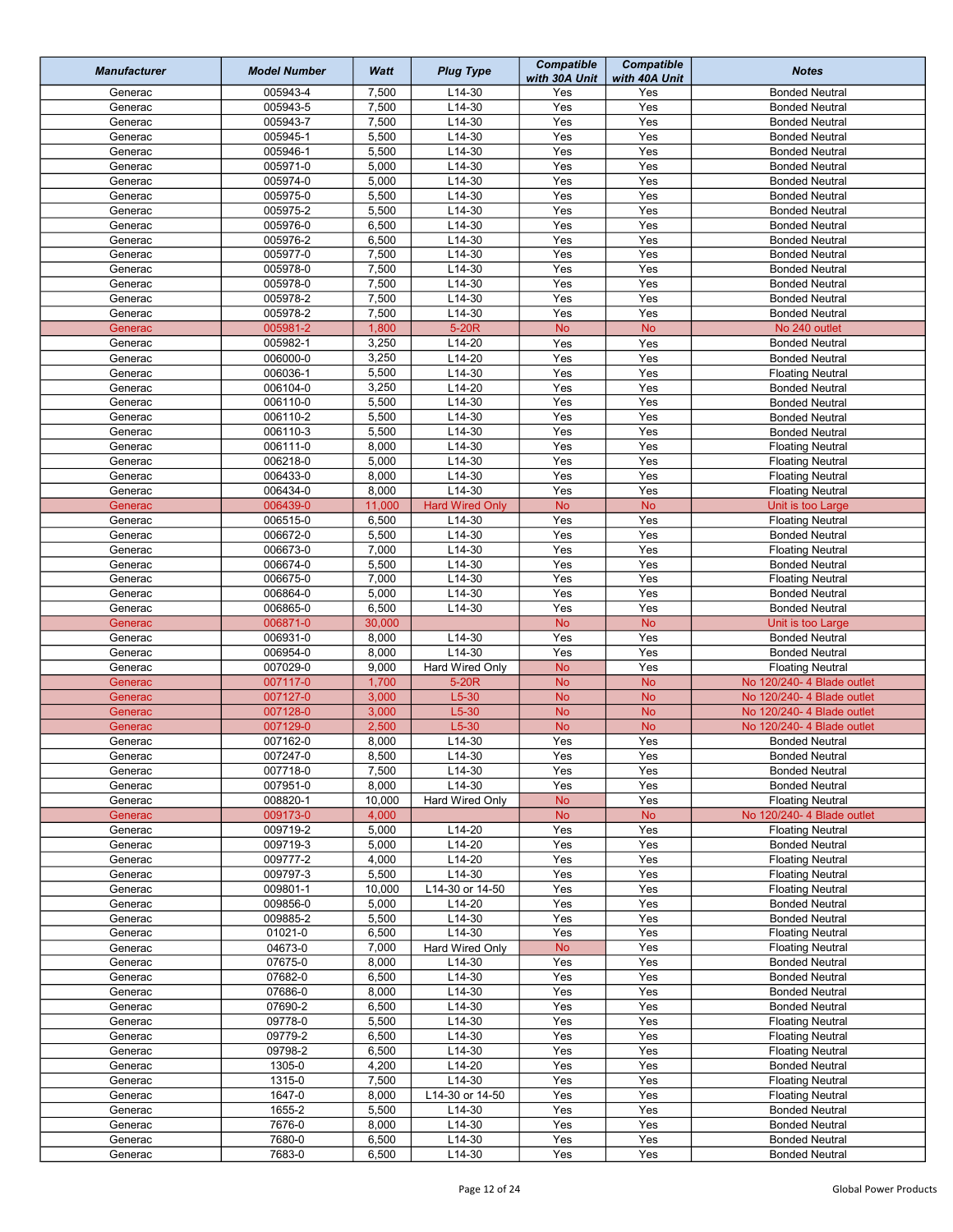| <b>Manufacturer</b> | <b>Model Number</b>  | Watt           | <b>Plug Type</b>         | <b>Compatible</b><br>with 30A Unit | <b>Compatible</b><br>with 40A Unit | <b>Notes</b>                                          |
|---------------------|----------------------|----------------|--------------------------|------------------------------------|------------------------------------|-------------------------------------------------------|
| Generac             | 005943-4             | 7,500          | $L14-30$                 | Yes                                | Yes                                | <b>Bonded Neutral</b>                                 |
| Generac             | 005943-5             | 7,500          | $L14-30$                 | Yes                                | Yes                                | <b>Bonded Neutral</b>                                 |
| Generac             | 005943-7             | 7,500          | $L14-30$                 | Yes                                | Yes                                | <b>Bonded Neutral</b>                                 |
| Generac             | 005945-1             | 5,500          | $L14-30$                 | Yes                                | Yes                                | <b>Bonded Neutral</b>                                 |
| Generac<br>Generac  | 005946-1<br>005971-0 | 5,500<br>5,000 | $L14-30$<br>$L14-30$     | Yes<br>Yes                         | Yes<br>Yes                         | <b>Bonded Neutral</b>                                 |
| Generac             | 005974-0             | 5,000          | $L14-30$                 | Yes                                | Yes                                | <b>Bonded Neutral</b><br><b>Bonded Neutral</b>        |
| Generac             | 005975-0             | 5,500          | $L14-30$                 | Yes                                | Yes                                | <b>Bonded Neutral</b>                                 |
| Generac             | 005975-2             | 5,500          | $L14-30$                 | Yes                                | Yes                                | <b>Bonded Neutral</b>                                 |
| Generac             | 005976-0             | 6,500          | $L14-30$                 | Yes                                | Yes                                | <b>Bonded Neutral</b>                                 |
| Generac             | 005976-2             | 6,500          | $L14-30$                 | Yes                                | Yes                                | <b>Bonded Neutral</b>                                 |
| Generac             | 005977-0             | 7,500          | $L14-30$                 | Yes                                | Yes                                | <b>Bonded Neutral</b>                                 |
| Generac             | 005978-0             | 7,500          | $L14-30$                 | Yes                                | Yes                                | <b>Bonded Neutral</b>                                 |
| Generac             | 005978-0             | 7,500          | $L14-30$                 | Yes                                | Yes                                | <b>Bonded Neutral</b>                                 |
| Generac             | 005978-2             | 7,500          | $L14-30$                 | Yes                                | Yes                                | <b>Bonded Neutral</b>                                 |
| Generac             | 005978-2             | 7,500          | $L14-30$                 | Yes                                | Yes                                | <b>Bonded Neutral</b>                                 |
| Generac             | 005981-2             | 1,800          | 5-20R                    | <b>No</b>                          | <b>No</b>                          | No 240 outlet                                         |
| Generac             | 005982-1             | 3,250          | $L14-20$                 | Yes                                | Yes                                | <b>Bonded Neutral</b>                                 |
| Generac             | 006000-0             | 3,250          | $L14-20$                 | Yes                                | Yes                                | <b>Bonded Neutral</b>                                 |
| Generac             | 006036-1             | 5,500          | $L14-30$                 | Yes                                | Yes                                | <b>Floating Neutral</b>                               |
| Generac             | 006104-0             | 3,250          | $L14-20$                 | Yes                                | Yes                                | <b>Bonded Neutral</b>                                 |
| Generac             | 006110-0             | 5,500          | $L14-30$                 | Yes                                | Yes                                | <b>Bonded Neutral</b>                                 |
| Generac             | 006110-2             | 5,500          | $L14-30$<br>$L14-30$     | Yes                                | Yes                                | <b>Bonded Neutral</b>                                 |
| Generac<br>Generac  | 006110-3<br>006111-0 | 5,500<br>8,000 | $L14-30$                 | Yes<br>Yes                         | Yes<br>Yes                         | <b>Bonded Neutral</b>                                 |
| Generac             | 006218-0             | 5,000          | $L14-30$                 | Yes                                | Yes                                | <b>Floating Neutral</b><br><b>Floating Neutral</b>    |
| Generac             | 006433-0             | 8,000          | $L14-30$                 | Yes                                | Yes                                | <b>Floating Neutral</b>                               |
| Generac             | 006434-0             | 8,000          | $L14-30$                 | Yes                                | Yes                                | <b>Floating Neutral</b>                               |
| Generac             | 006439-0             | 11,000         | <b>Hard Wired Only</b>   | <b>No</b>                          | <b>No</b>                          | Unit is too Large                                     |
| Generac             | 006515-0             | 6,500          | $L14-30$                 | Yes                                | Yes                                | <b>Floating Neutral</b>                               |
| Generac             | 006672-0             | 5,500          | $L14-30$                 | Yes                                | Yes                                | <b>Bonded Neutral</b>                                 |
| Generac             | 006673-0             | 7,000          | $L14-30$                 | Yes                                | Yes                                | <b>Floating Neutral</b>                               |
| Generac             | 006674-0             | 5,500          | $L14-30$                 | Yes                                | Yes                                | <b>Bonded Neutral</b>                                 |
| Generac             | 006675-0             | 7,000          | $L14-30$                 | Yes                                | Yes                                | <b>Floating Neutral</b>                               |
| Generac             | 006864-0             | 5,000          | $L14-30$                 | Yes                                | Yes                                | <b>Bonded Neutral</b>                                 |
| Generac             | 006865-0             | 6,500          | $L14-30$                 | Yes                                | Yes                                | <b>Bonded Neutral</b>                                 |
| Generac             | 006871-0             | 30,000         |                          | <b>No</b>                          | <b>No</b>                          | Unit is too Large                                     |
| Generac             | 006931-0             | 8,000          | $L14-30$                 | Yes                                | Yes                                | <b>Bonded Neutral</b>                                 |
| Generac             | 006954-0             | 8,000          | $L14-30$                 | Yes                                | Yes                                | <b>Bonded Neutral</b>                                 |
| Generac             | 007029-0<br>007117-0 | 9,000<br>1,700 | Hard Wired Only<br>5-20R | <b>No</b>                          | Yes<br><b>No</b>                   | <b>Floating Neutral</b><br>No 120/240- 4 Blade outlet |
| Generac<br>Generac  | 007127-0             | 3,000          | $L5-30$                  | <b>No</b><br><b>No</b>             | <b>No</b>                          | No 120/240- 4 Blade outlet                            |
| Generac             | 007128-0             | 3,000          | $L5-30$                  | <b>No</b>                          | <b>No</b>                          | No 120/240- 4 Blade outlet                            |
| Generac             | 007129-0             | 2,500          | $L5-30$                  | <b>No</b>                          | <b>No</b>                          | No 120/240- 4 Blade outlet                            |
| Generac             | 007162-0             | 8,000          | $L14-30$                 | Yes                                | Yes                                | <b>Bonded Neutral</b>                                 |
| Generac             | 007247-0             | 8,500          | L <sub>14</sub> -30      | Yes                                | Yes                                | <b>Bonded Neutral</b>                                 |
| Generac             | 007718-0             | 7,500          | $L14-30$                 | Yes                                | Yes                                | <b>Bonded Neutral</b>                                 |
| Generac             | 007951-0             | 8,000          | L14-30                   | Yes                                | Yes                                | <b>Bonded Neutral</b>                                 |
| Generac             | 008820-1             | 10,000         | Hard Wired Only          | <b>No</b>                          | Yes                                | <b>Floating Neutral</b>                               |
| Generac             | 009173-0             | 4,000          |                          | <b>No</b>                          | <b>No</b>                          | No 120/240-4 Blade outlet                             |
| Generac             | 009719-2             | 5,000          | $L14-20$                 | Yes                                | Yes                                | <b>Floating Neutral</b>                               |
| Generac             | 009719-3             | 5,000          | L14-20                   | Yes                                | Yes                                | <b>Bonded Neutral</b>                                 |
| Generac             | 009777-2             | 4,000          | L14-20                   | Yes                                | Yes                                | <b>Floating Neutral</b>                               |
| Generac             | 009797-3             | 5,500          | $L14-30$                 | Yes                                | Yes                                | <b>Floating Neutral</b>                               |
| Generac             | 009801-1             | 10,000         | L14-30 or 14-50          | Yes                                | Yes                                | <b>Floating Neutral</b>                               |
| Generac<br>Generac  | 009856-0<br>009885-2 | 5,000<br>5,500 | L14-20<br>$L14-30$       | Yes<br>Yes                         | Yes<br>Yes                         | <b>Bonded Neutral</b><br><b>Bonded Neutral</b>        |
| Generac             | 01021-0              | 6,500          | $L14-30$                 | Yes                                | Yes                                | <b>Floating Neutral</b>                               |
| Generac             | 04673-0              | 7,000          | Hard Wired Only          | <b>No</b>                          | Yes                                | <b>Floating Neutral</b>                               |
| Generac             | 07675-0              | 8,000          | $L14-30$                 | Yes                                | Yes                                | <b>Bonded Neutral</b>                                 |
| Generac             | 07682-0              | 6,500          | $L14-30$                 | Yes                                | Yes                                | <b>Bonded Neutral</b>                                 |
| Generac             | 07686-0              | 8,000          | L14-30                   | Yes                                | Yes                                | <b>Bonded Neutral</b>                                 |
| Generac             | 07690-2              | 6,500          | L14-30                   | Yes                                | Yes                                | <b>Bonded Neutral</b>                                 |
| Generac             | 09778-0              | 5,500          | $L14-30$                 | Yes                                | Yes                                | <b>Floating Neutral</b>                               |
| Generac             | 09779-2              | 6,500          | $L14-30$                 | Yes                                | Yes                                | <b>Floating Neutral</b>                               |
| Generac             | 09798-2              | 6,500          | $L14-30$                 | Yes                                | Yes                                | <b>Floating Neutral</b>                               |
| Generac             | 1305-0               | 4,200          | L14-20                   | Yes                                | Yes                                | <b>Bonded Neutral</b>                                 |
| Generac             | 1315-0               | 7,500          | L14-30                   | Yes                                | Yes                                | <b>Floating Neutral</b>                               |
| Generac             | 1647-0               | 8,000          | L14-30 or 14-50          | Yes                                | Yes                                | <b>Floating Neutral</b>                               |
| Generac             | 1655-2               | 5,500          | L14-30                   | Yes                                | Yes                                | <b>Bonded Neutral</b>                                 |
| Generac             | 7676-0               | 8,000          | L14-30                   | Yes                                | Yes                                | <b>Bonded Neutral</b>                                 |
| Generac             | 7680-0<br>7683-0     | 6,500<br>6,500 | L14-30<br>L14-30         | Yes<br>Yes                         | Yes                                | <b>Bonded Neutral</b>                                 |
| Generac             |                      |                |                          |                                    | Yes                                | <b>Bonded Neutral</b>                                 |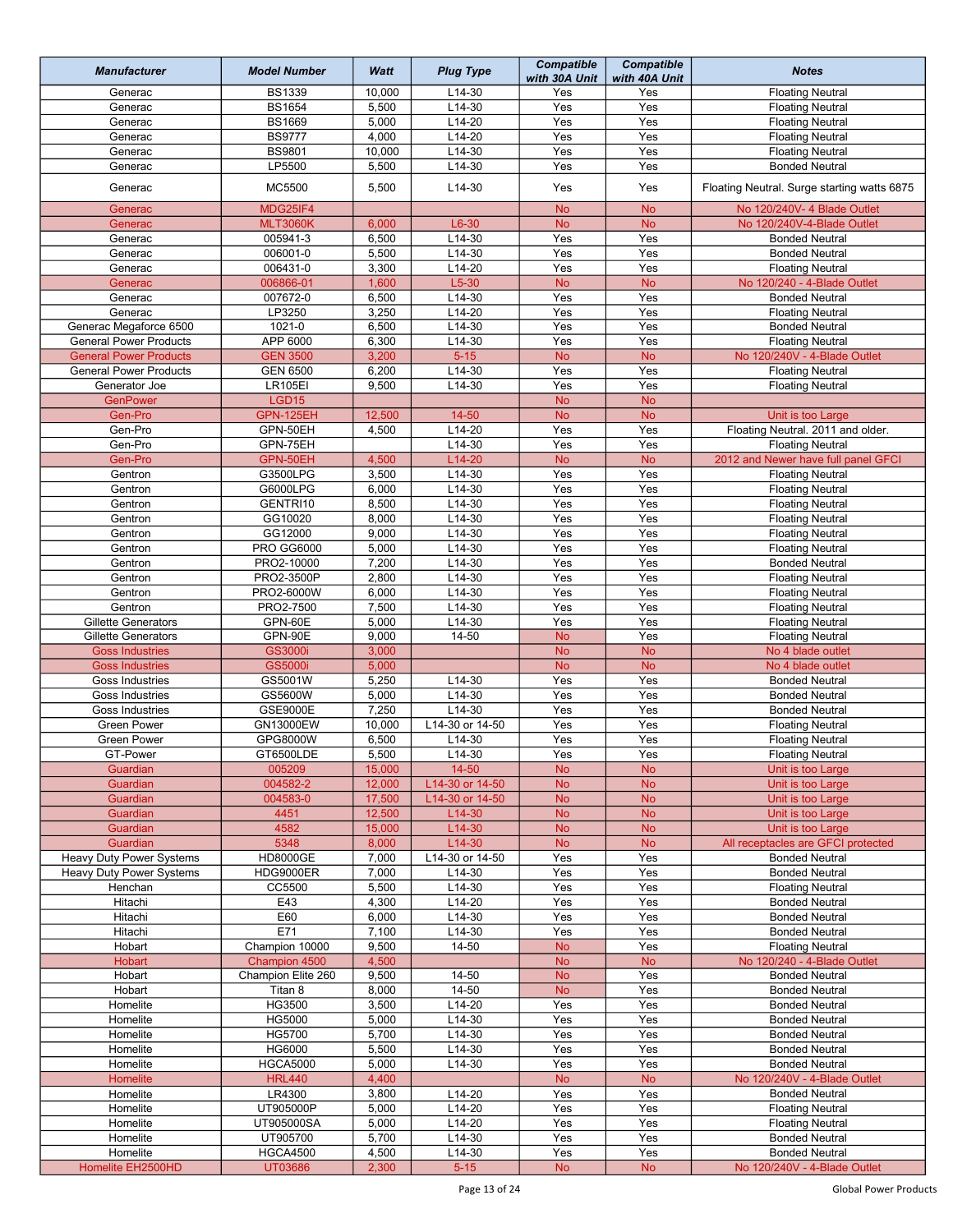| <b>Manufacturer</b>                        | <b>Model Number</b> | Watt           | <b>Plug Type</b> | <b>Compatible</b><br>with 30A Unit | <b>Compatible</b><br>with 40A Unit | <b>Notes</b>                                     |
|--------------------------------------------|---------------------|----------------|------------------|------------------------------------|------------------------------------|--------------------------------------------------|
| Generac                                    | <b>BS1339</b>       | 10,000         | $L14-30$         | Yes                                | Yes                                | <b>Floating Neutral</b>                          |
| Generac                                    | <b>BS1654</b>       | 5,500          | $L14-30$         | Yes                                | Yes                                | <b>Floating Neutral</b>                          |
| Generac                                    | <b>BS1669</b>       | 5,000          | $L14-20$         | Yes                                | Yes                                | <b>Floating Neutral</b>                          |
| Generac                                    | <b>BS9777</b>       | 4,000          | $L14-20$         | Yes                                | Yes                                | <b>Floating Neutral</b>                          |
| Generac                                    | <b>BS9801</b>       | 10,000         | $L14-30$         | Yes                                | Yes                                | <b>Floating Neutral</b>                          |
| Generac                                    | LP5500              | 5,500          | L14-30           | Yes                                | Yes                                | <b>Bonded Neutral</b>                            |
| Generac                                    | MC5500              | 5,500          | $L14-30$         | Yes                                | Yes                                | Floating Neutral. Surge starting watts 6875      |
| Generac                                    | MDG25IF4            |                |                  | <b>No</b>                          | <b>No</b>                          | No 120/240V- 4 Blade Outlet                      |
| Generac                                    | <b>MLT3060K</b>     | 6,000          | $L6-30$          | <b>No</b>                          | <b>No</b>                          | No 120/240V-4-Blade Outlet                       |
| Generac                                    | 005941-3            | 6,500          | L14-30           | Yes                                | Yes                                | <b>Bonded Neutral</b>                            |
| Generac                                    | 006001-0            | 5,500          | $L14-30$         | Yes                                | Yes                                | <b>Bonded Neutral</b>                            |
| Generac                                    | 006431-0            | 3,300          | $L14-20$         | Yes                                | Yes                                | <b>Floating Neutral</b>                          |
| Generac                                    | 006866-01           | 1,600          | $L5-30$          | <b>No</b>                          | <b>No</b>                          | No 120/240 - 4-Blade Outlet                      |
| Generac                                    | 007672-0            |                | L14-30           | Yes                                | Yes                                |                                                  |
|                                            |                     | 6,500          |                  |                                    |                                    | <b>Bonded Neutral</b>                            |
| Generac                                    | LP3250              | 3,250          | $L14-20$         | Yes                                | Yes                                | <b>Floating Neutral</b>                          |
| Generac Megaforce 6500                     | 1021-0              | 6,500          | $L14-30$         | Yes                                | Yes                                | <b>Bonded Neutral</b>                            |
| <b>General Power Products</b>              | APP 6000            | 6,300          | $L14-30$         | Yes                                | Yes                                | <b>Floating Neutral</b>                          |
| <b>General Power Products</b>              | <b>GEN 3500</b>     | 3,200          | $5 - 15$         | <b>No</b>                          | <b>No</b>                          | No 120/240V - 4-Blade Outlet                     |
| <b>General Power Products</b>              | <b>GEN 6500</b>     | 6,200          | L14-30           | Yes                                | Yes                                | <b>Floating Neutral</b>                          |
| Generator Joe                              | <b>LR105EI</b>      | 9,500          | $L14-30$         | Yes                                | Yes                                | <b>Floating Neutral</b>                          |
| <b>GenPower</b>                            | LGD15               |                |                  | <b>No</b>                          | <b>No</b>                          |                                                  |
| Gen-Pro                                    | GPN-125EH           | 12,500         | $14 - 50$        | <b>No</b>                          | <b>No</b>                          | Unit is too Large                                |
| Gen-Pro                                    | GPN-50EH            | 4,500          | $L14-20$         | Yes                                | Yes                                | Floating Neutral. 2011 and older.                |
| Gen-Pro                                    | GPN-75EH            |                | $L14-30$         | Yes                                | Yes                                | <b>Floating Neutral</b>                          |
| Gen-Pro                                    | GPN-50EH            | 4,500          | $L14-20$         | <b>No</b>                          | <b>No</b>                          | 2012 and Newer have full panel GFCI              |
| Gentron                                    | G3500LPG            | 3,500          | $L14-30$         | Yes                                | Yes                                | <b>Floating Neutral</b>                          |
| Gentron                                    | G6000LPG            | 6,000          | $L14-30$         | Yes                                | Yes                                | <b>Floating Neutral</b>                          |
| Gentron                                    | GENTRI10            | 8,500          | L14-30           | Yes                                | Yes                                | <b>Floating Neutral</b>                          |
| Gentron                                    | GG10020             | 8,000          | $L14-30$         | Yes                                | Yes                                | <b>Floating Neutral</b>                          |
| Gentron                                    | GG12000             | 9,000          | L14-30           | Yes                                | Yes                                | <b>Floating Neutral</b>                          |
|                                            | <b>PRO GG6000</b>   | 5,000          | L14-30           | Yes                                | Yes                                |                                                  |
| Gentron                                    |                     |                |                  |                                    |                                    | <b>Floating Neutral</b>                          |
| Gentron                                    | PRO2-10000          | 7,200          | L14-30           | Yes                                | Yes                                | <b>Bonded Neutral</b>                            |
| Gentron                                    | PRO2-3500P          | 2,800          | $L14-30$         | Yes                                | Yes                                | <b>Floating Neutral</b>                          |
| Gentron                                    | PRO2-6000W          | 6,000          | $L14-30$         | Yes                                | Yes                                | <b>Floating Neutral</b>                          |
| Gentron                                    | PRO2-7500           | 7,500          | L14-30           | Yes                                | Yes                                | <b>Floating Neutral</b>                          |
| <b>Gillette Generators</b>                 | GPN-60E             | 5,000          | $L14-30$         | Yes                                | Yes                                | <b>Floating Neutral</b>                          |
| <b>Gillette Generators</b>                 | GPN-90E             | 9,000          | 14-50            | <b>No</b>                          | Yes                                | <b>Floating Neutral</b>                          |
| <b>Goss Industries</b>                     | <b>GS3000i</b>      | 3,000          |                  | <b>No</b>                          | <b>No</b>                          | No 4 blade outlet                                |
| <b>Goss Industries</b>                     | <b>GS5000i</b>      | 5,000          |                  | <b>No</b>                          | <b>No</b>                          | No 4 blade outlet                                |
| Goss Industries                            | GS5001W             | 5,250          | L14-30           | Yes                                | Yes                                | <b>Bonded Neutral</b>                            |
| <b>Goss Industries</b>                     | GS5600W             | 5,000          | L14-30           | Yes                                | Yes                                | <b>Bonded Neutral</b>                            |
| <b>Goss Industries</b>                     | GSE9000E            | 7,250          | L14-30           | Yes                                | Yes                                | <b>Bonded Neutral</b>                            |
| <b>Green Power</b>                         | GN13000EW           | 10,000         | L14-30 or 14-50  | Yes                                | Yes                                | <b>Floating Neutral</b>                          |
| <b>Green Power</b>                         | GPG8000W            | 6,500          | L14-30           | Yes                                | Yes                                | <b>Floating Neutral</b>                          |
| GT-Power                                   | GT6500LDE           | 5,500          | L14-30           | Yes                                | Yes                                | <b>Floating Neutral</b>                          |
| Guardian                                   | 005209              | 15,000         | $14 - 50$        | <b>No</b>                          | <b>No</b>                          | Unit is too Large                                |
| Guardian                                   | 004582-2            | 12,000         | L14-30 or 14-50  | <b>No</b>                          | <b>No</b>                          | Unit is too Large                                |
| Guardian                                   | 004583-0            | 17,500         | L14-30 or 14-50  | <b>No</b>                          | <b>No</b>                          | Unit is too Large                                |
| Guardian                                   | 4451                | 12,500         | L14-30           | <b>No</b>                          | <b>No</b>                          | Unit is too Large                                |
| Guardian                                   | 4582                | 15,000         | L14-30           | <b>No</b>                          | <b>No</b>                          | Unit is too Large                                |
| Guardian                                   | 5348                | 8,000          | L14-30           | <b>No</b>                          | <b>No</b>                          | All receptacles are GFCI protected               |
| <b>Heavy Duty Power Systems</b>            | <b>HD8000GE</b>     | 7,000          | L14-30 or 14-50  | Yes                                | Yes                                | <b>Bonded Neutral</b>                            |
|                                            |                     |                |                  |                                    |                                    |                                                  |
| <b>Heavy Duty Power Systems</b><br>Henchan | HDG9000ER<br>CC5500 | 7,000<br>5,500 | L14-30<br>L14-30 | Yes<br>Yes                         | Yes<br>Yes                         | <b>Bonded Neutral</b><br><b>Floating Neutral</b> |
|                                            |                     |                |                  |                                    |                                    |                                                  |
| Hitachi                                    | E43                 | 4,300          | L14-20           | Yes                                | Yes                                | <b>Bonded Neutral</b>                            |
| Hitachi                                    | E60                 | 6,000          | L14-30           | Yes                                | Yes                                | <b>Bonded Neutral</b>                            |
| Hitachi                                    | E71                 | 7,100          | L14-30           | Yes                                | Yes                                | <b>Bonded Neutral</b>                            |
| Hobart                                     | Champion 10000      | 9,500          | 14-50            | <b>No</b>                          | Yes                                | <b>Floating Neutral</b>                          |
| <b>Hobart</b>                              | Champion 4500       | 4,500          |                  | <b>No</b>                          | <b>No</b>                          | No 120/240 - 4-Blade Outlet                      |
| Hobart                                     | Champion Elite 260  | 9,500          | 14-50            | <b>No</b>                          | Yes                                | <b>Bonded Neutral</b>                            |
| Hobart                                     | Titan 8             | 8,000          | 14-50            | <b>No</b>                          | Yes                                | <b>Bonded Neutral</b>                            |
| Homelite                                   | HG3500              | 3,500          | $L14-20$         | Yes                                | Yes                                | <b>Bonded Neutral</b>                            |
| Homelite                                   | <b>HG5000</b>       | 5,000          | L14-30           | $\overline{Yes}$                   | Yes                                | <b>Bonded Neutral</b>                            |
| Homelite                                   | HG5700              | 5,700          | L14-30           | Yes                                | Yes                                | <b>Bonded Neutral</b>                            |
| Homelite                                   | HG6000              | 5,500          | $L14-30$         | Yes                                | Yes                                | <b>Bonded Neutral</b>                            |
| Homelite                                   | <b>HGCA5000</b>     | 5,000          | L14-30           | Yes                                | Yes                                | <b>Bonded Neutral</b>                            |
| Homelite                                   | <b>HRL440</b>       | 4,400          |                  | <b>No</b>                          | <b>No</b>                          | No 120/240V - 4-Blade Outlet                     |
| Homelite                                   | LR4300              | 3,800          | L14-20           | Yes                                | Yes                                | <b>Bonded Neutral</b>                            |
| Homelite                                   | UT905000P           | 5,000          | L14-20           | Yes                                | Yes                                | <b>Floating Neutral</b>                          |
| Homelite                                   | UT905000SA          | 5,000          | L14-20           | Yes                                | Yes                                | <b>Floating Neutral</b>                          |
| Homelite                                   | UT905700            | 5,700          | L14-30           | Yes                                | Yes                                | <b>Bonded Neutral</b>                            |
| Homelite                                   | <b>HGCA4500</b>     | 4,500          | L14-30           | Yes                                | Yes                                | <b>Bonded Neutral</b>                            |
|                                            |                     | 2,300          |                  |                                    |                                    |                                                  |
| Homelite EH2500HD                          | UT03686             |                | $5 - 15$         | No                                 | <b>No</b>                          | No 120/240V - 4-Blade Outlet                     |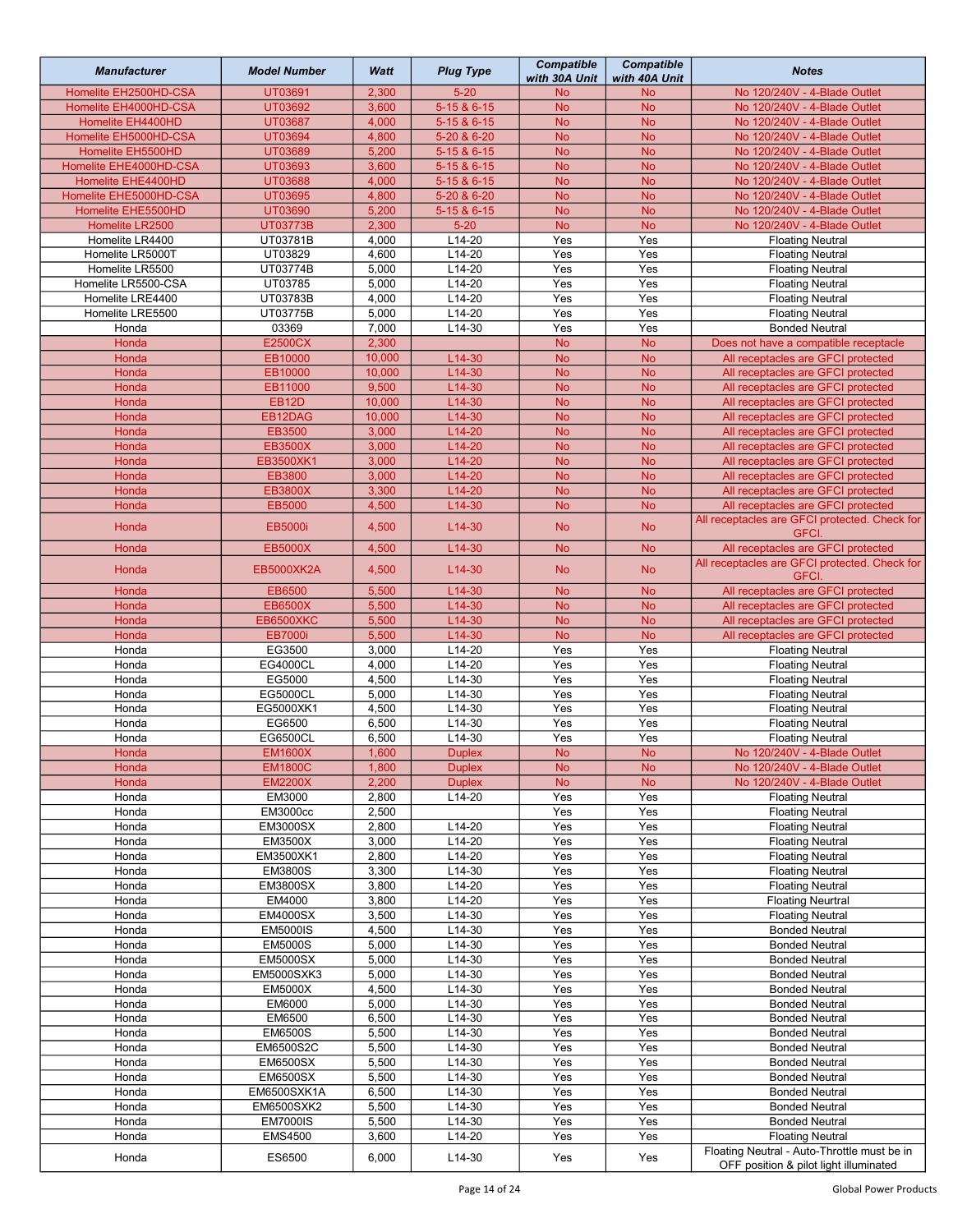| <b>Manufacturer</b>                   | <b>Model Number</b>                | Watt           | <b>Plug Type</b>     | <b>Compatible</b><br>with 30A Unit | <b>Compatible</b><br>with 40A Unit | <b>Notes</b>                                                                          |
|---------------------------------------|------------------------------------|----------------|----------------------|------------------------------------|------------------------------------|---------------------------------------------------------------------------------------|
| Homelite EH2500HD-CSA                 | UT03691                            | 2,300          | $5 - 20$             | <b>No</b>                          | <b>No</b>                          | No 120/240V - 4-Blade Outlet                                                          |
| Homelite EH4000HD-CSA                 | UT03692                            | 3,600          | 5-15 & 6-15          | <b>No</b>                          | <b>No</b>                          | No 120/240V - 4-Blade Outlet                                                          |
| Homelite EH4400HD                     | <b>UT03687</b>                     | 4,000          | 5-15 & 6-15          | <b>No</b>                          | <b>No</b>                          | No 120/240V - 4-Blade Outlet                                                          |
| Homelite EH5000HD-CSA                 | UT03694                            | 4,800          | 5-20 & 6-20          | <b>No</b>                          | <b>No</b>                          | No 120/240V - 4-Blade Outlet                                                          |
| Homelite EH5500HD                     | UT03689                            | 5,200          | 5-15 & 6-15          | <b>No</b>                          | <b>No</b>                          | No 120/240V - 4-Blade Outlet                                                          |
| Homelite EHE4000HD-CSA                | UT03693                            | 3,600          | 5-15 & 6-15          | <b>No</b>                          | <b>No</b>                          | No 120/240V - 4-Blade Outlet                                                          |
| Homelite EHE4400HD                    | <b>UT03688</b>                     | 4,000          | 5-15 & 6-15          | <b>No</b>                          | <b>No</b>                          | No 120/240V - 4-Blade Outlet                                                          |
| Homelite EHE5000HD-CSA                | UT03695                            | 4,800          | 5-20 & 6-20          | <b>No</b>                          | <b>No</b>                          | No 120/240V - 4-Blade Outlet                                                          |
| Homelite EHE5500HD<br>Homelite LR2500 | UT03690<br><b>UT03773B</b>         | 5,200<br>2,300 | 5-15 & 6-15          | <b>No</b><br><b>No</b>             | <b>No</b>                          | No 120/240V - 4-Blade Outlet<br>No 120/240V - 4-Blade Outlet                          |
| Homelite LR4400                       | UT03781B                           | 4,000          | $5 - 20$<br>$L14-20$ | Yes                                | <b>No</b><br>Yes                   | <b>Floating Neutral</b>                                                               |
| Homelite LR5000T                      | UT03829                            | 4,600          | $L14-20$             | Yes                                | Yes                                | <b>Floating Neutral</b>                                                               |
| Homelite LR5500                       | UT03774B                           | 5,000          | L14-20               | Yes                                | Yes                                | <b>Floating Neutral</b>                                                               |
| Homelite LR5500-CSA                   | UT03785                            | 5,000          | $L14-20$             | Yes                                | Yes                                | <b>Floating Neutral</b>                                                               |
| Homelite LRE4400                      | UT03783B                           | 4,000          | L14-20               | Yes                                | Yes                                | <b>Floating Neutral</b>                                                               |
| Homelite LRE5500                      | UT03775B                           | 5,000          | $L14-20$             | Yes                                | Yes                                | <b>Floating Neutral</b>                                                               |
| Honda                                 | 03369                              | 7,000          | $L14-30$             | Yes                                | Yes                                | <b>Bonded Neutral</b>                                                                 |
| Honda                                 | <b>E2500CX</b>                     | 2,300          |                      | <b>No</b>                          | <b>No</b>                          | Does not have a compatible receptacle                                                 |
| Honda                                 | EB10000                            | 10,000         | L14-30               | <b>No</b>                          | <b>No</b>                          | All receptacles are GFCI protected                                                    |
| Honda                                 | EB10000                            | 10,000         | L14-30               | <b>No</b>                          | <b>No</b>                          | All receptacles are GFCI protected                                                    |
| Honda                                 | EB11000                            | 9,500          | L14-30               | <b>No</b>                          | <b>No</b>                          | All receptacles are GFCI protected                                                    |
| Honda                                 | EB12D                              | 10,000         | $L14-30$             | <b>No</b>                          | <b>No</b>                          | All receptacles are GFCI protected                                                    |
| Honda                                 | EB12DAG                            | 10,000         | $L14-30$             | <b>No</b>                          | <b>No</b>                          | All receptacles are GFCI protected                                                    |
| Honda                                 | EB3500                             | 3,000          | $L14-20$             | <b>No</b>                          | <b>No</b>                          | All receptacles are GFCI protected                                                    |
| Honda                                 | <b>EB3500X</b>                     | 3,000          | $L14-20$             | <b>No</b>                          | <b>No</b>                          | All receptacles are GFCI protected                                                    |
| Honda                                 | EB3500XK1                          | 3,000          | $L14-20$             | <b>No</b>                          | <b>No</b>                          | All receptacles are GFCI protected                                                    |
| Honda                                 | EB3800                             | 3,000          | $L14-20$             | <b>No</b>                          | <b>No</b>                          | All receptacles are GFCI protected                                                    |
| Honda                                 | <b>EB3800X</b>                     | 3,300          | $L14-20$             | <b>No</b>                          | <b>No</b>                          | All receptacles are GFCI protected                                                    |
| Honda                                 | EB5000                             | 4,500          | L14-30               | <b>No</b>                          | <b>No</b>                          | All receptacles are GFCI protected                                                    |
| Honda                                 | <b>EB5000i</b>                     | 4,500          | L14-30               | <b>No</b>                          | <b>No</b>                          | All receptacles are GFCI protected. Check for<br>GFCI.                                |
| Honda                                 | <b>EB5000X</b>                     | 4,500          | $L14-30$             | <b>No</b>                          | <b>No</b>                          | All receptacles are GFCI protected                                                    |
| Honda                                 | <b>EB5000XK2A</b>                  | 4,500          | L14-30               | <b>No</b>                          | <b>No</b>                          | All receptacles are GFCI protected. Check for<br>GFCI.                                |
| Honda                                 | EB6500                             | 5,500          | L14-30               | <b>No</b>                          | <b>No</b>                          | All receptacles are GFCI protected                                                    |
| Honda                                 | <b>EB6500X</b>                     | 5,500          | $L14-30$<br>$L14-30$ | <b>No</b><br><b>No</b>             | <b>No</b>                          | All receptacles are GFCI protected                                                    |
| Honda<br>Honda                        | <b>EB6500XKC</b><br><b>EB7000i</b> | 5,500<br>5,500 | L14-30               |                                    | <b>No</b>                          | All receptacles are GFCI protected<br>All receptacles are GFCI protected              |
| Honda                                 | EG3500                             | 3,000          | $L14-20$             | <b>No</b><br>Yes                   | <b>No</b><br>Yes                   | <b>Floating Neutral</b>                                                               |
| Honda                                 | EG4000CL                           | 4,000          | $L14-20$             | Yes                                | Yes                                | <b>Floating Neutral</b>                                                               |
| Honda                                 | EG5000                             | 4,500          | L14-30               | Yes                                | Yes                                | <b>Floating Neutral</b>                                                               |
| Honda                                 | EG5000CL                           | 5,000          | L14-30               | Yes                                | Yes                                | <b>Floating Neutral</b>                                                               |
| Honda                                 | EG5000XK1                          | 4,500          | $L14-30$             | Yes                                | Yes                                | <b>Floating Neutral</b>                                                               |
| Honda                                 | EG6500                             | 6,500          | $L14-30$             | Yes                                | Yes                                | <b>Floating Neutral</b>                                                               |
| Honda                                 | EG6500CL                           | 6,500          | L14-30               | Yes                                | Yes                                | <b>Floating Neutral</b>                                                               |
| Honda                                 | <b>EM1600X</b>                     | 1,600          | <b>Duplex</b>        | No                                 | No                                 | No 120/240V - 4-Blade Outlet                                                          |
| Honda                                 | <b>EM1800C</b>                     | 1,800          | <b>Duplex</b>        | <b>No</b>                          | <b>No</b>                          | No 120/240V - 4-Blade Outlet                                                          |
| Honda                                 | <b>EM2200X</b>                     | 2,200          | <b>Duplex</b>        | <b>No</b>                          | <b>No</b>                          | No 120/240V - 4-Blade Outlet                                                          |
| Honda                                 | EM3000                             | 2,800          | L14-20               | Yes                                | Yes                                | <b>Floating Neutral</b>                                                               |
| Honda                                 | <b>EM3000cc</b>                    | 2,500          |                      | Yes                                | Yes                                | <b>Floating Neutral</b>                                                               |
| Honda                                 | <b>EM3000SX</b>                    | 2,800          | L14-20               | Yes                                | Yes                                | <b>Floating Neutral</b>                                                               |
| Honda                                 | <b>EM3500X</b>                     | 3,000          | $L14-20$             | Yes                                | Yes                                | <b>Floating Neutral</b>                                                               |
| Honda                                 | EM3500XK1                          | 2,800          | $L14-20$             | Yes                                | Yes                                | <b>Floating Neutral</b>                                                               |
| Honda                                 | <b>EM3800S</b>                     | 3,300          | L14-30               | Yes                                | Yes                                | <b>Floating Neutral</b>                                                               |
| Honda                                 | <b>EM3800SX</b>                    | 3,800          | L14-20               | Yes                                | Yes                                | <b>Floating Neutral</b>                                                               |
| Honda                                 | EM4000                             | 3,800          | L14-20               | Yes                                | Yes                                | <b>Floating Neurtral</b>                                                              |
| Honda                                 | <b>EM4000SX</b>                    | 3,500          | L14-30               | Yes                                | Yes                                | <b>Floating Neutral</b>                                                               |
| Honda                                 | <b>EM5000IS</b>                    | 4,500          | L14-30               | Yes                                | Yes                                | <b>Bonded Neutral</b>                                                                 |
| Honda<br>Honda                        | <b>EM5000S</b><br><b>EM5000SX</b>  | 5,000<br>5,000 | L14-30<br>L14-30     | Yes<br>Yes                         | Yes<br>Yes                         | <b>Bonded Neutral</b><br><b>Bonded Neutral</b>                                        |
| Honda                                 | EM5000SXK3                         | 5,000          | L14-30               | Yes                                | Yes                                | <b>Bonded Neutral</b>                                                                 |
| Honda                                 | <b>EM5000X</b>                     | 4,500          | L14-30               | Yes                                | Yes                                | <b>Bonded Neutral</b>                                                                 |
| Honda                                 | EM6000                             | 5,000          | L14-30               | Yes                                | Yes                                | <b>Bonded Neutral</b>                                                                 |
| Honda                                 | EM6500                             | 6,500          | L14-30               | Yes                                | Yes                                | <b>Bonded Neutral</b>                                                                 |
| Honda                                 | <b>EM6500S</b>                     | 5,500          | $L14-30$             | Yes                                | Yes                                | <b>Bonded Neutral</b>                                                                 |
| Honda                                 | EM6500S2C                          | 5,500          | L14-30               | Yes                                | Yes                                | <b>Bonded Neutral</b>                                                                 |
| Honda                                 | <b>EM6500SX</b>                    | 5,500          | L14-30               | Yes                                | Yes                                | <b>Bonded Neutral</b>                                                                 |
| Honda                                 | <b>EM6500SX</b>                    | 5,500          | L14-30               | Yes                                | Yes                                | <b>Bonded Neutral</b>                                                                 |
| Honda                                 | EM6500SXK1A                        | 6,500          | L14-30               | Yes                                | Yes                                | <b>Bonded Neutral</b>                                                                 |
| Honda                                 | <b>EM6500SXK2</b>                  | 5,500          | L14-30               | Yes                                | Yes                                | <b>Bonded Neutral</b>                                                                 |
| Honda                                 | <b>EM7000IS</b>                    | 5,500          | L14-30               | Yes                                | Yes                                | <b>Bonded Neutral</b>                                                                 |
| Honda                                 | <b>EMS4500</b>                     | 3,600          | L14-20               | Yes                                | Yes                                | <b>Floating Neutral</b>                                                               |
| Honda                                 | ES6500                             | 6,000          | L14-30               | Yes                                | Yes                                | Floating Neutral - Auto-Throttle must be in<br>OFF position & pilot light illuminated |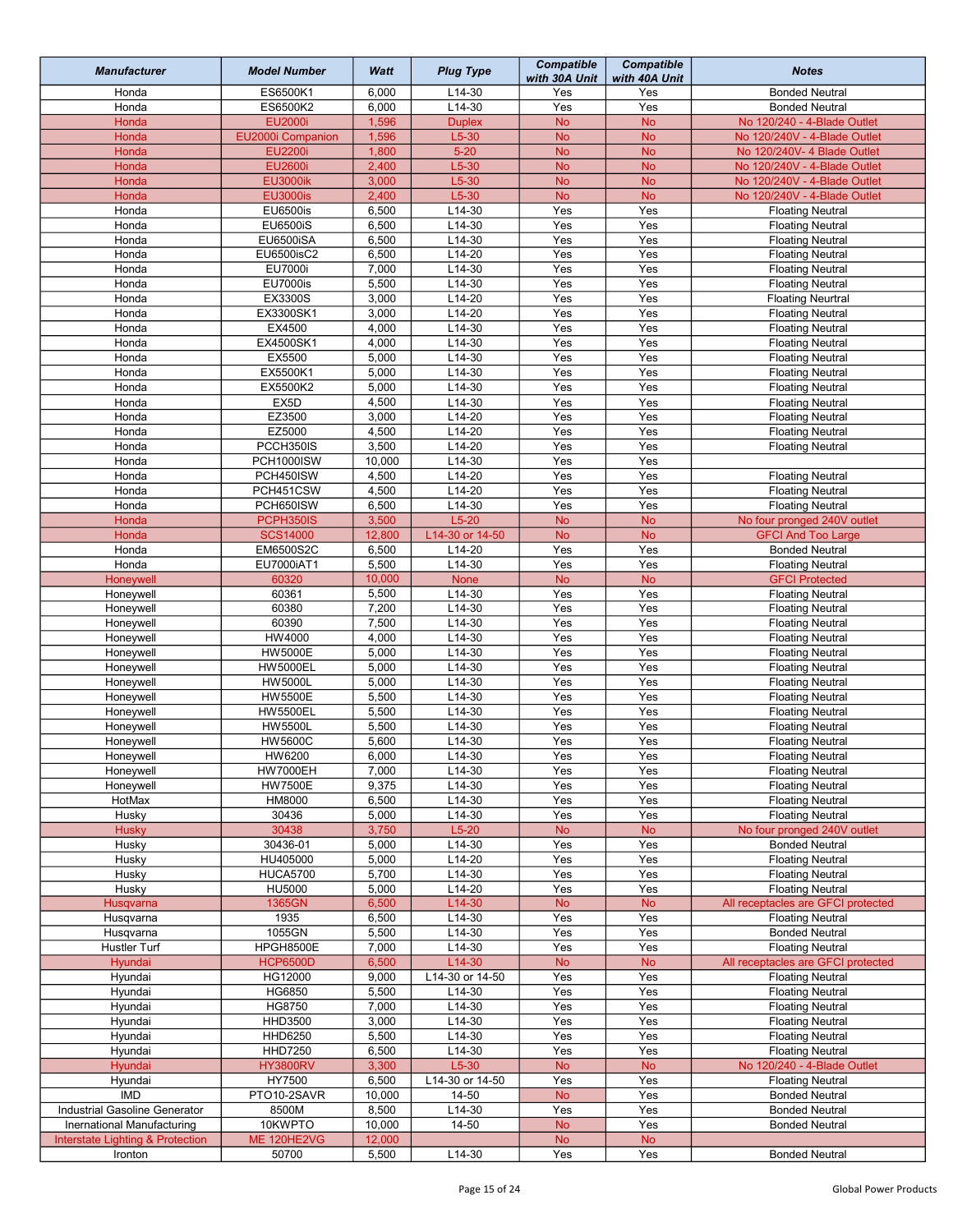| <b>Manufacturer</b>              | <b>Model Number</b>               | Watt            | <b>Plug Type</b>          | <b>Compatible</b><br>with 30A Unit | <b>Compatible</b><br>with 40A Unit | <b>Notes</b>                                                |
|----------------------------------|-----------------------------------|-----------------|---------------------------|------------------------------------|------------------------------------|-------------------------------------------------------------|
| Honda                            | ES6500K1                          | 6,000           | $L14-30$                  | Yes                                | Yes                                | <b>Bonded Neutral</b>                                       |
| Honda                            | ES6500K2                          | 6,000           | L14-30                    | Yes                                | Yes                                | <b>Bonded Neutral</b>                                       |
| Honda                            | EU2000i                           | 1,596           | <b>Duplex</b>             | <b>No</b>                          | <b>No</b>                          | No 120/240 - 4-Blade Outlet                                 |
| Honda                            | EU2000i Companion                 | 1,596           | $L5-30$                   | <b>No</b>                          | <b>No</b>                          | No 120/240V - 4-Blade Outlet                                |
| Honda                            | <b>EU2200i</b>                    | 1,800           | $5 - 20$                  | <b>No</b>                          | <b>No</b>                          | No 120/240V- 4 Blade Outlet<br>No 120/240V - 4-Blade Outlet |
| Honda<br>Honda                   | EU2600i<br><b>EU3000ik</b>        | 2,400<br>3,000  | $L5-30$<br>$L5-30$        | <b>No</b><br><b>No</b>             | <b>No</b><br><b>No</b>             | No 120/240V - 4-Blade Outlet                                |
| Honda                            | <b>EU3000is</b>                   | 2,400           | $L5-30$                   | <b>No</b>                          | <b>No</b>                          | No 120/240V - 4-Blade Outlet                                |
| Honda                            | <b>EU6500is</b>                   | 6,500           | $L14-30$                  | Yes                                | Yes                                | <b>Floating Neutral</b>                                     |
| Honda                            | <b>EU6500iS</b>                   | 6,500           | $L14-30$                  | Yes                                | Yes                                | <b>Floating Neutral</b>                                     |
| Honda                            | EU6500iSA                         | 6,500           | $L14-30$                  | Yes                                | Yes                                | <b>Floating Neutral</b>                                     |
| Honda                            | EU6500isC2                        | 6,500           | $L14-20$                  | Yes                                | Yes                                | <b>Floating Neutral</b>                                     |
| Honda                            | EU7000i                           | 7,000           | L14-30                    | Yes                                | Yes                                | <b>Floating Neutral</b>                                     |
| Honda                            | <b>EU7000is</b>                   | 5,500           | $L14-30$                  | Yes                                | Yes                                | <b>Floating Neutral</b>                                     |
| Honda                            | <b>EX3300S</b>                    | 3,000           | $L14-20$                  | Yes                                | Yes                                | <b>Floating Neurtral</b>                                    |
| Honda                            | EX3300SK1                         | 3,000           | $L14-20$                  | Yes                                | Yes                                | <b>Floating Neutral</b>                                     |
| Honda<br>Honda                   | EX4500<br>EX4500SK1               | 4,000<br>4,000  | $L14-30$<br>$L14-30$      | Yes<br>Yes                         | Yes<br>Yes                         | <b>Floating Neutral</b><br><b>Floating Neutral</b>          |
| Honda                            | EX5500                            | 5,000           | L14-30                    | Yes                                | Yes                                | <b>Floating Neutral</b>                                     |
| Honda                            | EX5500K1                          | 5,000           | L14-30                    | Yes                                | Yes                                | <b>Floating Neutral</b>                                     |
| Honda                            | EX5500K2                          | 5,000           | $L14-30$                  | Yes                                | Yes                                | <b>Floating Neutral</b>                                     |
| Honda                            | EX5D                              | 4,500           | L14-30                    | Yes                                | Yes                                | <b>Floating Neutral</b>                                     |
| Honda                            | EZ3500                            | 3,000           | $L14-20$                  | Yes                                | Yes                                | <b>Floating Neutral</b>                                     |
| Honda                            | EZ5000                            | 4,500           | L14-20                    | Yes                                | Yes                                | <b>Floating Neutral</b>                                     |
| Honda                            | PCCH350IS                         | 3,500           | $L14-20$                  | Yes                                | Yes                                | <b>Floating Neutral</b>                                     |
| Honda                            | PCH1000ISW                        | 10,000          | $L14-30$                  | Yes                                | Yes                                |                                                             |
| Honda                            | PCH450ISW                         | 4,500           | $L14-20$                  | Yes                                | Yes                                | <b>Floating Neutral</b>                                     |
| Honda                            | PCH451CSW                         | 4,500           | $L14-20$                  | Yes                                | Yes                                | <b>Floating Neutral</b>                                     |
| Honda                            | PCH650ISW                         | 6,500           | L14-30                    | Yes                                | Yes                                | <b>Floating Neutral</b>                                     |
| Honda                            | PCPH350IS                         | 3,500           | $L5-20$                   | <b>No</b>                          | <b>No</b>                          | No four pronged 240V outlet                                 |
| Honda<br>Honda                   | <b>SCS14000</b><br>EM6500S2C      | 12,800<br>6,500 | L14-30 or 14-50<br>L14-20 | <b>No</b><br>Yes                   | <b>No</b><br>Yes                   | <b>GFCI And Too Large</b>                                   |
| Honda                            | EU7000iAT1                        | 5,500           | $L14-30$                  | Yes                                | Yes                                | <b>Bonded Neutral</b><br><b>Floating Neutral</b>            |
| Honeywell                        | 60320                             | 10,000          | None                      | <b>No</b>                          | <b>No</b>                          | <b>GFCI Protected</b>                                       |
| Honeywell                        | 60361                             | 5,500           | $L14-30$                  | Yes                                | Yes                                | <b>Floating Neutral</b>                                     |
| Honeywell                        | 60380                             | 7,200           | $L14-30$                  | Yes                                | Yes                                | <b>Floating Neutral</b>                                     |
| Honeywell                        | 60390                             | 7,500           | L14-30                    | Yes                                | Yes                                | <b>Floating Neutral</b>                                     |
| Honeywell                        | HW4000                            | 4,000           | L14-30                    | Yes                                | Yes                                | <b>Floating Neutral</b>                                     |
| Honeywell                        | <b>HW5000E</b>                    | 5,000           | $L14-30$                  | Yes                                | Yes                                | <b>Floating Neutral</b>                                     |
| Honeywell                        | <b>HW5000EL</b>                   | 5,000           | $L14-30$                  | Yes                                | Yes                                | <b>Floating Neutral</b>                                     |
| Honeywell                        | <b>HW5000L</b>                    | 5,000           | $L14-30$                  | Yes                                | Yes                                | <b>Floating Neutral</b>                                     |
| Honeywell<br>Honeywell           | <b>HW5500E</b><br><b>HW5500EL</b> | 5,500<br>5,500  | $L14-30$<br>$L14-30$      | Yes<br>Yes                         | Yes<br>Yes                         | <b>Floating Neutral</b><br><b>Floating Neutral</b>          |
| Honeywell                        | <b>HW5500L</b>                    | 5,500           | L14-30                    | Yes                                | Yes                                | <b>Floating Neutral</b>                                     |
| Honeywell                        | <b>HW5600C</b>                    | 5,600           | L14-30                    | Yes                                | Yes                                | <b>Floating Neutral</b>                                     |
| Honeywell                        | HW6200                            | 6,000           | L14-30                    | Yes                                | Yes                                | <b>Floating Neutral</b>                                     |
| Honeywell                        | <b>HW7000EH</b>                   | 7,000           | L14-30                    | Yes                                | Yes                                | <b>Floating Neutral</b>                                     |
| Honeywell                        | <b>HW7500E</b>                    | 9,375           | L14-30                    | Yes                                | Yes                                | <b>Floating Neutral</b>                                     |
| HotMax                           | HM8000                            | 6,500           | L14-30                    | Yes                                | Yes                                | <b>Floating Neutral</b>                                     |
| Husky                            | 30436                             | 5,000           | L14-30                    | Yes                                | Yes                                | <b>Floating Neutral</b>                                     |
| <b>Husky</b>                     | 30438                             | 3,750           | $L5-20$                   | <b>No</b>                          | <b>No</b>                          | No four pronged 240V outlet                                 |
| Husky                            | 30436-01                          | 5,000           | L14-30                    | Yes                                | Yes                                | <b>Bonded Neutral</b>                                       |
| Husky<br>Husky                   | HU405000<br><b>HUCA5700</b>       | 5,000<br>5,700  | L14-20<br>L14-30          | Yes<br>Yes                         | Yes<br>Yes                         | <b>Floating Neutral</b><br><b>Floating Neutral</b>          |
| Husky                            | <b>HU5000</b>                     | 5,000           | L14-20                    | Yes                                | Yes                                | <b>Floating Neutral</b>                                     |
| <b>Husqvarna</b>                 | 1365GN                            | 6,500           | L14-30                    | <b>No</b>                          | <b>No</b>                          | All receptacles are GFCI protected                          |
| Husqvarna                        | 1935                              | 6,500           | L14-30                    | Yes                                | Yes                                | <b>Floating Neutral</b>                                     |
| Husqvarna                        | 1055GN                            | 5,500           | L14-30                    | Yes                                | Yes                                | <b>Bonded Neutral</b>                                       |
| Hustler Turf                     | HPGH8500E                         | 7,000           | $L14-30$                  | Yes                                | Yes                                | <b>Floating Neutral</b>                                     |
| Hyundai                          | <b>HCP6500D</b>                   | 6,500           | L14-30                    | <b>No</b>                          | <b>No</b>                          | All receptacles are GFCI protected                          |
| Hyundai                          | HG12000                           | 9,000           | L14-30 or 14-50           | Yes                                | Yes                                | <b>Floating Neutral</b>                                     |
| Hyundai                          | HG6850                            | 5,500           | L14-30                    | Yes                                | Yes                                | <b>Floating Neutral</b>                                     |
| Hyundai                          | HG8750                            | 7,000           | $L14-30$                  | Yes                                | Yes                                | <b>Floating Neutral</b>                                     |
| Hyundai<br>Hyundai               | HHD3500<br>HHD6250                | 3,000<br>5,500  | L14-30<br>L14-30          | Yes<br>Yes                         | Yes<br>Yes                         | <b>Floating Neutral</b><br><b>Floating Neutral</b>          |
| Hyundai                          | <b>HHD7250</b>                    | 6,500           | L14-30                    | Yes                                | Yes                                | <b>Floating Neutral</b>                                     |
| Hyundai                          | <b>HY3800RV</b>                   | 3,300           | $L5-30$                   | <b>No</b>                          | No                                 | No 120/240 - 4-Blade Outlet                                 |
| Hyundai                          | HY7500                            | 6,500           | L14-30 or 14-50           | Yes                                | Yes                                | <b>Floating Neutral</b>                                     |
| <b>IMD</b>                       | PTO10-2SAVR                       | 10,000          | 14-50                     | <b>No</b>                          | Yes                                | <b>Bonded Neutral</b>                                       |
| Industrial Gasoline Generator    | 8500M                             | 8,500           | L14-30                    | Yes                                | Yes                                | <b>Bonded Neutral</b>                                       |
| Inernational Manufacturing       | 10KWPTO                           | 10,000          | 14-50                     | <b>No</b>                          | Yes                                | <b>Bonded Neutral</b>                                       |
| Interstate Lighting & Protection | ME 120HE2VG                       | 12,000          |                           | <b>No</b>                          | No                                 |                                                             |
| Ironton                          | 50700                             | 5,500           | L14-30                    | Yes                                | Yes                                | <b>Bonded Neutral</b>                                       |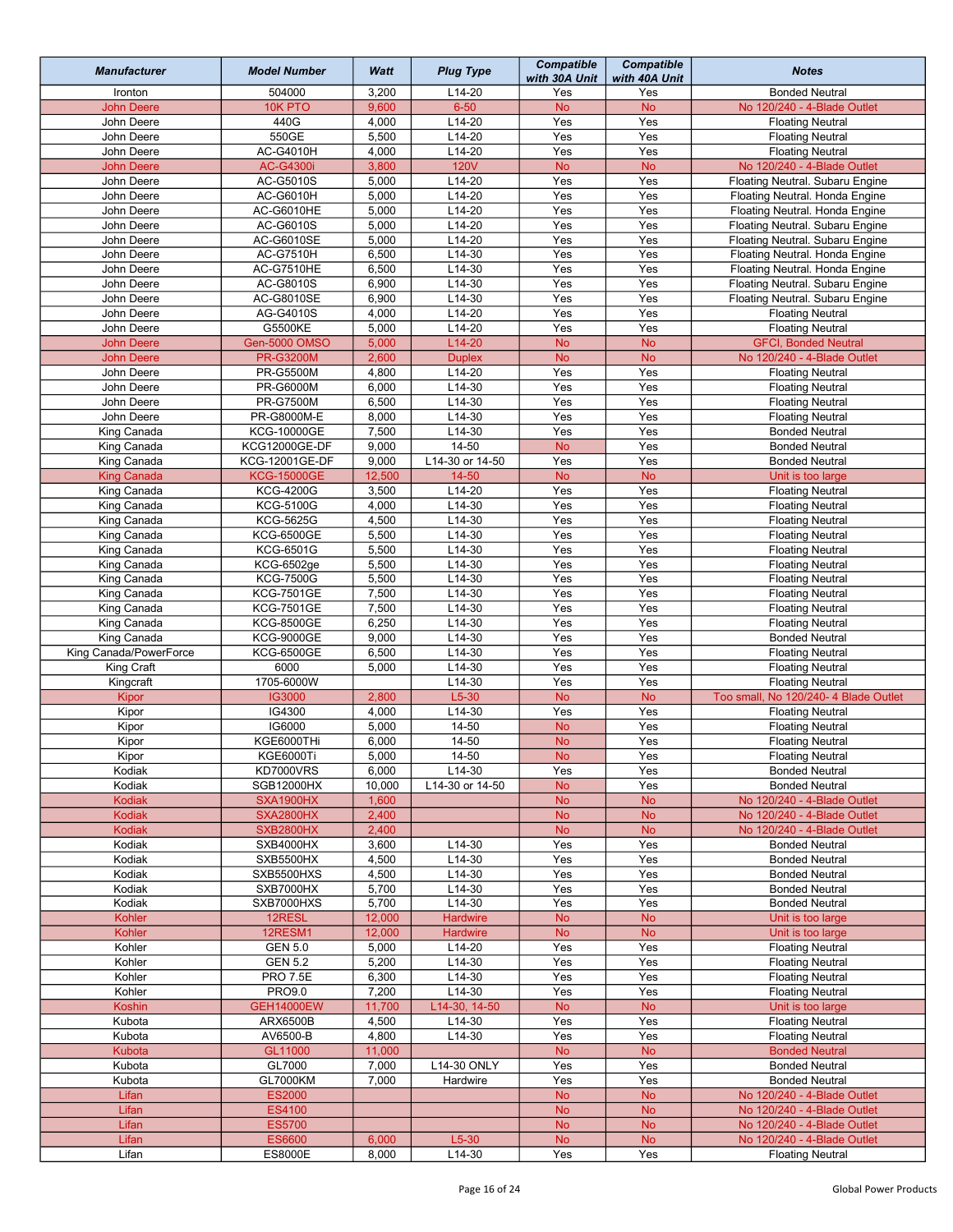| <b>Manufacturer</b>        | <b>Model Number</b>                    | Watt           | <b>Plug Type</b>     | <b>Compatible</b><br>with 30A Unit | <b>Compatible</b><br>with 40A Unit | <b>Notes</b>                                                       |
|----------------------------|----------------------------------------|----------------|----------------------|------------------------------------|------------------------------------|--------------------------------------------------------------------|
| Ironton                    | 504000                                 | 3,200          | L14-20               | Yes                                | Yes                                | <b>Bonded Neutral</b>                                              |
| <b>John Deere</b>          | 10K PTO                                | 9,600          | $6 - 50$             | <b>No</b>                          | <b>No</b>                          | No 120/240 - 4-Blade Outlet                                        |
| John Deere                 | 440G                                   | 4,000          | $L14-20$             | Yes                                | Yes                                | <b>Floating Neutral</b>                                            |
| John Deere                 | 550GE                                  | 5,500          | $L14-20$             | Yes                                | Yes                                | <b>Floating Neutral</b>                                            |
| John Deere                 | AC-G4010H                              | 4,000          | L14-20               | Yes                                | Yes                                | <b>Floating Neutral</b>                                            |
| <b>John Deere</b>          | AC-G4300i                              | 3,800          | <b>120V</b>          | <b>No</b>                          | <b>No</b>                          | No 120/240 - 4-Blade Outlet                                        |
| John Deere                 | AC-G5010S                              | 5,000          | $L14-20$             | Yes                                | Yes                                | Floating Neutral. Subaru Engine                                    |
| John Deere                 | AC-G6010H                              | 5,000          | $L14-20$             | Yes                                | Yes                                | Floating Neutral. Honda Engine                                     |
| John Deere                 | AC-G6010HE                             | 5,000          | L14-20               | Yes                                | Yes                                | Floating Neutral. Honda Engine                                     |
| John Deere<br>John Deere   | AC-G6010S<br>AC-G6010SE                | 5,000<br>5,000 | $L14-20$<br>$L14-20$ | Yes<br>Yes                         | Yes<br>Yes                         | Floating Neutral. Subaru Engine<br>Floating Neutral. Subaru Engine |
| John Deere                 | <b>AC-G7510H</b>                       | 6,500          | L14-30               | Yes                                | Yes                                | Floating Neutral. Honda Engine                                     |
| John Deere                 | AC-G7510HE                             | 6,500          | L14-30               | Yes                                | Yes                                | Floating Neutral. Honda Engine                                     |
| John Deere                 | AC-G8010S                              | 6,900          | L14-30               | Yes                                | Yes                                | Floating Neutral. Subaru Engine                                    |
| John Deere                 | AC-G8010SE                             | 6,900          | $L14-30$             | Yes                                | Yes                                | Floating Neutral. Subaru Engine                                    |
| John Deere                 | AG-G4010S                              | 4,000          | L14-20               | Yes                                | Yes                                | <b>Floating Neutral</b>                                            |
| John Deere                 | G5500KE                                | 5,000          | $L14-20$             | Yes                                | Yes                                | <b>Floating Neutral</b>                                            |
| <b>John Deere</b>          | <b>Gen-5000 OMSO</b>                   | 5,000          | $L14-20$             | <b>No</b>                          | <b>No</b>                          | <b>GFCI, Bonded Neutral</b>                                        |
| <b>John Deere</b>          | <b>PR-G3200M</b>                       | 2,600          | <b>Duplex</b>        | <b>No</b>                          | <b>No</b>                          | No 120/240 - 4-Blade Outlet                                        |
| John Deere                 | <b>PR-G5500M</b>                       | 4,800          | L14-20               | Yes                                | Yes                                | <b>Floating Neutral</b>                                            |
| John Deere                 | PR-G6000M                              | 6,000          | $L14-30$             | Yes                                | Yes                                | <b>Floating Neutral</b>                                            |
| John Deere                 | <b>PR-G7500M</b>                       | 6,500          | L14-30               | Yes                                | Yes                                | <b>Floating Neutral</b>                                            |
| John Deere                 | PR-G8000M-E                            | 8,000          | $L14-30$             | Yes                                | Yes                                | <b>Floating Neutral</b>                                            |
| King Canada                | <b>KCG-10000GE</b>                     | 7,500          | L14-30               | Yes                                | Yes                                | <b>Bonded Neutral</b>                                              |
| King Canada                | <b>KCG12000GE-DF</b>                   | 9,000          | $14 - 50$            | <b>No</b>                          | Yes                                | <b>Bonded Neutral</b>                                              |
| King Canada                | KCG-12001GE-DF                         | 9,000          | L14-30 or 14-50      | Yes                                | Yes                                | <b>Bonded Neutral</b>                                              |
| <b>King Canada</b>         | <b>KCG-15000GE</b>                     | 12,500         | 14-50                | <b>No</b>                          | <b>No</b>                          | Unit is too large                                                  |
| King Canada                | <b>KCG-4200G</b>                       | 3,500          | L14-20               | Yes                                | Yes                                | <b>Floating Neutral</b>                                            |
| King Canada                | <b>KCG-5100G</b>                       | 4,000          | L14-30               | Yes                                | Yes                                | <b>Floating Neutral</b>                                            |
| King Canada                | <b>KCG-5625G</b>                       | 4,500          | L14-30               | Yes                                | Yes                                | <b>Floating Neutral</b>                                            |
| King Canada                | <b>KCG-6500GE</b>                      | 5,500          | L14-30               | Yes                                | Yes                                | <b>Floating Neutral</b>                                            |
| King Canada                | KCG-6501G                              | 5,500          | $L14-30$             | Yes                                | Yes                                | <b>Floating Neutral</b>                                            |
| King Canada                | <b>KCG-6502ge</b>                      | 5,500          | $L14-30$             | Yes<br>Yes                         | Yes                                | <b>Floating Neutral</b>                                            |
| King Canada                | <b>KCG-7500G</b>                       | 5,500<br>7,500 | L14-30<br>L14-30     | Yes                                | Yes<br>Yes                         | <b>Floating Neutral</b>                                            |
| King Canada<br>King Canada | <b>KCG-7501GE</b><br><b>KCG-7501GE</b> | 7,500          | $L14-30$             | Yes                                | Yes                                | <b>Floating Neutral</b><br><b>Floating Neutral</b>                 |
| King Canada                | <b>KCG-8500GE</b>                      | 6,250          | L14-30               | Yes                                | Yes                                | <b>Floating Neutral</b>                                            |
| King Canada                | <b>KCG-9000GE</b>                      | 9,000          | L14-30               | Yes                                | Yes                                | <b>Bonded Neutral</b>                                              |
| King Canada/PowerForce     | <b>KCG-6500GE</b>                      | 6,500          | L14-30               | Yes                                | Yes                                | <b>Floating Neutral</b>                                            |
| King Craft                 | 6000                                   | 5,000          | $L14-30$             | Yes                                | Yes                                | <b>Floating Neutral</b>                                            |
| Kingcraft                  | 1705-6000W                             |                | L14-30               | Yes                                | Yes                                | <b>Floating Neutral</b>                                            |
| Kipor                      | <b>IG3000</b>                          | 2,800          | $L5-30$              | <b>No</b>                          | No                                 | Too small, No 120/240- 4 Blade Outlet                              |
| Kipor                      | IG4300                                 | 4,000          | $L14-30$             | Yes                                | Yes                                | <b>Floating Neutral</b>                                            |
| Kipor                      | IG6000                                 | 5,000          | 14-50                | <b>No</b>                          | Yes                                | <b>Floating Neutral</b>                                            |
| Kipor                      | KGE6000THi                             | 6,000          | 14-50                | <b>No</b>                          | Yes                                | <b>Floating Neutral</b>                                            |
| Kipor                      | KGE600011                              | 5,000          | 14-50                | No.                                | Yes                                | <b>Floating Neutral</b>                                            |
| Kodiak                     | <b>KD7000VRS</b>                       | 6,000          | L14-30               | Yes                                | Yes                                | <b>Bonded Neutral</b>                                              |
| Kodiak                     | <b>SGB12000HX</b>                      | 10,000         | L14-30 or 14-50      | No                                 | Yes                                | <b>Bonded Neutral</b>                                              |
| <b>Kodiak</b>              | <b>SXA1900HX</b>                       | 1,600          |                      | <b>No</b>                          | <b>No</b>                          | No 120/240 - 4-Blade Outlet                                        |
| <b>Kodiak</b>              | <b>SXA2800HX</b>                       | 2,400          |                      | <b>No</b>                          | <b>No</b>                          | No 120/240 - 4-Blade Outlet                                        |
| <b>Kodiak</b>              | <b>SXB2800HX</b>                       | 2,400          |                      | <b>No</b>                          | <b>No</b>                          | No 120/240 - 4-Blade Outlet                                        |
| Kodiak                     | SXB4000HX                              | 3,600          | L14-30               | Yes                                | Yes                                | <b>Bonded Neutral</b>                                              |
| Kodiak<br>Kodiak           | SXB5500HX<br>SXB5500HXS                | 4,500<br>4,500 | L14-30<br>L14-30     | Yes<br>Yes                         | Yes<br>Yes                         | <b>Bonded Neutral</b><br><b>Bonded Neutral</b>                     |
| Kodiak                     | SXB7000HX                              | 5,700          | $L14-30$             | Yes                                | Yes                                | <b>Bonded Neutral</b>                                              |
| Kodiak                     | SXB7000HXS                             | 5,700          | L14-30               | Yes                                | Yes                                | <b>Bonded Neutral</b>                                              |
| Kohler                     | 12RESL                                 | 12,000         | <b>Hardwire</b>      | <b>No</b>                          | <b>No</b>                          | Unit is too large                                                  |
| Kohler                     | 12RESM1                                | 12,000         | Hardwire             | <b>No</b>                          | <b>No</b>                          | Unit is too large                                                  |
| Kohler                     | <b>GEN 5.0</b>                         | 5,000          | L14-20               | Yes                                | Yes                                | <b>Floating Neutral</b>                                            |
| Kohler                     | <b>GEN 5.2</b>                         | 5,200          | L14-30               | Yes                                | Yes                                | <b>Floating Neutral</b>                                            |
| Kohler                     | <b>PRO 7.5E</b>                        | 6,300          | L14-30               | Yes                                | Yes                                | <b>Floating Neutral</b>                                            |
| Kohler                     | PRO9.0                                 | 7,200          | L14-30               | Yes                                | Yes                                | <b>Floating Neutral</b>                                            |
| <b>Koshin</b>              | <b>GEH14000EW</b>                      | 11,700         | L14-30, 14-50        | <b>No</b>                          | <b>No</b>                          | Unit is too large                                                  |
| Kubota                     | <b>ARX6500B</b>                        | 4,500          | L14-30               | Yes                                | Yes                                | <b>Floating Neutral</b>                                            |
| Kubota                     | AV6500-B                               | 4,800          | L14-30               | Yes                                | Yes                                | <b>Floating Neutral</b>                                            |
| Kubota                     | GL11000                                | 11,000         |                      | <b>No</b>                          | <b>No</b>                          | <b>Bonded Neutral</b>                                              |
| Kubota                     | GL7000                                 | 7,000          | L14-30 ONLY          | Yes                                | Yes                                | <b>Bonded Neutral</b>                                              |
| Kubota                     | <b>GL7000KM</b>                        | 7,000          | Hardwire             | Yes                                | Yes                                | <b>Bonded Neutral</b>                                              |
| Lifan                      | <b>ES2000</b>                          |                |                      | <b>No</b>                          | <b>No</b>                          | No 120/240 - 4-Blade Outlet                                        |
| Lifan                      | ES4100                                 |                |                      | <b>No</b>                          | <b>No</b>                          | No 120/240 - 4-Blade Outlet                                        |
| Lifan                      | <b>ES5700</b>                          |                |                      | <b>No</b>                          | <b>No</b>                          | No 120/240 - 4-Blade Outlet                                        |
| Lifan                      | ES6600                                 | 6,000          | $L5-30$              | <b>No</b>                          | No                                 | No 120/240 - 4-Blade Outlet                                        |
| Lifan                      | <b>ES8000E</b>                         | 8,000          | $L14-30$             | Yes                                | Yes                                | <b>Floating Neutral</b>                                            |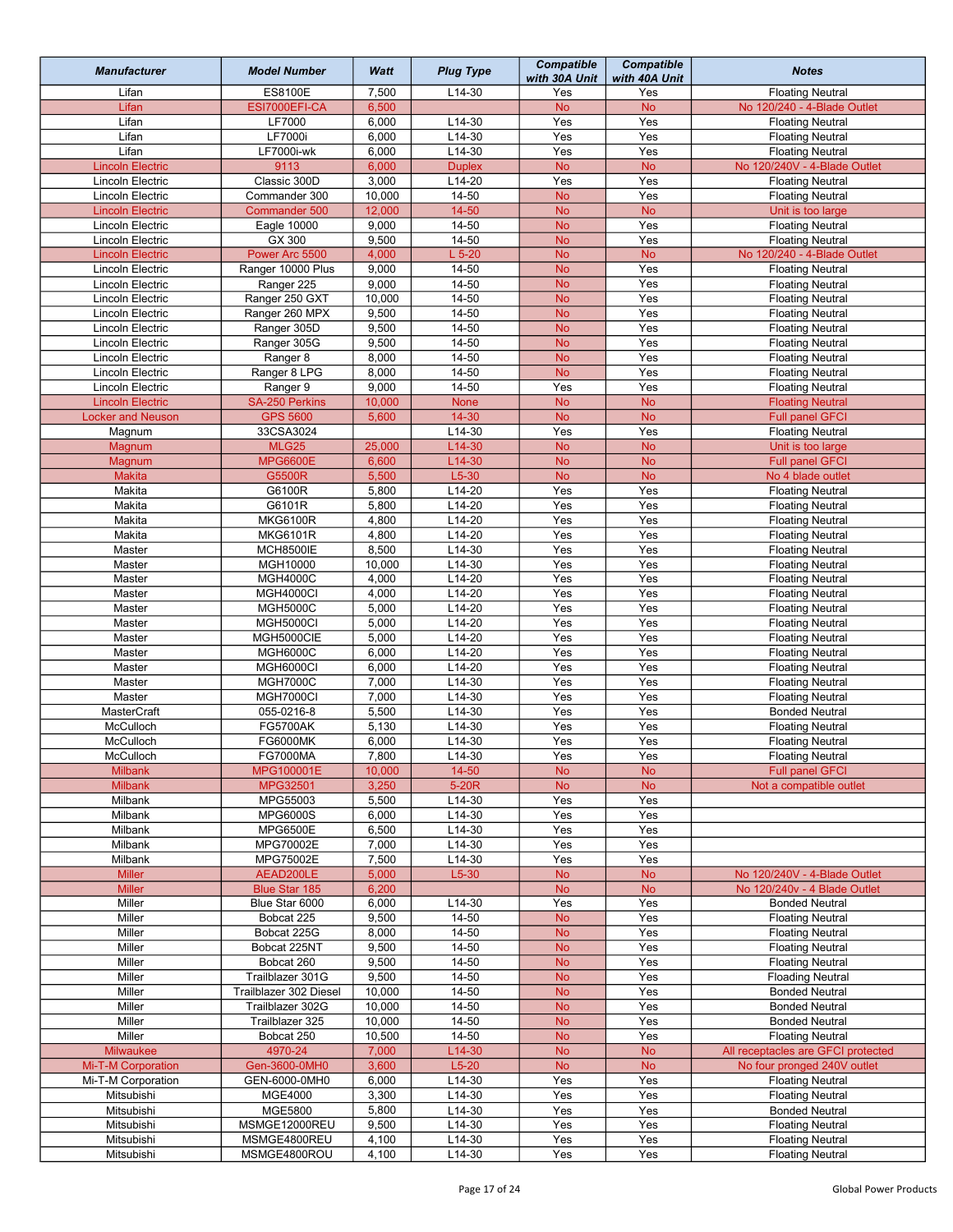| <b>Manufacturer</b>                      | <b>Model Number</b>              | Watt            | <b>Plug Type</b>     | <b>Compatible</b><br>with 30A Unit | <b>Compatible</b><br>with 40A Unit | <b>Notes</b>                                       |
|------------------------------------------|----------------------------------|-----------------|----------------------|------------------------------------|------------------------------------|----------------------------------------------------|
| Lifan                                    | <b>ES8100E</b>                   | 7,500           | $L14-30$             | Yes                                | Yes                                | <b>Floating Neutral</b>                            |
| Lifan                                    | ESI7000EFI-CA                    | 6,500           |                      | <b>No</b>                          | <b>No</b>                          | No 120/240 - 4-Blade Outlet                        |
| Lifan                                    | LF7000                           | 6,000           | $L14-30$             | Yes                                | Yes                                | <b>Floating Neutral</b>                            |
| Lifan                                    | <b>LF7000i</b>                   | 6,000           | $L14-30$             | Yes                                | Yes                                | <b>Floating Neutral</b>                            |
| Lifan                                    | <b>LF7000i-wk</b>                | 6,000           | L14-30               | Yes                                | Yes                                | <b>Floating Neutral</b>                            |
| <b>Lincoln Electric</b>                  | 9113                             | 6,000           | <b>Duplex</b>        | <b>No</b>                          | <b>No</b>                          | No 120/240V - 4-Blade Outlet                       |
| Lincoln Electric                         | Classic 300D                     | 3,000           | $L14-20$             | Yes                                | Yes                                | <b>Floating Neutral</b>                            |
| Lincoln Electric                         | Commander 300                    | 10,000          | 14-50                | <b>No</b>                          | Yes                                | <b>Floating Neutral</b>                            |
| <b>Lincoln Electric</b>                  | Commander 500                    | 12,000          | $14 - 50$            | <b>No</b>                          | <b>No</b>                          | Unit is too large                                  |
| Lincoln Electric                         | Eagle 10000                      | 9,000           | 14-50                | <b>No</b>                          | Yes                                | <b>Floating Neutral</b>                            |
| <b>Lincoln Electric</b>                  | GX 300                           | 9,500           | 14-50                | <b>No</b>                          | Yes                                | <b>Floating Neutral</b>                            |
| <b>Lincoln Electric</b>                  | Power Arc 5500                   | 4,000           | $L$ 5-20             | <b>No</b>                          | <b>No</b>                          | No 120/240 - 4-Blade Outlet                        |
| Lincoln Electric                         | Ranger 10000 Plus                | 9,000           | $14 - 50$            | <b>No</b>                          | Yes                                | <b>Floating Neutral</b>                            |
| Lincoln Electric                         | Ranger 225                       | 9,000<br>10,000 | 14-50<br>14-50       | <b>No</b><br><b>No</b>             | Yes<br>Yes                         | <b>Floating Neutral</b>                            |
| Lincoln Electric<br>Lincoln Electric     | Ranger 250 GXT<br>Ranger 260 MPX | 9,500           | 14-50                | <b>No</b>                          | Yes                                | <b>Floating Neutral</b><br><b>Floating Neutral</b> |
| Lincoln Electric                         | Ranger 305D                      | 9,500           | 14-50                | <b>No</b>                          | Yes                                | <b>Floating Neutral</b>                            |
| Lincoln Electric                         | Ranger 305G                      | 9,500           | $14 - 50$            | <b>No</b>                          | Yes                                | <b>Floating Neutral</b>                            |
| Lincoln Electric                         | Ranger 8                         | 8,000           | 14-50                | <b>No</b>                          | Yes                                | <b>Floating Neutral</b>                            |
| Lincoln Electric                         | Ranger 8 LPG                     | 8,000           | 14-50                | <b>No</b>                          | Yes                                | <b>Floating Neutral</b>                            |
| Lincoln Electric                         | Ranger 9                         | 9,000           | 14-50                | Yes                                | Yes                                | <b>Floating Neutral</b>                            |
| <b>Lincoln Electric</b>                  | SA-250 Perkins                   | 10,000          | <b>None</b>          | <b>No</b>                          | <b>No</b>                          | <b>Floating Neutral</b>                            |
| <b>Locker and Neuson</b>                 | <b>GPS 5600</b>                  | 5,600           | $14 - 30$            | <b>No</b>                          | <b>No</b>                          | <b>Full panel GFCI</b>                             |
| Magnum                                   | 33CSA3024                        |                 | L14-30               | Yes                                | Yes                                | <b>Floating Neutral</b>                            |
| Magnum                                   | <b>MLG25</b>                     | 25,000          | L14-30               | <b>No</b>                          | <b>No</b>                          | Unit is too large                                  |
| Magnum                                   | <b>MPG6600E</b>                  | 6,600           | L14-30               | <b>No</b>                          | <b>No</b>                          | <b>Full panel GFCI</b>                             |
| <b>Makita</b>                            | G5500R                           | 5,500           | $L5-30$              | <b>No</b>                          | <b>No</b>                          | No 4 blade outlet                                  |
| Makita                                   | G6100R                           | 5,800           | $L14-20$             | Yes                                | Yes                                | <b>Floating Neutral</b>                            |
| Makita                                   | G6101R                           | 5,800           | $L14-20$             | Yes                                | Yes                                | <b>Floating Neutral</b>                            |
| Makita                                   | <b>MKG6100R</b>                  | 4,800           | $L14-20$             | Yes                                | Yes                                | <b>Floating Neutral</b>                            |
| Makita                                   | <b>MKG6101R</b>                  | 4,800           | $L14-20$             | Yes                                | Yes                                | <b>Floating Neutral</b>                            |
| Master                                   | <b>MCH8500IE</b>                 | 8,500           | $L14-30$             | Yes                                | Yes                                | <b>Floating Neutral</b>                            |
| Master                                   | MGH10000                         | 10,000          | L14-30               | Yes                                | Yes                                | <b>Floating Neutral</b>                            |
| Master                                   | <b>MGH4000C</b>                  | 4,000           | $L14-20$             | Yes                                | Yes                                | <b>Floating Neutral</b>                            |
| Master                                   | <b>MGH4000CI</b>                 | 4,000           | $L14-20$             | Yes                                | Yes                                | <b>Floating Neutral</b>                            |
| Master                                   | <b>MGH5000C</b>                  | 5,000           | $L14-20$             | Yes                                | Yes                                | <b>Floating Neutral</b>                            |
| Master                                   | <b>MGH5000CI</b>                 | 5,000           | $L14-20$             | Yes                                | Yes                                | <b>Floating Neutral</b>                            |
| Master                                   | MGH5000CIE                       | 5,000           | L14-20               | Yes                                | Yes                                | <b>Floating Neutral</b>                            |
| Master                                   | <b>MGH6000C</b>                  | 6,000           | $L14-20$             | Yes                                | Yes                                | <b>Floating Neutral</b>                            |
| Master                                   | <b>MGH6000CI</b>                 | 6,000           | $L14-20$             | Yes                                | Yes                                | <b>Floating Neutral</b>                            |
| Master                                   | <b>MGH7000C</b>                  | 7,000           | L14-30               | Yes                                | Yes                                | <b>Floating Neutral</b>                            |
| Master<br><b>MasterCraft</b>             | MGH7000CI<br>055-0216-8          | 7,000<br>5,500  | $L14-30$<br>$L14-30$ | Yes<br>Yes                         | Yes<br>Yes                         | <b>Floating Neutral</b><br><b>Bonded Neutral</b>   |
| McCulloch                                | <b>FG5700AK</b>                  | 5,130           | $L14-30$             | Yes                                | Yes                                | <b>Floating Neutral</b>                            |
| McCulloch                                | <b>FG6000MK</b>                  | 6,000           | L14-30               | Yes                                | Yes                                | <b>Floating Neutral</b>                            |
| McCulloch                                | FG7000MA                         | 7,800           | L14-30               |                                    |                                    |                                                    |
| <b>Milbank</b>                           | MPG100001E                       | 10,000          | $14 - 50$            | Yes<br><b>No</b>                   | Yes<br><b>No</b>                   | Floating Neutral<br><b>Full panel GFCI</b>         |
| <b>Milbank</b>                           | MPG32501                         | 3,250           | 5-20R                | <b>No</b>                          | <b>No</b>                          | Not a compatible outlet                            |
| Milbank                                  | MPG55003                         | 5,500           | L14-30               | Yes                                | Yes                                |                                                    |
| Milbank                                  | <b>MPG6000S</b>                  | 6,000           | L14-30               | Yes                                | Yes                                |                                                    |
| Milbank                                  | <b>MPG6500E</b>                  | 6,500           | L14-30               | Yes                                | Yes                                |                                                    |
| Milbank                                  | MPG70002E                        | 7,000           | L14-30               | Yes                                | Yes                                |                                                    |
| Milbank                                  | MPG75002E                        | 7,500           | L14-30               | Yes                                | Yes                                |                                                    |
| <b>Miller</b>                            | AEAD200LE                        | 5,000           | $L5-30$              | <b>No</b>                          | <b>No</b>                          | No 120/240V - 4-Blade Outlet                       |
| <b>Miller</b>                            | <b>Blue Star 185</b>             | 6,200           |                      | <b>No</b>                          | <b>No</b>                          | No 120/240v - 4 Blade Outlet                       |
| Miller                                   | Blue Star 6000                   | 6,000           | L14-30               | Yes                                | Yes                                | <b>Bonded Neutral</b>                              |
| Miller                                   | Bobcat 225                       | 9,500           | 14-50                | No                                 | Yes                                | <b>Floating Neutral</b>                            |
| Miller                                   | Bobcat 225G                      | 8,000           | 14-50                | <b>No</b>                          | Yes                                | <b>Floating Neutral</b>                            |
| Miller                                   | Bobcat 225NT                     | 9,500           | 14-50                | <b>No</b>                          | Yes                                | <b>Floating Neutral</b>                            |
| Miller                                   | Bobcat 260                       | 9,500           | 14-50                | <b>No</b>                          | Yes                                | <b>Floating Neutral</b>                            |
| Miller                                   | Trailblazer 301G                 | 9,500           | 14-50                | <b>No</b>                          | Yes                                | <b>Floading Neutral</b>                            |
| Miller                                   | Trailblazer 302 Diesel           | 10,000          | 14-50                | <b>No</b>                          | Yes                                | <b>Bonded Neutral</b>                              |
| Miller                                   | Trailblazer 302G                 | 10,000          | 14-50                | <b>No</b>                          | Yes                                | <b>Bonded Neutral</b>                              |
| Miller                                   | Trailblazer 325                  | 10,000          | 14-50                | <b>No</b>                          | Yes                                | <b>Bonded Neutral</b>                              |
| Miller                                   | Bobcat 250                       | 10,500          | 14-50                | <b>No</b>                          | Yes                                | <b>Floating Neutral</b>                            |
| Milwaukee                                | 4970-24                          | 7,000           | L14-30               | <b>No</b>                          | <b>No</b>                          | All receptacles are GFCI protected                 |
| Mi-T-M Corporation<br>Mi-T-M Corporation | Gen-3600-0MH0                    | 3,600           | $L5-20$              | <b>No</b>                          | <b>No</b>                          | No four pronged 240V outlet                        |
| Mitsubishi                               | GEN-6000-0MH0<br>MGE4000         | 6,000           | $L14-30$             | Yes<br>Yes                         | Yes<br>Yes                         | <b>Floating Neutral</b>                            |
|                                          |                                  | 3,300<br>5,800  | L14-30               |                                    |                                    | <b>Floating Neutral</b>                            |
| Mitsubishi<br>Mitsubishi                 | <b>MGE5800</b><br>MSMGE12000REU  | 9,500           | L14-30<br>L14-30     | Yes<br>Yes                         | Yes<br>Yes                         | <b>Bonded Neutral</b><br><b>Floating Neutral</b>   |
| Mitsubishi                               | MSMGE4800REU                     | 4,100           | L14-30               | Yes                                | Yes                                | <b>Floating Neutral</b>                            |
| Mitsubishi                               | MSMGE4800ROU                     | 4,100           | L14-30               | Yes                                | Yes                                | <b>Floating Neutral</b>                            |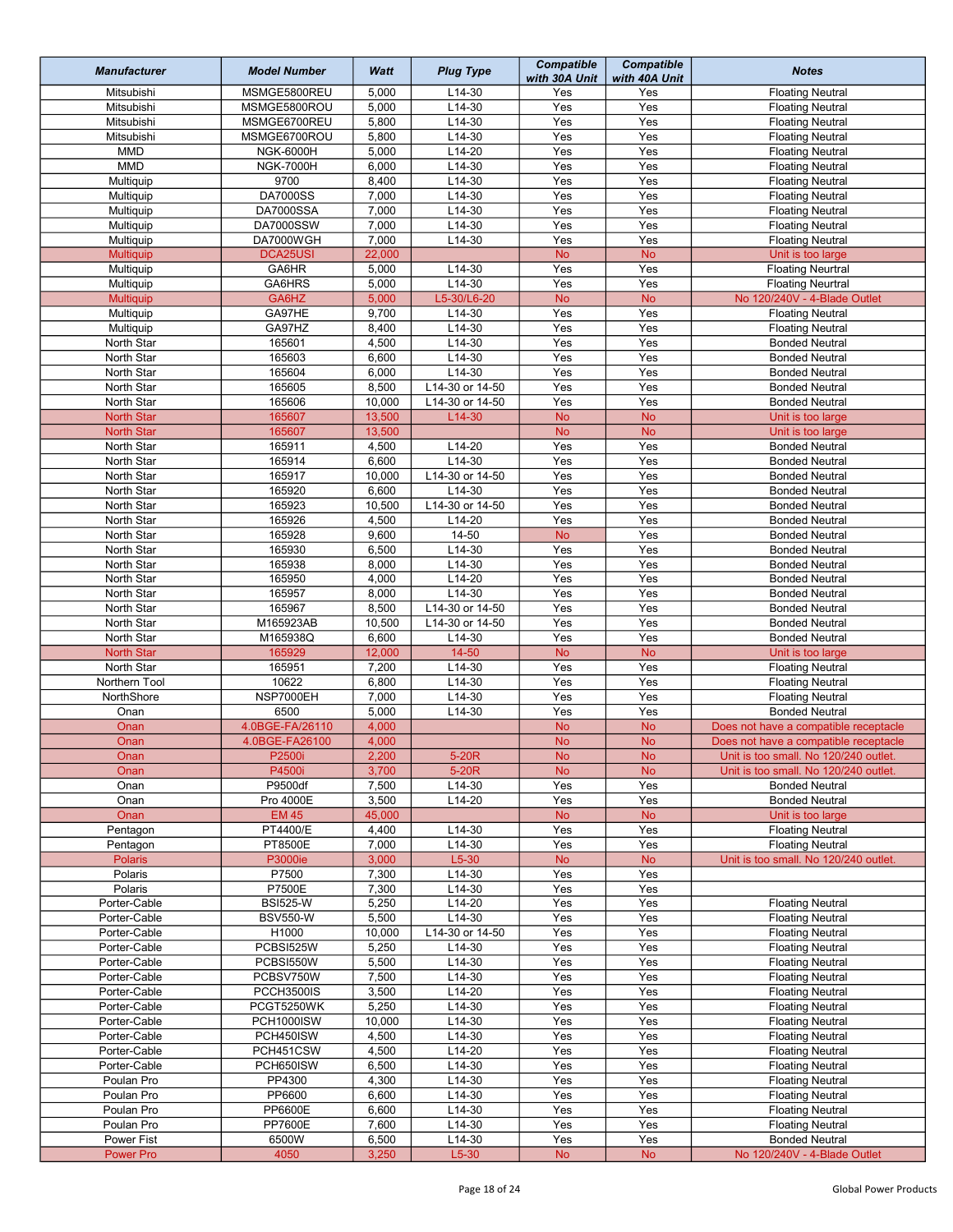| <b>Manufacturer</b>          | <b>Model Number</b> | Watt           | <b>Plug Type</b>        | <b>Compatible</b><br>with 30A Unit | <b>Compatible</b><br>with 40A Unit | <b>Notes</b>                                                     |
|------------------------------|---------------------|----------------|-------------------------|------------------------------------|------------------------------------|------------------------------------------------------------------|
| Mitsubishi                   | MSMGE5800REU        | 5,000          | $L14-30$                | Yes                                | Yes                                | <b>Floating Neutral</b>                                          |
| Mitsubishi                   | MSMGE5800ROU        | 5,000          | L14-30                  | Yes                                | Yes                                | <b>Floating Neutral</b>                                          |
| Mitsubishi                   | MSMGE6700REU        | 5,800          | $L14-30$                | Yes                                | Yes                                | <b>Floating Neutral</b>                                          |
| Mitsubishi                   | MSMGE6700ROU        | 5,800          | $L14-30$                | Yes                                | Yes                                | <b>Floating Neutral</b>                                          |
| <b>MMD</b>                   | <b>NGK-6000H</b>    | 5,000          | $L14-20$                | Yes                                | Yes                                | <b>Floating Neutral</b>                                          |
| <b>MMD</b>                   | <b>NGK-7000H</b>    | 6,000          | L14-30                  | $\overline{Yes}$                   | Yes                                | <b>Floating Neutral</b>                                          |
| Multiquip                    | 9700                | 8,400          | $L14-30$                | Yes                                | Yes                                | <b>Floating Neutral</b>                                          |
| Multiquip                    | <b>DA7000SS</b>     | 7,000          | $L14-30$                | Yes                                | Yes                                | <b>Floating Neutral</b>                                          |
| Multiquip                    | <b>DA7000SSA</b>    | 7,000          | $L14-30$                | Yes                                | Yes                                | <b>Floating Neutral</b>                                          |
| Multiquip                    | <b>DA7000SSW</b>    | 7,000          | L14-30                  | Yes                                | Yes                                | <b>Floating Neutral</b>                                          |
| Multiquip                    | DA7000WGH           | 7,000          | $L14-30$                | Yes                                | Yes                                | <b>Floating Neutral</b>                                          |
| <b>Multiquip</b>             | DCA25USI            | 22,000         |                         | <b>No</b>                          | <b>No</b>                          | Unit is too large                                                |
| Multiquip                    | GA6HR               | 5,000          | L14-30                  | Yes                                | Yes                                | <b>Floating Neurtral</b>                                         |
| Multiquip                    | GA6HRS<br>GA6HZ     | 5,000<br>5,000 | $L14-30$<br>L5-30/L6-20 | Yes<br><b>No</b>                   | Yes<br><b>No</b>                   | <b>Floating Neurtral</b><br>No 120/240V - 4-Blade Outlet         |
| Multiquip                    | GA97HE              | 9,700          | L14-30                  | Yes                                | Yes                                |                                                                  |
| Multiquip                    | GA97HZ              | 8,400          | L14-30                  | Yes                                | Yes                                | <b>Floating Neutral</b>                                          |
| Multiquip<br>North Star      | 165601              | 4,500          | $L14-30$                | $\overline{Yes}$                   | Yes                                | <b>Floating Neutral</b><br><b>Bonded Neutral</b>                 |
| North Star                   | 165603              | 6,600          | $L14-30$                | Yes                                | Yes                                | <b>Bonded Neutral</b>                                            |
| North Star                   | 165604              | 6,000          | $L14-30$                | Yes                                | Yes                                | <b>Bonded Neutral</b>                                            |
| North Star                   | 165605              | 8,500          | L14-30 or 14-50         | Yes                                | Yes                                | <b>Bonded Neutral</b>                                            |
| North Star                   | 165606              | 10,000         | L14-30 or 14-50         | Yes                                | Yes                                | <b>Bonded Neutral</b>                                            |
| <b>North Star</b>            | 165607              | 13,500         | $L14-30$                | <b>No</b>                          | No                                 | Unit is too large                                                |
| <b>North Star</b>            | 165607              | 13,500         |                         | <b>No</b>                          | <b>No</b>                          | Unit is too large                                                |
| North Star                   | 165911              | 4,500          | $L14-20$                | Yes                                | Yes                                | <b>Bonded Neutral</b>                                            |
| North Star                   | 165914              | 6,600          | $L14-30$                | Yes                                | Yes                                | <b>Bonded Neutral</b>                                            |
| North Star                   | 165917              | 10,000         | L14-30 or 14-50         | Yes                                | Yes                                | <b>Bonded Neutral</b>                                            |
| North Star                   | 165920              | 6,600          | L14-30                  | Yes                                | Yes                                | <b>Bonded Neutral</b>                                            |
| North Star                   | 165923              | 10,500         | L14-30 or 14-50         | Yes                                | Yes                                | <b>Bonded Neutral</b>                                            |
| North Star                   | 165926              | 4,500          | $L14-20$                | Yes                                | Yes                                | <b>Bonded Neutral</b>                                            |
| North Star                   | 165928              | 9,600          | $14 - 50$               | <b>No</b>                          | Yes                                | <b>Bonded Neutral</b>                                            |
| North Star                   | 165930              | 6,500          | L14-30                  | Yes                                | Yes                                | <b>Bonded Neutral</b>                                            |
| North Star                   | 165938              | 8,000          | $L14-30$                | Yes                                | Yes                                | <b>Bonded Neutral</b>                                            |
| North Star                   | 165950              | 4,000          | $L14-20$                | Yes                                | Yes                                | <b>Bonded Neutral</b>                                            |
| North Star                   | 165957              | 8,000          | $L14-30$                | Yes                                | Yes                                | <b>Bonded Neutral</b>                                            |
| North Star                   | 165967              | 8,500          | L14-30 or 14-50         | Yes                                | Yes                                | <b>Bonded Neutral</b>                                            |
| North Star                   | M165923AB           | 10,500         | L14-30 or 14-50         | Yes                                | Yes                                | <b>Bonded Neutral</b>                                            |
| North Star                   | M165938Q            | 6,600          | L14-30                  | Yes                                | Yes                                | <b>Bonded Neutral</b>                                            |
| <b>North Star</b>            | 165929              | 12,000         | $14 - 50$               | <b>No</b>                          | <b>No</b>                          | Unit is too large                                                |
| North Star                   | 165951              | 7,200          | $L14-30$                | Yes                                | Yes                                | <b>Floating Neutral</b>                                          |
| Northern Tool                | 10622               | 6,800          | $L14-30$                | Yes                                | Yes                                | <b>Floating Neutral</b>                                          |
| NorthShore                   | NSP7000EH           | 7,000          | L14-30                  | Yes                                | Yes                                | <b>Floating Neutral</b>                                          |
| Onan                         | 6500                | 5,000          | L14-30                  | Yes                                | Yes                                | <b>Bonded Neutral</b>                                            |
| Onan                         | 4.0BGE-FA/26110     | 4,000          |                         | <b>No</b>                          | <b>No</b>                          | Does not have a compatible receptacle                            |
| Onan                         | 4.0BGE-FA26100      | 4,000          |                         | No                                 | No                                 | Does not have a compatible receptacle                            |
| Onan                         | P2500L              | 2,200          | $5-20R$                 | No.                                | No.                                | Unit is too small. No 120/240 outlet.                            |
| Onan                         | P4500i              | 3,700          | 5-20R                   | <b>No</b>                          | <b>No</b>                          | Unit is too small. No 120/240 outlet.                            |
| Onan                         | P9500df             | 7,500          | L14-30                  | Yes                                | Yes                                | <b>Bonded Neutral</b>                                            |
| Onan                         | Pro 4000E           | 3,500          | $L14-20$                | Yes                                | Yes                                | <b>Bonded Neutral</b>                                            |
| Onan                         | <b>EM 45</b>        | 45,000         |                         | <b>No</b>                          | <b>No</b>                          | Unit is too large                                                |
| Pentagon                     | <b>PT4400/E</b>     | 4,400          | $L14-30$                | Yes                                | Yes                                | <b>Floating Neutral</b>                                          |
| Pentagon                     | PT8500E             | 7,000          | L14-30                  | Yes                                | Yes                                | <b>Floating Neutral</b><br>Unit is too small. No 120/240 outlet. |
| <b>Polaris</b><br>Polaris    | P3000ie<br>P7500    | 3,000<br>7,300 | $L5-30$                 | <b>No</b><br>Yes                   | <b>No</b><br>Yes                   |                                                                  |
| Polaris                      | P7500E              |                | $L14-30$<br>$L14-30$    | Yes                                | Yes                                |                                                                  |
|                              | <b>BSI525-W</b>     | 7,300          | L14-20                  | Yes                                | Yes                                | <b>Floating Neutral</b>                                          |
| Porter-Cable                 | <b>BSV550-W</b>     | 5,250<br>5,500 | L14-30                  | Yes                                | Yes                                |                                                                  |
| Porter-Cable<br>Porter-Cable | H1000               | 10,000         | L14-30 or 14-50         | Yes                                | Yes                                | <b>Floating Neutral</b><br><b>Floating Neutral</b>               |
| Porter-Cable                 | PCBSI525W           | 5,250          | $L14-30$                | Yes                                | Yes                                | <b>Floating Neutral</b>                                          |
| Porter-Cable                 | PCBSI550W           | 5,500          | L14-30                  | Yes                                | Yes                                | <b>Floating Neutral</b>                                          |
| Porter-Cable                 | PCBSV750W           | 7,500          | L14-30                  | Yes                                | Yes                                | <b>Floating Neutral</b>                                          |
| Porter-Cable                 | PCCH3500IS          | 3,500          | L14-20                  | Yes                                | Yes                                | <b>Floating Neutral</b>                                          |
| Porter-Cable                 | PCGT5250WK          | 5,250          | L14-30                  | Yes                                | Yes                                | <b>Floating Neutral</b>                                          |
| Porter-Cable                 | PCH1000ISW          | 10,000         | L14-30                  | Yes                                | Yes                                | <b>Floating Neutral</b>                                          |
| Porter-Cable                 | PCH450ISW           | 4,500          | L14-30                  | Yes                                | Yes                                | <b>Floating Neutral</b>                                          |
| Porter-Cable                 | PCH451CSW           | 4,500          | $L14-20$                | Yes                                | Yes                                | <b>Floating Neutral</b>                                          |
| Porter-Cable                 | PCH650ISW           | 6,500          | $L14-30$                | Yes                                | Yes                                | <b>Floating Neutral</b>                                          |
| Poulan Pro                   | PP4300              | 4,300          | $L14-30$                | Yes                                | Yes                                | <b>Floating Neutral</b>                                          |
| Poulan Pro                   | PP6600              | 6,600          | $L14-30$                | Yes                                | Yes                                | <b>Floating Neutral</b>                                          |
| Poulan Pro                   | PP6600E             | 6,600          | L14-30                  | Yes                                | Yes                                | <b>Floating Neutral</b>                                          |
| Poulan Pro                   | <b>PP7600E</b>      | 7,600          | L14-30                  | Yes                                | Yes                                | <b>Floating Neutral</b>                                          |
| Power Fist                   | 6500W               | 6,500          | L14-30                  | Yes                                | Yes                                | <b>Bonded Neutral</b>                                            |
| <b>Power Pro</b>             | 4050                | 3,250          | $L5-30$                 | ${\sf No}$                         | <b>No</b>                          | No 120/240V - 4-Blade Outlet                                     |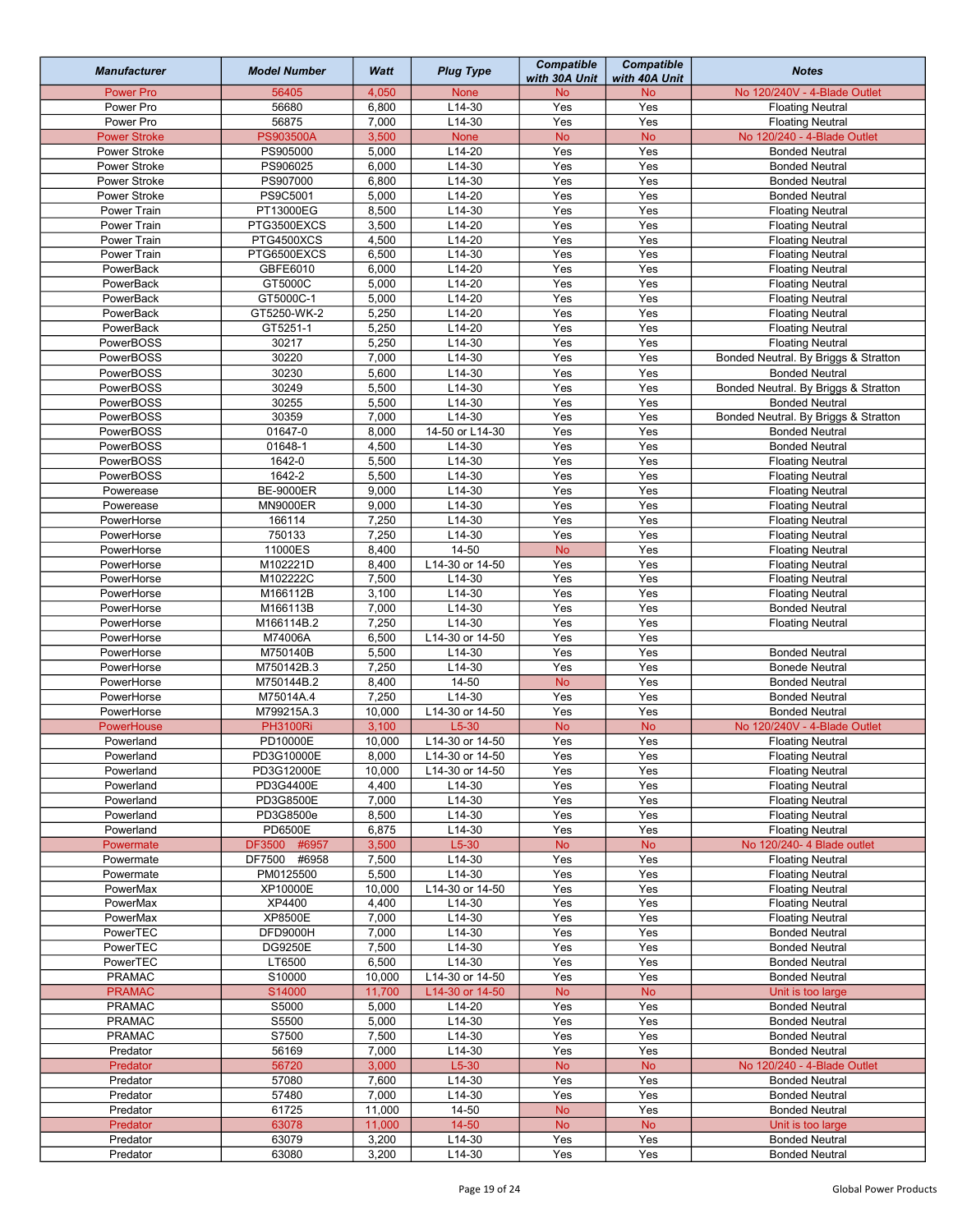| <b>Manufacturer</b>    | <b>Model Number</b>                    | Watt           | <b>Plug Type</b>     | <b>Compatible</b><br>with 30A Unit | <b>Compatible</b><br>with 40A Unit | <b>Notes</b>                                         |
|------------------------|----------------------------------------|----------------|----------------------|------------------------------------|------------------------------------|------------------------------------------------------|
| <b>Power Pro</b>       | 56405                                  | 4,050          | <b>None</b>          | No                                 | <b>No</b>                          | No 120/240V - 4-Blade Outlet                         |
| Power Pro              | 56680                                  | 6,800          | L14-30               | Yes                                | Yes                                | <b>Floating Neutral</b>                              |
| Power Pro              | 56875                                  | 7,000          | $L14-30$             | Yes                                | Yes                                | <b>Floating Neutral</b>                              |
| <b>Power Stroke</b>    | <b>PS903500A</b>                       | 3,500          | <b>None</b>          | <b>No</b>                          | <b>No</b>                          | No 120/240 - 4-Blade Outlet                          |
| Power Stroke           | PS905000                               | 5,000          | $L14-20$             | Yes                                | Yes                                | <b>Bonded Neutral</b>                                |
| Power Stroke           | PS906025                               | 6,000          | L14-30               | Yes                                | Yes                                | <b>Bonded Neutral</b>                                |
| Power Stroke           | PS907000                               | 6,800          | L14-30               | Yes                                | Yes                                | <b>Bonded Neutral</b>                                |
| Power Stroke           | PS9C5001                               | 5,000          | $L14-20$             | Yes                                | Yes                                | <b>Bonded Neutral</b>                                |
| Power Train            | PT13000EG                              | 8,500          | $L14-30$             | Yes                                | Yes                                | <b>Floating Neutral</b>                              |
| Power Train            | PTG3500EXCS                            | 3,500          | $L14-20$             | Yes                                | Yes                                | <b>Floating Neutral</b>                              |
| Power Train            | PTG4500XCS                             | 4,500          | $L14-20$             | Yes                                | Yes                                | <b>Floating Neutral</b>                              |
| Power Train            | PTG6500EXCS                            | 6,500          | L14-30               | Yes                                | Yes                                | <b>Floating Neutral</b>                              |
| PowerBack              | GBFE6010                               | 6,000          | $L14-20$             | Yes                                | Yes                                | <b>Floating Neutral</b>                              |
| PowerBack              | GT5000C                                | 5,000          | L14-20               | Yes<br>Yes                         | Yes<br>Yes                         | <b>Floating Neutral</b>                              |
| PowerBack              | GT5000C-1                              | 5,000<br>5,250 | $L14-20$<br>$L14-20$ | Yes                                | Yes                                | <b>Floating Neutral</b>                              |
| PowerBack<br>PowerBack | GT5250-WK-2<br>GT5251-1                | 5,250          | $L14-20$             | Yes                                | Yes                                | <b>Floating Neutral</b><br><b>Floating Neutral</b>   |
| PowerBOSS              | 30217                                  | 5,250          | $L14-30$             | Yes                                | Yes                                | <b>Floating Neutral</b>                              |
| PowerBOSS              | 30220                                  | 7,000          | $L14-30$             | Yes                                | Yes                                | Bonded Neutral. By Briggs & Stratton                 |
| PowerBOSS              | 30230                                  | 5,600          | L14-30               | Yes                                | Yes                                | <b>Bonded Neutral</b>                                |
| PowerBOSS              | 30249                                  | 5,500          | L14-30               | Yes                                | Yes                                | Bonded Neutral. By Briggs & Stratton                 |
| PowerBOSS              | 30255                                  | 5,500          | L14-30               | Yes                                | Yes                                | <b>Bonded Neutral</b>                                |
| PowerBOSS              | 30359                                  | 7,000          | $L14-30$             | Yes                                | Yes                                | Bonded Neutral. By Briggs & Stratton                 |
| PowerBOSS              | 01647-0                                | 8,000          | 14-50 or L14-30      | Yes                                | Yes                                | <b>Bonded Neutral</b>                                |
| PowerBOSS              | 01648-1                                | 4,500          | $L14-30$             | Yes                                | Yes                                | <b>Bonded Neutral</b>                                |
| PowerBOSS              | 1642-0                                 | 5,500          | $L14-30$             | Yes                                | Yes                                | <b>Floating Neutral</b>                              |
| PowerBOSS              | 1642-2                                 | 5,500          | L14-30               | Yes                                | Yes                                | <b>Floating Neutral</b>                              |
| Powerease              | <b>BE-9000ER</b>                       | 9,000          | $L14-30$             | Yes                                | Yes                                | <b>Floating Neutral</b>                              |
| Powerease              | <b>MN9000ER</b>                        | 9,000          | $L14-30$             | Yes                                | Yes                                | <b>Floating Neutral</b>                              |
| PowerHorse             | 166114                                 | 7,250          | L14-30               | Yes                                | Yes                                | <b>Floating Neutral</b>                              |
| PowerHorse             | 750133                                 | 7,250          | L14-30               | Yes                                | Yes                                | <b>Floating Neutral</b>                              |
| PowerHorse             | 11000ES                                | 8,400          | $14 - 50$            | <b>No</b>                          | Yes                                | <b>Floating Neutral</b>                              |
| PowerHorse             | M102221D                               | 8,400          | L14-30 or 14-50      | Yes                                | Yes                                | <b>Floating Neutral</b>                              |
| PowerHorse             | M102222C                               | 7,500          | $L14-30$             | Yes                                | Yes                                | <b>Floating Neutral</b>                              |
| PowerHorse             | M166112B                               | 3,100          | $L14-30$             | Yes                                | Yes                                | <b>Floating Neutral</b>                              |
| PowerHorse             | M166113B                               | 7,000          | $L14-30$             | Yes                                | Yes                                | <b>Bonded Neutral</b>                                |
| PowerHorse             | M166114B.2                             | 7,250          | L14-30               | Yes                                | Yes                                | <b>Floating Neutral</b>                              |
| PowerHorse             | M74006A                                | 6,500          | L14-30 or 14-50      | Yes                                | Yes                                |                                                      |
| PowerHorse             | M750140B                               | 5,500          | $L14-30$             | Yes                                | Yes                                | <b>Bonded Neutral</b>                                |
| PowerHorse             | M750142B.3                             | 7,250          | $L14-30$             | Yes                                | Yes                                | <b>Bonede Neutral</b>                                |
| PowerHorse             | M750144B.2                             | 8,400          | 14-50                | <b>No</b>                          | Yes                                | <b>Bonded Neutral</b>                                |
| PowerHorse             | M75014A.4                              | 7,250          | $L14-30$             | Yes                                | Yes                                | <b>Bonded Neutral</b>                                |
| PowerHorse             | M799215A.3                             | 10,000         | L14-30 or 14-50      | Yes                                | Yes                                | <b>Bonded Neutral</b>                                |
| <b>PowerHouse</b>      | <b>PH3100Ri</b>                        | 3,100          | $L5-30$              | <b>No</b>                          | <b>No</b>                          | No 120/240V - 4-Blade Outlet                         |
| Powerland              | PD10000E                               | 10,000         | L14-30 or 14-50      | Yes                                | Yes                                | <b>Floating Neutral</b>                              |
| Powerland              | PD3G10000E                             | 8,000          | L14-30 or 14-50      | Yes                                | Yes                                | <b>Floating Neutral</b>                              |
| Powerland              | PD3G12000E                             | 10,000         | L14-30 or 14-50      | Yes                                | Yes                                | <b>Floating Neutral</b>                              |
| Powerland              | PD3G4400E                              | 4,400          | L14-30               | Yes                                | Yes                                | <b>Floating Neutral</b>                              |
| Powerland              | PD3G8500E                              | 7,000          | $L14-30$             | Yes                                | Yes                                | <b>Floating Neutral</b>                              |
| Powerland              | PD3G8500e<br><b>PD6500E</b>            | 8,500          | L14-30<br>$L14-30$   | $\overline{Yes}$<br>Yes            | Yes<br>Yes                         | <b>Floating Neutral</b>                              |
| Powerland              |                                        | 6,875          |                      |                                    |                                    | <b>Floating Neutral</b><br>No 120/240-4 Blade outlet |
| Powermate<br>Powermate | DF3500 #6957<br><b>DF7500</b><br>#6958 | 3,500<br>7,500 | $L5-30$<br>L14-30    | <b>No</b><br>Yes                   | <b>No</b><br>Yes                   | <b>Floating Neutral</b>                              |
| Powermate              | PM0125500                              | 5,500          | L14-30               | Yes                                | Yes                                | <b>Floating Neutral</b>                              |
| PowerMax               | XP10000E                               | 10,000         | L14-30 or 14-50      | Yes                                | Yes                                | <b>Floating Neutral</b>                              |
| PowerMax               | XP4400                                 | 4,400          | $L14-30$             | Yes                                | Yes                                | <b>Floating Neutral</b>                              |
| PowerMax               | XP8500E                                | 7,000          | L14-30               | Yes                                | Yes                                | <b>Floating Neutral</b>                              |
| PowerTEC               | <b>DFD9000H</b>                        | 7,000          | L14-30               | Yes                                | Yes                                | <b>Bonded Neutral</b>                                |
| PowerTEC               | DG9250E                                | 7,500          | $L14-30$             | Yes                                | Yes                                | <b>Bonded Neutral</b>                                |
| PowerTEC               | LT6500                                 | 6,500          | L14-30               | Yes                                | Yes                                | <b>Bonded Neutral</b>                                |
| <b>PRAMAC</b>          | S10000                                 | 10,000         | L14-30 or 14-50      | Yes                                | Yes                                | <b>Bonded Neutral</b>                                |
| <b>PRAMAC</b>          | S14000                                 | 11,700         | L14-30 or 14-50      | <b>No</b>                          | <b>No</b>                          | Unit is too large                                    |
| <b>PRAMAC</b>          | S5000                                  | 5,000          | L14-20               | Yes                                | Yes                                | <b>Bonded Neutral</b>                                |
| <b>PRAMAC</b>          | S5500                                  | 5,000          | L14-30               | Yes                                | Yes                                | <b>Bonded Neutral</b>                                |
| <b>PRAMAC</b>          | S7500                                  | 7,500          | L14-30               | Yes                                | Yes                                | <b>Bonded Neutral</b>                                |
| Predator               | 56169                                  | 7,000          | L14-30               | Yes                                | Yes                                | <b>Bonded Neutral</b>                                |
| Predator               | 56720                                  | 3,000          | $L5-30$              | No                                 | <b>No</b>                          | No 120/240 - 4-Blade Outlet                          |
| Predator               | 57080                                  | 7,600          | $L14-30$             | Yes                                | Yes                                | <b>Bonded Neutral</b>                                |
| Predator               | 57480                                  | 7,000          | L14-30               | Yes                                | Yes                                | <b>Bonded Neutral</b>                                |
| Predator               | 61725                                  | 11,000         | 14-50                | <b>No</b>                          | Yes                                | <b>Bonded Neutral</b>                                |
| Predator               | 63078                                  | 11,000         | $14 - 50$            | <b>No</b>                          | <b>No</b>                          | Unit is too large                                    |
| Predator               | 63079                                  | 3,200          | L14-30               | Yes                                | Yes                                | <b>Bonded Neutral</b>                                |
| Predator               | 63080                                  | 3,200          | L14-30               | Yes                                | Yes                                | <b>Bonded Neutral</b>                                |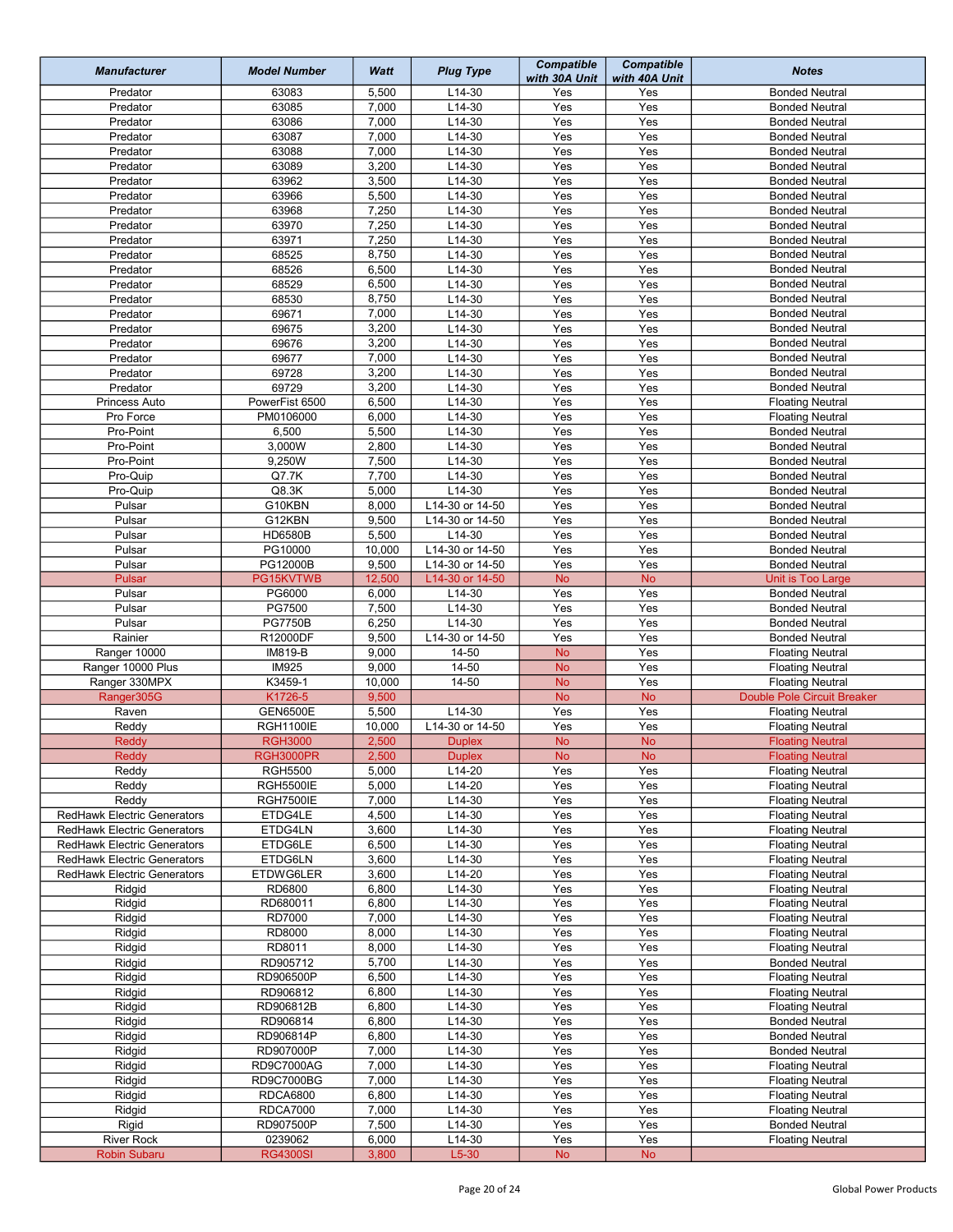| <b>Manufacturer</b>                                               | <b>Model Number</b> | Watt           | <b>Plug Type</b>   | <b>Compatible</b><br>with 30A Unit | <b>Compatible</b><br>with 40A Unit | <b>Notes</b>                                       |
|-------------------------------------------------------------------|---------------------|----------------|--------------------|------------------------------------|------------------------------------|----------------------------------------------------|
| Predator                                                          | 63083               | 5,500          | $L14-30$           | Yes                                | Yes                                | <b>Bonded Neutral</b>                              |
| Predator                                                          | 63085               | 7,000          | L14-30             | Yes                                | Yes                                | <b>Bonded Neutral</b>                              |
| Predator                                                          | 63086               | 7,000          | $L14-30$           | Yes                                | Yes                                | <b>Bonded Neutral</b>                              |
| Predator                                                          | 63087               | 7,000          | $L14-30$           | Yes                                | Yes                                | <b>Bonded Neutral</b>                              |
| Predator                                                          | 63088               | 7,000          | $L14-30$           | Yes                                | Yes                                | <b>Bonded Neutral</b>                              |
| Predator                                                          | 63089               | 3,200          | L14-30             | Yes                                | Yes                                | <b>Bonded Neutral</b>                              |
| Predator                                                          | 63962               | 3,500          | $L14-30$           | Yes                                | Yes                                | <b>Bonded Neutral</b>                              |
| Predator                                                          | 63966               | 5,500          | $L14-30$           | Yes                                | Yes                                | <b>Bonded Neutral</b>                              |
| Predator                                                          | 63968               | 7,250          | L14-30             | Yes                                | Yes                                | <b>Bonded Neutral</b>                              |
| Predator                                                          | 63970               | 7,250          | $L14-30$           | Yes                                | Yes                                | <b>Bonded Neutral</b>                              |
| Predator                                                          | 63971               | 7,250          | $L14-30$           | Yes                                | Yes                                | <b>Bonded Neutral</b>                              |
| Predator                                                          | 68525               | 8,750          | L14-30             | Yes                                | Yes                                | <b>Bonded Neutral</b>                              |
| Predator                                                          | 68526               | 6,500<br>6,500 | L14-30<br>L14-30   | Yes                                | Yes<br>Yes                         | <b>Bonded Neutral</b><br><b>Bonded Neutral</b>     |
| Predator<br>Predator                                              | 68529<br>68530      | 8,750          | $L14-30$           | Yes<br>Yes                         | Yes                                | <b>Bonded Neutral</b>                              |
| Predator                                                          | 69671               | 7,000          | L14-30             | Yes                                | Yes                                | <b>Bonded Neutral</b>                              |
| Predator                                                          | 69675               | 3,200          | $L14-30$           | Yes                                | Yes                                | <b>Bonded Neutral</b>                              |
| Predator                                                          | 69676               | 3,200          | L14-30             | Yes                                | Yes                                | <b>Bonded Neutral</b>                              |
| Predator                                                          | 69677               | 7,000          | L14-30             | Yes                                | Yes                                | <b>Bonded Neutral</b>                              |
| Predator                                                          | 69728               | 3,200          | L14-30             | Yes                                | Yes                                | <b>Bonded Neutral</b>                              |
| Predator                                                          | 69729               | 3,200          | L14-30             | Yes                                | Yes                                | <b>Bonded Neutral</b>                              |
| Princess Auto                                                     | PowerFist 6500      | 6,500          | L14-30             | Yes                                | Yes                                | <b>Floating Neutral</b>                            |
| Pro Force                                                         | PM0106000           | 6,000          | L14-30             | Yes                                | Yes                                | <b>Floating Neutral</b>                            |
| Pro-Point                                                         | 6,500               | 5,500          | $L14-30$           | Yes                                | Yes                                | <b>Bonded Neutral</b>                              |
| Pro-Point                                                         | 3,000W              | 2,800          | $L14-30$           | Yes                                | Yes                                | <b>Bonded Neutral</b>                              |
| Pro-Point                                                         | 9,250W              | 7,500          | $L14-30$           | Yes                                | Yes                                | <b>Bonded Neutral</b>                              |
| Pro-Quip                                                          | Q7.7K               | 7,700          | $L14-30$           | Yes                                | Yes                                | <b>Bonded Neutral</b>                              |
| Pro-Quip                                                          | Q8.3K               | 5,000          | L14-30             | Yes                                | Yes                                | <b>Bonded Neutral</b>                              |
| Pulsar                                                            | G10KBN              | 8,000          | L14-30 or 14-50    | Yes                                | Yes                                | <b>Bonded Neutral</b>                              |
| Pulsar                                                            | G12KBN              | 9,500          | L14-30 or 14-50    | Yes                                | Yes                                | <b>Bonded Neutral</b>                              |
| Pulsar                                                            | HD6580B             | 5,500          | $L14-30$           | Yes                                | Yes                                | <b>Bonded Neutral</b>                              |
| Pulsar                                                            | PG10000             | 10,000         | L14-30 or 14-50    | Yes                                | Yes                                | <b>Bonded Neutral</b>                              |
| Pulsar                                                            | PG12000B            | 9,500          | L14-30 or 14-50    | Yes                                | Yes                                | <b>Bonded Neutral</b>                              |
| Pulsar                                                            | PG15KVTWB           | 12,500         | L14-30 or 14-50    | <b>No</b>                          | <b>No</b>                          | Unit is Too Large                                  |
| Pulsar                                                            | PG6000              | 6,000          | $L14-30$           | Yes                                | Yes                                | <b>Bonded Neutral</b>                              |
| Pulsar                                                            | PG7500              | 7,500          | L14-30             | Yes                                | Yes                                | <b>Bonded Neutral</b>                              |
| Pulsar                                                            | <b>PG7750B</b>      | 6,250          | $L14-30$           | Yes                                | Yes                                | <b>Bonded Neutral</b>                              |
| Rainier                                                           | R12000DF            | 9,500          | L14-30 or 14-50    | Yes                                | Yes                                | <b>Bonded Neutral</b>                              |
| Ranger 10000                                                      | IM819-B             | 9,000          | 14-50              | <b>No</b>                          | Yes                                | <b>Floating Neutral</b>                            |
| Ranger 10000 Plus                                                 | <b>IM925</b>        | 9,000          | 14-50              | <b>No</b>                          | Yes                                | <b>Floating Neutral</b>                            |
| Ranger 330MPX                                                     | K3459-1             | 10,000         | 14-50              | <b>No</b>                          | Yes                                | <b>Floating Neutral</b>                            |
| Ranger305G                                                        | K1726-5             | 9,500          |                    | <b>No</b>                          | <b>No</b>                          | Double Pole Circuit Breaker                        |
| Raven                                                             | <b>GEN6500E</b>     | 5,500          | L14-30             | Yes                                | Yes                                | <b>Floating Neutral</b>                            |
| Reddy                                                             | <b>RGH1100IE</b>    | 10,000         | L14-30 or 14-50    | Yes                                | Yes                                | <b>Floating Neutral</b>                            |
| Reddy                                                             | <b>RGH3000</b>      | 2,500          | <b>Duplex</b>      | <b>No</b>                          | <b>No</b>                          | <b>Floating Neutral</b>                            |
| Reddy                                                             | RGH3000PR           | 2,500          | <b>Duplex</b>      | No.                                | No.                                | <b>Floating Neutral</b>                            |
| Reddy                                                             | <b>RGH5500</b>      | 5,000          | L14-20             | Yes                                | Yes                                | <b>Floating Neutral</b>                            |
| Reddy                                                             | <b>RGH5500IE</b>    | 5,000          | $L14-20$           | Yes                                | Yes                                | <b>Floating Neutral</b>                            |
| Reddy                                                             | <b>RGH7500IE</b>    | 7,000<br>4,500 | $L14-30$<br>L14-30 | Yes<br>Yes                         | Yes<br>Yes                         | <b>Floating Neutral</b><br><b>Floating Neutral</b> |
| <b>RedHawk Electric Generators</b><br>RedHawk Electric Generators | ETDG4LE<br>ETDG4LN  | 3,600          | $L14-30$           | Yes                                | Yes                                | <b>Floating Neutral</b>                            |
| RedHawk Electric Generators                                       | ETDG6LE             | 6,500          | $L14-30$           | Yes                                | Yes                                | <b>Floating Neutral</b>                            |
| RedHawk Electric Generators                                       | ETDG6LN             | 3,600          | L14-30             | Yes                                | Yes                                | <b>Floating Neutral</b>                            |
| RedHawk Electric Generators                                       | ETDWG6LER           | 3,600          | $L14-20$           | Yes                                | Yes                                | <b>Floating Neutral</b>                            |
| Ridgid                                                            | RD6800              | 6,800          | L14-30             | Yes                                | Yes                                | <b>Floating Neutral</b>                            |
| Ridgid                                                            | RD680011            | 6,800          | L14-30             | Yes                                | Yes                                | <b>Floating Neutral</b>                            |
| Ridgid                                                            | RD7000              | 7,000          | L14-30             | Yes                                | Yes                                | <b>Floating Neutral</b>                            |
| Ridgid                                                            | RD8000              | 8,000          | L14-30             | Yes                                | Yes                                | <b>Floating Neutral</b>                            |
| Ridgid                                                            | RD8011              | 8,000          | L14-30             | Yes                                | Yes                                | <b>Floating Neutral</b>                            |
| Ridgid                                                            | RD905712            | 5,700          | L14-30             | Yes                                | Yes                                | <b>Bonded Neutral</b>                              |
| Ridgid                                                            | RD906500P           | 6,500          | L14-30             | Yes                                | Yes                                | <b>Floating Neutral</b>                            |
| Ridgid                                                            | RD906812            | 6,800          | L14-30             | Yes                                | Yes                                | <b>Floating Neutral</b>                            |
| Ridgid                                                            | RD906812B           | 6,800          | $L14-30$           | Yes                                | Yes                                | <b>Floating Neutral</b>                            |
| Ridgid                                                            | RD906814            | 6,800          | L14-30             | Yes                                | Yes                                | <b>Bonded Neutral</b>                              |
| Ridgid                                                            | RD906814P           | 6,800          | L14-30             | Yes                                | Yes                                | <b>Bonded Neutral</b>                              |
| Ridgid                                                            | RD907000P           | 7,000          | L14-30             | Yes                                | Yes                                | <b>Bonded Neutral</b>                              |
| Ridgid                                                            | <b>RD9C7000AG</b>   | 7,000          | $L14-30$           | Yes                                | Yes                                | <b>Floating Neutral</b>                            |
| Ridgid                                                            | RD9C7000BG          | 7,000          | $L14-30$           | Yes                                | Yes                                | <b>Floating Neutral</b>                            |
| Ridgid                                                            | <b>RDCA6800</b>     | 6,800          | L14-30             | Yes                                | Yes                                | <b>Floating Neutral</b>                            |
| Ridgid                                                            | <b>RDCA7000</b>     | 7,000          | $L14-30$           | Yes                                | Yes                                | <b>Floating Neutral</b>                            |
| Rigid                                                             | RD907500P           | 7,500          | $L14-30$           | Yes                                | Yes                                | <b>Bonded Neutral</b>                              |
| <b>River Rock</b>                                                 | 0239062             | 6,000          | L14-30             | Yes                                | Yes                                | <b>Floating Neutral</b>                            |
| Robin Subaru                                                      | <b>RG4300SI</b>     | 3,800          | $L5-30$            | ${\sf No}$                         | $\mathsf{No}$                      |                                                    |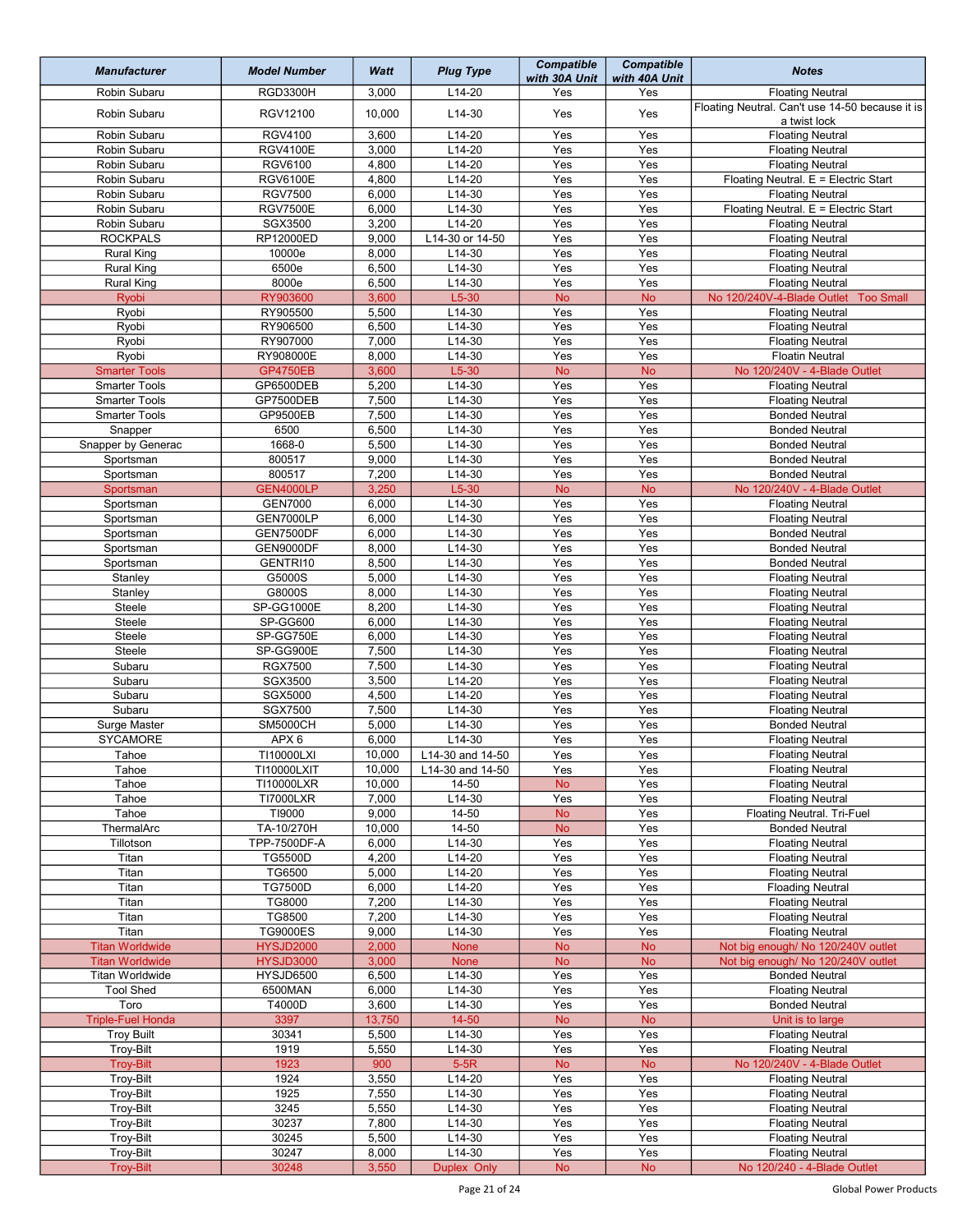| <b>Manufacturer</b>             | <b>Model Number</b>               | Watt           | <b>Plug Type</b>     | <b>Compatible</b><br>with 30A Unit | <b>Compatible</b><br>with 40A Unit | <b>Notes</b>                                                    |
|---------------------------------|-----------------------------------|----------------|----------------------|------------------------------------|------------------------------------|-----------------------------------------------------------------|
| Robin Subaru                    | RGD3300H                          | 3,000          | $L14-20$             | Yes                                | Yes                                | <b>Floating Neutral</b>                                         |
| Robin Subaru                    | RGV12100                          | 10,000         | $L14-30$             | Yes                                | Yes                                | Floating Neutral. Can't use 14-50 because it is<br>a twist lock |
| Robin Subaru                    | <b>RGV4100</b>                    | 3,600          | $L14-20$             | Yes                                | Yes                                | <b>Floating Neutral</b>                                         |
| Robin Subaru                    | <b>RGV4100E</b>                   | 3,000          | L14-20               | Yes                                | Yes                                | <b>Floating Neutral</b>                                         |
| Robin Subaru                    | <b>RGV6100</b>                    | 4,800          | $L14-20$             | Yes<br>Yes                         | Yes                                | <b>Floating Neutral</b>                                         |
| Robin Subaru<br>Robin Subaru    | <b>RGV6100E</b><br><b>RGV7500</b> | 4,800<br>6,000 | L14-20<br>L14-30     | Yes                                | Yes<br>Yes                         | Floating Neutral. E = Electric Start<br><b>Floating Neutral</b> |
| Robin Subaru                    | <b>RGV7500E</b>                   | 6,000          | $L14-30$             | Yes                                | Yes                                | Floating Neutral. E = Electric Start                            |
| Robin Subaru                    | SGX3500                           | 3,200          | $L14-20$             | Yes                                | Yes                                | <b>Floating Neutral</b>                                         |
| <b>ROCKPALS</b>                 | RP12000ED                         | 9,000          | L14-30 or 14-50      | Yes                                | Yes                                | <b>Floating Neutral</b>                                         |
| <b>Rural King</b>               | 10000e                            | 8,000          | $L14-30$             | Yes                                | Yes                                | <b>Floating Neutral</b>                                         |
| <b>Rural King</b>               | 6500e                             | 6,500          | $L14-30$             | Yes                                | Yes                                | <b>Floating Neutral</b>                                         |
| <b>Rural King</b>               | 8000e                             | 6,500          | $L14-30$             | Yes                                | Yes                                | <b>Floating Neutral</b>                                         |
| Ryobi                           | RY903600                          | 3,600          | $L5-30$              | <b>No</b>                          | <b>No</b>                          | No 120/240V-4-Blade Outlet<br><b>Too Small</b>                  |
| Ryobi<br>Ryobi                  | RY905500<br>RY906500              | 5,500<br>6,500 | $L14-30$<br>$L14-30$ | Yes<br>Yes                         | Yes<br>Yes                         | <b>Floating Neutral</b><br><b>Floating Neutral</b>              |
| Ryobi                           | RY907000                          | 7,000          | L14-30               | Yes                                | Yes                                | <b>Floating Neutral</b>                                         |
| Ryobi                           | RY908000E                         | 8,000          | L14-30               | Yes                                | Yes                                | <b>Floatin Neutral</b>                                          |
| <b>Smarter Tools</b>            | <b>GP4750EB</b>                   | 3,600          | $L5-30$              | <b>No</b>                          | <b>No</b>                          | No 120/240V - 4-Blade Outlet                                    |
| <b>Smarter Tools</b>            | GP6500DEB                         | 5,200          | $L14-30$             | Yes                                | Yes                                | <b>Floating Neutral</b>                                         |
| <b>Smarter Tools</b>            | GP7500DEB                         | 7,500          | L14-30               | Yes                                | Yes                                | <b>Floating Neutral</b>                                         |
| <b>Smarter Tools</b>            | GP9500EB                          | 7,500          | $L14-30$             | Yes                                | Yes                                | <b>Bonded Neutral</b>                                           |
| Snapper                         | 6500                              | 6,500          | $L14-30$             | Yes                                | Yes                                | <b>Bonded Neutral</b>                                           |
| Snapper by Generac<br>Sportsman | 1668-0<br>800517                  | 5,500<br>9,000 | L14-30<br>L14-30     | Yes<br>Yes                         | Yes<br>Yes                         | <b>Bonded Neutral</b><br><b>Bonded Neutral</b>                  |
| Sportsman                       | 800517                            | 7,200          | $L14-30$             | Yes                                | Yes                                | <b>Bonded Neutral</b>                                           |
| Sportsman                       | <b>GEN4000LP</b>                  | 3,250          | $L5-30$              | <b>No</b>                          | <b>No</b>                          | No 120/240V - 4-Blade Outlet                                    |
| Sportsman                       | <b>GEN7000</b>                    | 6,000          | L14-30               | Yes                                | Yes                                | <b>Floating Neutral</b>                                         |
| Sportsman                       | GEN7000LP                         | 6,000          | $L14-30$             | Yes                                | Yes                                | <b>Floating Neutral</b>                                         |
| Sportsman                       | GEN7500DF                         | 6,000          | L14-30               | Yes                                | Yes                                | <b>Bonded Neutral</b>                                           |
| Sportsman                       | GEN9000DF                         | 8,000          | L14-30               | Yes                                | Yes                                | <b>Bonded Neutral</b>                                           |
| Sportsman                       | GENTRI10                          | 8,500          | $L14-30$             | Yes                                | Yes                                | <b>Bonded Neutral</b>                                           |
| Stanley                         | G5000S<br>G8000S                  | 5,000<br>8,000 | $L14-30$<br>$L14-30$ | Yes<br>Yes                         | Yes<br>Yes                         | <b>Floating Neutral</b>                                         |
| Stanley<br>Steele               | SP-GG1000E                        | 8,200          | L14-30               | Yes                                | Yes                                | <b>Floating Neutral</b><br><b>Floating Neutral</b>              |
| Steele                          | SP-GG600                          | 6,000          | L14-30               | Yes                                | Yes                                | <b>Floating Neutral</b>                                         |
| Steele                          | SP-GG750E                         | 6,000          | L14-30               | Yes                                | Yes                                | <b>Floating Neutral</b>                                         |
| Steele                          | SP-GG900E                         | 7,500          | L14-30               | Yes                                | Yes                                | <b>Floating Neutral</b>                                         |
| Subaru                          | <b>RGX7500</b>                    | 7,500          | L14-30               | Yes                                | Yes                                | <b>Floating Neutral</b>                                         |
| Subaru                          | SGX3500                           | 3,500          | $L14-20$             | Yes                                | Yes                                | <b>Floating Neutral</b>                                         |
| Subaru                          | SGX5000                           | 4,500          | $L14-20$             | Yes                                | Yes                                | <b>Floating Neutral</b>                                         |
| Subaru                          | <b>SGX7500</b><br><b>SM5000CH</b> | 7,500          | $L14-30$<br>$L14-30$ | Yes<br>$\overline{Yes}$            | Yes<br>Yes                         | <b>Floating Neutral</b>                                         |
| Surge Master<br>SYCAMORE        | APX 6                             | 5,000<br>6,000 | $L14-30$             | Yes                                | Yes                                | <b>Bonded Neutral</b><br><b>Floating Neutral</b>                |
| Tahoe                           | TI10000LXI                        | 10,000         | L14-30 and 14-50     | Yes                                | Yes                                | <b>Floating Neutral</b>                                         |
| Tahoe                           | T110000LXIT                       | 10,000         | L14-30 and 14-50     | Yes                                | Yes                                | <b>Floating Neutral</b>                                         |
| Tahoe                           | TI10000LXR                        | 10,000         | 14-50                | <b>No</b>                          | Yes                                | <b>Floating Neutral</b>                                         |
| Tahoe                           | <b>TI7000LXR</b>                  | 7,000          | L14-30               | Yes                                | Yes                                | <b>Floating Neutral</b>                                         |
| Tahoe                           | TI9000                            | 9,000          | $\overline{14-50}$   | No                                 | Yes                                | Floating Neutral. Tri-Fuel                                      |
| ThermalArc                      | TA-10/270H                        | 10,000         | 14-50                | <b>No</b>                          | Yes                                | <b>Bonded Neutral</b>                                           |
| Tillotson                       | TPP-7500DF-A<br>TG5500D           | 6,000<br>4,200 | L14-30<br>$L14-20$   | Yes<br>Yes                         | Yes<br>Yes                         | <b>Floating Neutral</b>                                         |
| Titan<br>Titan                  | TG6500                            | 5,000          | L14-20               | Yes                                | Yes                                | <b>Floating Neutral</b><br><b>Floating Neutral</b>              |
| Titan                           | <b>TG7500D</b>                    | 6,000          | L14-20               | Yes                                | Yes                                | <b>Floading Neutral</b>                                         |
| Titan                           | TG8000                            | 7,200          | L14-30               | Yes                                | Yes                                | <b>Floating Neutral</b>                                         |
| Titan                           | TG8500                            | 7,200          | $L14-30$             | Yes                                | Yes                                | <b>Floating Neutral</b>                                         |
| Titan                           | <b>TG9000ES</b>                   | 9,000          | L14-30               | Yes                                | Yes                                | <b>Floating Neutral</b>                                         |
| <b>Titan Worldwide</b>          | <b>HYSJD2000</b>                  | 2,000          | None                 | <b>No</b>                          | <b>No</b>                          | Not big enough/ No 120/240V outlet                              |
| <b>Titan Worldwide</b>          | <b>HYSJD3000</b>                  | 3,000          | None                 | <b>No</b>                          | <b>No</b>                          | Not big enough/ No 120/240V outlet                              |
| <b>Titan Worldwide</b>          | HYSJD6500                         | 6,500          | L14-30               | Yes                                | Yes                                | <b>Bonded Neutral</b>                                           |
| <b>Tool Shed</b><br>Toro        | 6500MAN<br>T4000D                 | 6,000<br>3,600 | $L14-30$<br>$L14-30$ | Yes<br>Yes                         | Yes<br>Yes                         | <b>Floating Neutral</b><br><b>Bonded Neutral</b>                |
| <b>Triple-Fuel Honda</b>        | 3397                              | 13,750         | $14 - 50$            | <b>No</b>                          | <b>No</b>                          | Unit is to large                                                |
| <b>Troy Built</b>               | 30341                             | 5,500          | L14-30               | Yes                                | Yes                                | <b>Floating Neutral</b>                                         |
| <b>Troy-Bilt</b>                | 1919                              | 5,550          | L14-30               | Yes                                | Yes                                | <b>Floating Neutral</b>                                         |
| <b>Troy-Bilt</b>                | 1923                              | 900            | $5-5R$               | <b>No</b>                          | <b>No</b>                          | No 120/240V - 4-Blade Outlet                                    |
| Troy-Bilt                       | 1924                              | 3,550          | $L14-20$             | Yes                                | Yes                                | <b>Floating Neutral</b>                                         |
| Troy-Bilt                       | 1925                              | 7,550          | $L14-30$             | Yes                                | Yes                                | <b>Floating Neutral</b>                                         |
| Troy-Bilt                       | 3245                              | 5,550          | $L14-30$             | Yes                                | Yes                                | <b>Floating Neutral</b>                                         |
| Troy-Bilt                       | 30237                             | 7,800          | L14-30               | Yes                                | Yes                                | <b>Floating Neutral</b>                                         |
| Troy-Bilt                       | 30245<br>30247                    | 5,500<br>8,000 | L14-30<br>L14-30     | Yes<br>Yes                         | Yes<br>Yes                         | <b>Floating Neutral</b>                                         |
| Troy-Bilt<br><b>Troy-Bilt</b>   | 30248                             | 3,550          | Duplex Only          | ${\sf No}$                         | <b>No</b>                          | <b>Floating Neutral</b><br>No 120/240 - 4-Blade Outlet          |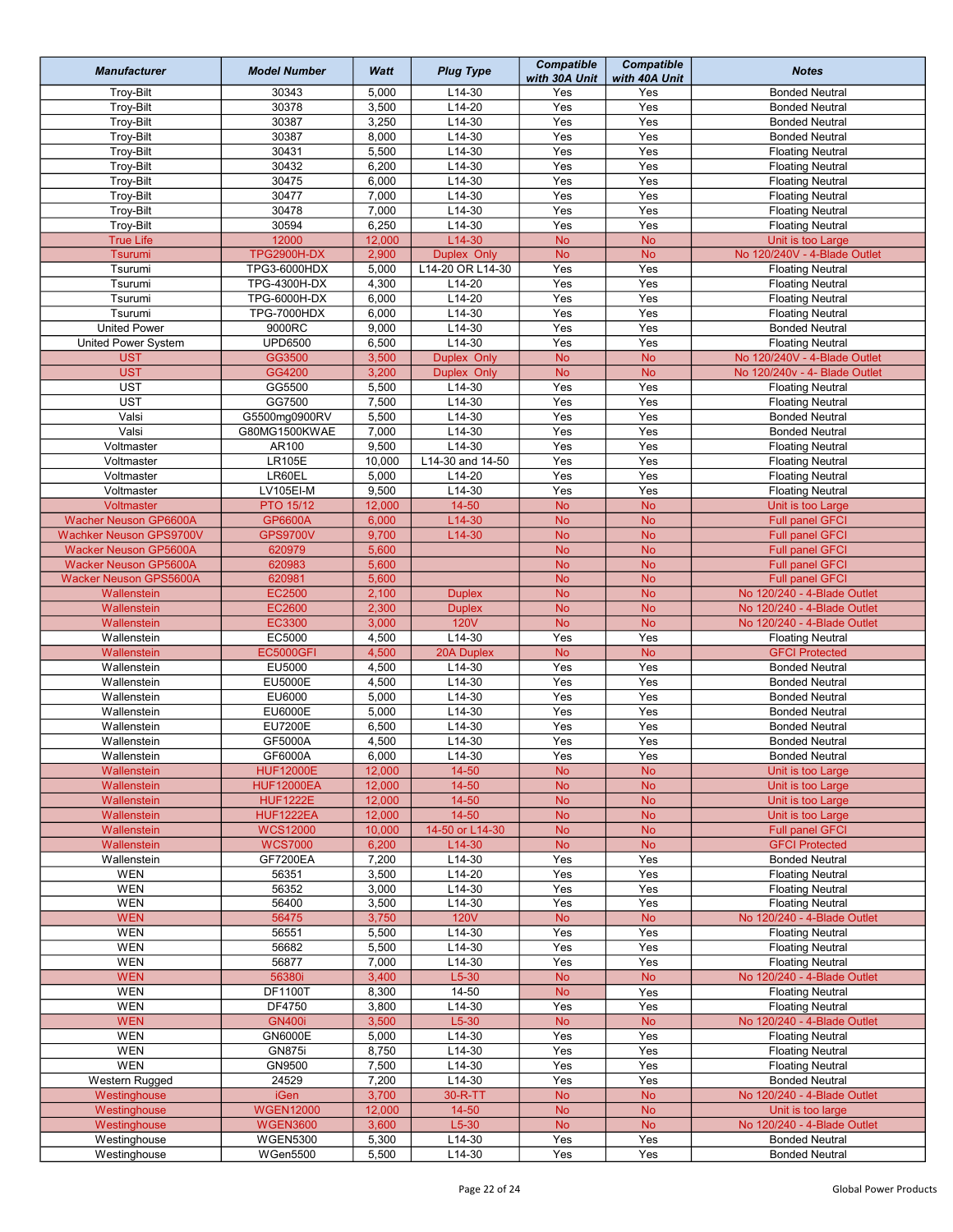| <b>Manufacturer</b>            | <b>Model Number</b>          | Watt            | <b>Plug Type</b>   | <b>Compatible</b><br>with 30A Unit | <b>Compatible</b><br>with 40A Unit | <b>Notes</b>                                     |
|--------------------------------|------------------------------|-----------------|--------------------|------------------------------------|------------------------------------|--------------------------------------------------|
| <b>Troy-Bilt</b>               | 30343                        | 5,000           | $L14-30$           | Yes                                | Yes                                | <b>Bonded Neutral</b>                            |
| <b>Troy-Bilt</b>               | 30378                        | 3,500           | $L14-20$           | Yes                                | Yes                                | <b>Bonded Neutral</b>                            |
| <b>Troy-Bilt</b>               | 30387                        | 3,250           | $L14-30$           | Yes                                | Yes                                | <b>Bonded Neutral</b>                            |
| Troy-Bilt                      | 30387                        | 8,000           | $L14-30$           | Yes                                | Yes                                | <b>Bonded Neutral</b>                            |
| Troy-Bilt                      | 30431                        | 5,500           | $L14-30$           | Yes                                | Yes                                | <b>Floating Neutral</b>                          |
| Troy-Bilt                      | 30432                        | 6,200           | L14-30             | Yes                                | Yes                                | <b>Floating Neutral</b>                          |
| Troy-Bilt                      | 30475                        | 6,000           | $L14-30$           | Yes                                | Yes                                | <b>Floating Neutral</b>                          |
| Troy-Bilt                      | 30477                        | 7,000           | $L14-30$           | Yes                                | Yes                                | <b>Floating Neutral</b>                          |
| <b>Troy-Bilt</b>               | 30478                        | 7,000           | $L14-30$           | Yes                                | Yes                                | <b>Floating Neutral</b>                          |
| Troy-Bilt                      | 30594                        | 6,250           | $L14-30$           | Yes                                | Yes                                | <b>Floating Neutral</b>                          |
| <b>True Life</b>               | 12000                        | 12,000          | $L14-30$           | <b>No</b>                          | <b>No</b>                          | Unit is too Large                                |
| Tsurumi                        | <b>TPG2900H-DX</b>           | 2,900           | Duplex Only        | <b>No</b>                          | <b>No</b>                          | No 120/240V - 4-Blade Outlet                     |
| Tsurumi                        | TPG3-6000HDX                 | 5,000           | L14-20 OR L14-30   | Yes                                | Yes                                | <b>Floating Neutral</b>                          |
| Tsurumi<br>Tsurumi             | TPG-4300H-DX<br>TPG-6000H-DX | 4,300<br>6,000  | L14-20<br>$L14-20$ | Yes<br>Yes                         | Yes<br>Yes                         | <b>Floating Neutral</b>                          |
| Tsurumi                        | <b>TPG-7000HDX</b>           | 6,000           | $L14-30$           | Yes                                | Yes                                | <b>Floating Neutral</b>                          |
| <b>United Power</b>            | 9000RC                       | 9,000           | $L14-30$           | Yes                                | Yes                                | <b>Floating Neutral</b><br><b>Bonded Neutral</b> |
| United Power System            | <b>UPD6500</b>               | 6,500           | $L14-30$           | Yes                                | Yes                                | <b>Floating Neutral</b>                          |
| <b>UST</b>                     | GG3500                       | 3,500           | Duplex Only        | <b>No</b>                          | <b>No</b>                          | No 120/240V - 4-Blade Outlet                     |
| <b>UST</b>                     | GG4200                       | 3,200           | Duplex Only        | <b>No</b>                          | <b>No</b>                          | No 120/240v - 4- Blade Outlet                    |
| <b>UST</b>                     | GG5500                       | 5,500           | $L14-30$           | Yes                                | Yes                                | <b>Floating Neutral</b>                          |
| <b>UST</b>                     | GG7500                       | 7,500           | $L14-30$           | Yes                                | Yes                                | <b>Floating Neutral</b>                          |
| Valsi                          | G5500mg0900RV                | 5,500           | L14-30             | Yes                                | Yes                                | <b>Bonded Neutral</b>                            |
| Valsi                          | G80MG1500KWAE                | 7,000           | L14-30             | Yes                                | Yes                                | <b>Bonded Neutral</b>                            |
| Voltmaster                     | AR100                        | 9,500           | $L14-30$           | Yes                                | Yes                                | <b>Floating Neutral</b>                          |
| Voltmaster                     | <b>LR105E</b>                | 10,000          | L14-30 and 14-50   | Yes                                | Yes                                | <b>Floating Neutral</b>                          |
| Voltmaster                     | LR60EL                       | 5,000           | $L14-20$           | Yes                                | Yes                                | <b>Floating Neutral</b>                          |
| Voltmaster                     | <b>LV105EI-M</b>             | 9,500           | $L14-30$           | Yes                                | Yes                                | <b>Floating Neutral</b>                          |
| Voltmaster                     | <b>PTO 15/12</b>             | 12,000          | 14-50              | <b>No</b>                          | <b>No</b>                          | Unit is too Large                                |
| <b>Wacher Neuson GP6600A</b>   | GP6600A                      | 6,000           | L14-30             | <b>No</b>                          | <b>No</b>                          | <b>Full panel GFCI</b>                           |
| <b>Wachker Neuson GPS9700V</b> | <b>GPS9700V</b>              | 9,700           | L14-30             | <b>No</b>                          | <b>No</b>                          | <b>Full panel GFCI</b>                           |
| <b>Wacker Neuson GP5600A</b>   | 620979                       | 5,600           |                    | <b>No</b>                          | <b>No</b>                          | Full panel GFCI                                  |
| <b>Wacker Neuson GP5600A</b>   | 620983                       | 5,600           |                    | <b>No</b>                          | <b>No</b>                          | <b>Full panel GFCI</b>                           |
| <b>Wacker Neuson GPS5600A</b>  | 620981                       | 5,600           |                    | <b>No</b>                          | <b>No</b>                          | <b>Full panel GFCI</b>                           |
| Wallenstein                    | EC2500                       | 2,100           | <b>Duplex</b>      | <b>No</b>                          | <b>No</b>                          | No 120/240 - 4-Blade Outlet                      |
| Wallenstein                    | EC2600                       | 2,300           | <b>Duplex</b>      | <b>No</b>                          | <b>No</b>                          | No 120/240 - 4-Blade Outlet                      |
| Wallenstein                    | EC3300                       | 3,000           | <b>120V</b>        | <b>No</b>                          | No                                 | No 120/240 - 4-Blade Outlet                      |
| Wallenstein                    | EC5000                       | 4,500           | L14-30             | Yes                                | Yes                                | <b>Floating Neutral</b>                          |
| Wallenstein                    | <b>EC5000GFI</b>             | 4,500           | 20A Duplex         | <b>No</b>                          | <b>No</b>                          | <b>GFCI Protected</b>                            |
| Wallenstein                    | EU5000                       | 4,500           | L14-30             | Yes                                | Yes                                | <b>Bonded Neutral</b>                            |
| Wallenstein                    | <b>EU5000E</b>               | 4,500           | $L14-30$           | Yes                                | Yes                                | <b>Bonded Neutral</b>                            |
| Wallenstein                    | EU6000                       | 5,000           | L14-30             | $\overline{Yes}$                   | Yes                                | <b>Bonded Neutral</b>                            |
| Wallenstein                    | <b>EU6000E</b>               | 5,000           | L14-30             | Yes                                | Yes                                | <b>Bonded Neutral</b>                            |
| Wallenstein                    | <b>EU7200E</b>               | 6,500           | $L14-30$           | Yes                                | Yes                                | <b>Bonded Neutral</b>                            |
| Wallenstein                    | GF5000A                      | 4,500           | $L14-30$           | Yes                                | Yes                                | <b>Bonded Neutral</b>                            |
| Wallenstein                    | GF6000A<br><b>HUF12000E</b>  | 6,000<br>12,000 | L14-30<br>14-50    | Yes                                | Yes                                | Bonded Neutral                                   |
| Wallenstein<br>Wallenstein     | <b>HUF12000EA</b>            | 12,000          | 14-50              | <b>No</b><br><b>No</b>             | <b>No</b><br><b>No</b>             | Unit is too Large<br>Unit is too Large           |
| Wallenstein                    | <b>HUF1222E</b>              | 12,000          | 14-50              | <b>No</b>                          | <b>No</b>                          | Unit is too Large                                |
| Wallenstein                    | <b>HUF1222EA</b>             | 12,000          | 14-50              | <b>No</b>                          | <b>No</b>                          | Unit is too Large                                |
| Wallenstein                    | <b>WCS12000</b>              | 10,000          | 14-50 or L14-30    | <b>No</b>                          | <b>No</b>                          | <b>Full panel GFCI</b>                           |
| Wallenstein                    | <b>WCS7000</b>               | 6,200           | L14-30             | <b>No</b>                          | <b>No</b>                          | <b>GFCI Protected</b>                            |
| Wallenstein                    | <b>GF7200EA</b>              | 7,200           | $L14-30$           | Yes                                | Yes                                | <b>Bonded Neutral</b>                            |
| <b>WEN</b>                     | 56351                        | 3,500           | $L14-20$           | Yes                                | Yes                                | <b>Floating Neutral</b>                          |
| WEN                            | 56352                        | 3,000           | $L14-30$           | Yes                                | Yes                                | <b>Floating Neutral</b>                          |
| WEN                            | 56400                        | 3,500           | $L14-30$           | Yes                                | Yes                                | <b>Floating Neutral</b>                          |
| <b>WEN</b>                     | 56475                        | 3,750           | <b>120V</b>        | <b>No</b>                          | <b>No</b>                          | No 120/240 - 4-Blade Outlet                      |
| WEN                            | 56551                        | 5,500           | $L14-30$           | Yes                                | Yes                                | <b>Floating Neutral</b>                          |
| <b>WEN</b>                     | 56682                        | 5,500           | $L14-30$           | Yes                                | Yes                                | <b>Floating Neutral</b>                          |
| <b>WEN</b>                     | 56877                        | 7,000           | L14-30             | Yes                                | Yes                                | <b>Floating Neutral</b>                          |
| <b>WEN</b>                     | 56380i                       | 3,400           | $L5-30$            | <b>No</b>                          | <b>No</b>                          | No 120/240 - 4-Blade Outlet                      |
| WEN                            | <b>DF1100T</b>               | 8,300           | 14-50              | <b>No</b>                          | Yes                                | <b>Floating Neutral</b>                          |
| WEN                            | DF4750                       | 3,800           | $L14-30$           | Yes                                | Yes                                | <b>Floating Neutral</b>                          |
| <b>WEN</b>                     | <b>GN400i</b>                | 3,500           | $L5-30$            | <b>No</b>                          | <b>No</b>                          | No 120/240 - 4-Blade Outlet                      |
| WEN                            | GN6000E                      | 5,000           | L14-30             | Yes                                | Yes                                | <b>Floating Neutral</b>                          |
| WEN                            | <b>GN875i</b>                | 8,750           | $L14-30$           | Yes                                | Yes                                | <b>Floating Neutral</b>                          |
| <b>WEN</b>                     | GN9500                       | 7,500           | L14-30             | Yes                                | Yes                                | <b>Floating Neutral</b>                          |
| Western Rugged                 | 24529                        | 7,200           | L14-30             | Yes                                | Yes                                | <b>Bonded Neutral</b>                            |
| Westinghouse                   | <b>iGen</b>                  | 3,700           | 30-R-TT            | <b>No</b>                          | <b>No</b>                          | No 120/240 - 4-Blade Outlet                      |
| Westinghouse                   | <b>WGEN12000</b>             | 12,000          | 14-50              | <b>No</b>                          | <b>No</b>                          | Unit is too large                                |
| Westinghouse                   | <b>WGEN3600</b>              | 3,600           | $L5-30$            | <b>No</b>                          | <b>No</b>                          | No 120/240 - 4-Blade Outlet                      |
| Westinghouse                   | <b>WGEN5300</b>              | 5,300           | L14-30             | Yes                                | Yes                                | <b>Bonded Neutral</b>                            |
| Westinghouse                   | WGen5500                     | 5,500           | L14-30             | Yes                                | Yes                                | <b>Bonded Neutral</b>                            |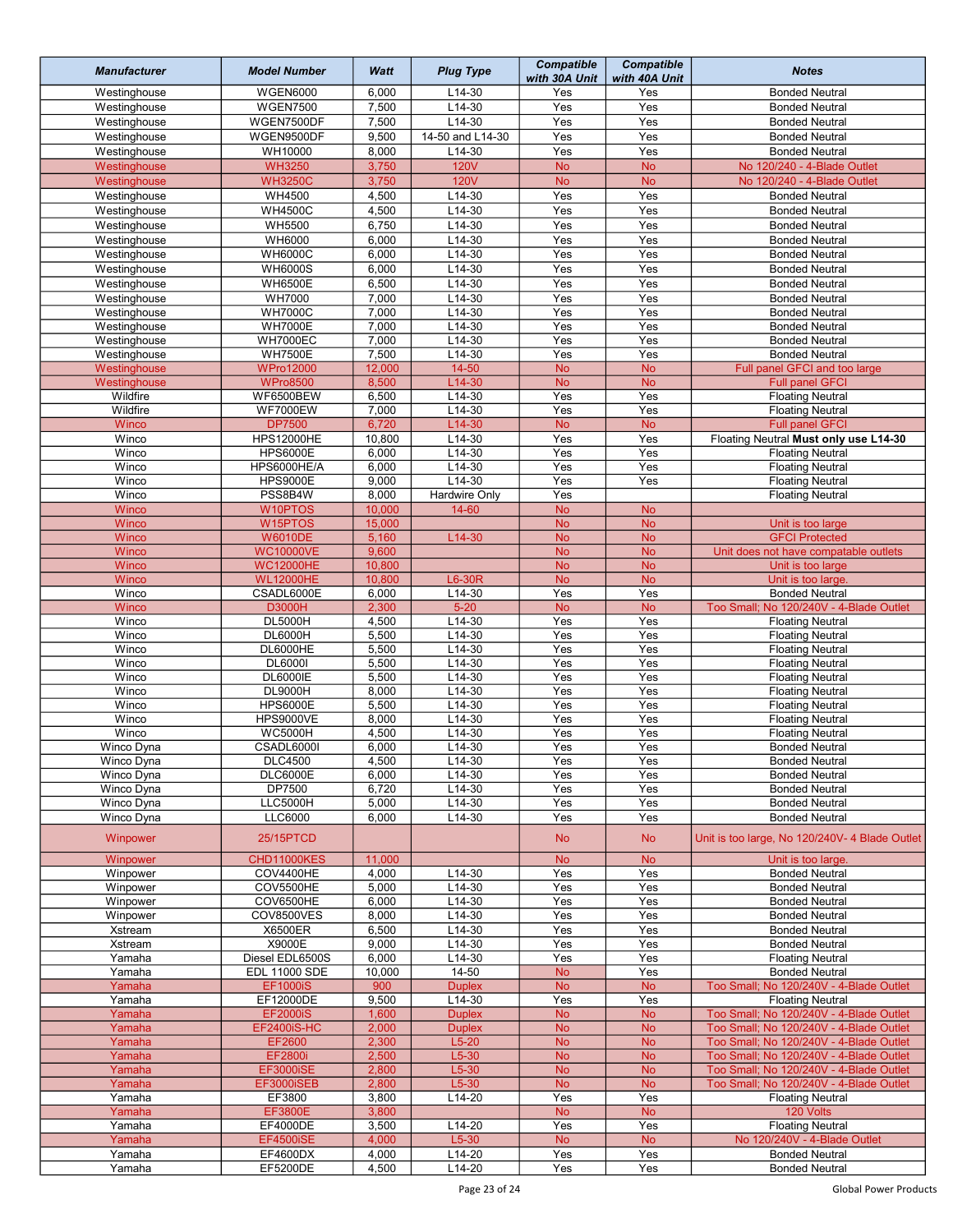| <b>Manufacturer</b>          | <b>Model Number</b>                     | Watt           | <b>Plug Type</b>        | <b>Compatible</b><br>with 30A Unit | <b>Compatible</b><br>with 40A Unit | <b>Notes</b>                                                     |
|------------------------------|-----------------------------------------|----------------|-------------------------|------------------------------------|------------------------------------|------------------------------------------------------------------|
| Westinghouse                 | <b>WGEN6000</b>                         | 6,000          | $L14-30$                | Yes                                | Yes                                | <b>Bonded Neutral</b>                                            |
| Westinghouse                 | <b>WGEN7500</b>                         | 7,500          | $L14-30$                | Yes                                | Yes                                | <b>Bonded Neutral</b>                                            |
| Westinghouse                 | WGEN7500DF                              | 7,500          | $L14-30$                | Yes                                | Yes                                | <b>Bonded Neutral</b>                                            |
| Westinghouse                 | WGEN9500DF                              | 9,500          | 14-50 and L14-30        | Yes                                | Yes                                | <b>Bonded Neutral</b>                                            |
| Westinghouse                 | WH10000                                 | 8,000          | $L14-30$                | Yes                                | Yes                                | <b>Bonded Neutral</b>                                            |
| Westinghouse                 | <b>WH3250</b>                           | 3,750          | <b>120V</b>             | <b>No</b>                          | <b>No</b>                          | No 120/240 - 4-Blade Outlet                                      |
| Westinghouse                 | <b>WH3250C</b>                          | 3,750          | <b>120V</b>             | <b>No</b>                          | <b>No</b>                          | No 120/240 - 4-Blade Outlet                                      |
| Westinghouse                 | WH4500                                  | 4,500          | $L14-30$                | Yes                                | Yes                                | <b>Bonded Neutral</b>                                            |
| Westinghouse                 | <b>WH4500C</b>                          | 4,500          | L14-30                  | Yes                                | Yes                                | <b>Bonded Neutral</b>                                            |
| Westinghouse                 | <b>WH5500</b>                           | 6,750          | $L14-30$                | Yes                                | Yes                                | <b>Bonded Neutral</b>                                            |
| Westinghouse                 | WH6000                                  | 6,000          | $L14-30$                | Yes                                | Yes                                | <b>Bonded Neutral</b>                                            |
| Westinghouse                 | <b>WH6000C</b>                          | 6,000          | L14-30                  | Yes                                | Yes                                | <b>Bonded Neutral</b>                                            |
| Westinghouse                 | <b>WH6000S</b>                          | 6,000          | L14-30                  | Yes                                | Yes                                | <b>Bonded Neutral</b>                                            |
| Westinghouse                 | <b>WH6500E</b>                          | 6,500          | $L14-30$                | Yes                                | Yes                                | <b>Bonded Neutral</b>                                            |
| Westinghouse<br>Westinghouse | <b>WH7000</b><br><b>WH7000C</b>         | 7,000<br>7,000 | L14-30<br>L14-30        | Yes<br>Yes                         | Yes<br>Yes                         | <b>Bonded Neutral</b><br><b>Bonded Neutral</b>                   |
| Westinghouse                 | <b>WH7000E</b>                          | 7,000          | L14-30                  | Yes                                | Yes                                | <b>Bonded Neutral</b>                                            |
| Westinghouse                 | <b>WH7000EC</b>                         | 7,000          | L14-30                  | Yes                                | Yes                                | <b>Bonded Neutral</b>                                            |
| Westinghouse                 | <b>WH7500E</b>                          | 7,500          | L14-30                  | Yes                                | Yes                                | <b>Bonded Neutral</b>                                            |
| Westinghouse                 | <b>WPro12000</b>                        | 12,000         | $14 - 50$               | <b>No</b>                          | <b>No</b>                          | Full panel GFCI and too large                                    |
| Westinghouse                 | <b>WPro8500</b>                         | 8,500          | L14-30                  | <b>No</b>                          | <b>No</b>                          | <b>Full panel GFCI</b>                                           |
| Wildfire                     | WF6500BEW                               | 6,500          | L14-30                  | Yes                                | Yes                                | <b>Floating Neutral</b>                                          |
| Wildfire                     | <b>WF7000EW</b>                         | 7,000          | L14-30                  | Yes                                | Yes                                | <b>Floating Neutral</b>                                          |
| Winco                        | <b>DP7500</b>                           | 6,720          | L14-30                  | <b>No</b>                          | <b>No</b>                          | <b>Full panel GFCI</b>                                           |
| Winco                        | <b>HPS12000HE</b>                       | 10,800         | $L14-30$                | Yes                                | Yes                                | Floating Neutral Must only use L14-30                            |
| Winco                        | <b>HPS6000E</b>                         | 6,000          | $L14-30$                | Yes                                | Yes                                | <b>Floating Neutral</b>                                          |
| Winco                        | HPS6000HE/A                             | 6,000          | L14-30                  | Yes                                | Yes                                | <b>Floating Neutral</b>                                          |
| Winco                        | <b>HPS9000E</b>                         | 9,000          | L14-30                  | Yes                                | Yes                                | <b>Floating Neutral</b>                                          |
| Winco                        | PSS8B4W                                 | 8,000          | Hardwire Only           | Yes                                |                                    | <b>Floating Neutral</b>                                          |
| Winco                        | W10PTOS                                 | 10,000         | 14-60                   | <b>No</b>                          | <b>No</b>                          |                                                                  |
| Winco                        | W15PTOS                                 | 15,000         |                         | <b>No</b>                          | <b>No</b>                          | Unit is too large                                                |
| Winco<br>Winco               | <b>W6010DE</b><br><b>WC10000VE</b>      | 5,160<br>9,600 | L14-30                  | <b>No</b><br><b>No</b>             | <b>No</b><br><b>No</b>             | <b>GFCI Protected</b><br>Unit does not have compatable outlets   |
| Winco                        | <b>WC12000HE</b>                        | 10,800         |                         | <b>No</b>                          | <b>No</b>                          | Unit is too large                                                |
| Winco                        | <b>WL12000HE</b>                        | 10,800         | L6-30R                  | <b>No</b>                          | <b>No</b>                          | Unit is too large.                                               |
| Winco                        | CSADL6000E                              | 6,000          | L14-30                  | Yes                                | Yes                                | <b>Bonded Neutral</b>                                            |
| Winco                        | <b>D3000H</b>                           | 2,300          | $5 - 20$                | <b>No</b>                          | <b>No</b>                          | Too Small; No 120/240V - 4-Blade Outlet                          |
| Winco                        | <b>DL5000H</b>                          | 4,500          | L14-30                  | Yes                                | Yes                                | <b>Floating Neutral</b>                                          |
| Winco                        | <b>DL6000H</b>                          | 5,500          | L14-30                  | Yes                                | Yes                                | <b>Floating Neutral</b>                                          |
| Winco                        | <b>DL6000HE</b>                         | 5,500          | $L14-30$                | Yes                                | Yes                                | <b>Floating Neutral</b>                                          |
| Winco                        | <b>DL6000I</b>                          | 5,500          | L14-30                  | Yes                                | Yes                                | <b>Floating Neutral</b>                                          |
| Winco                        | <b>DL6000IE</b>                         | 5,500          | L14-30                  | Yes                                | Yes                                | <b>Floating Neutral</b>                                          |
| Winco                        | <b>DL9000H</b>                          | 8,000          | L14-30                  | Yes                                | Yes                                | <b>Floating Neutral</b>                                          |
| Winco                        | <b>HPS6000E</b>                         | 5,500          | L14-30                  | Yes                                | Yes                                | <b>Floating Neutral</b>                                          |
| Winco                        | <b>HPS9000VE</b>                        | 8,000          | L14-30                  | Yes                                | Yes                                | <b>Floating Neutral</b>                                          |
| Winco                        | <b>WC5000H</b>                          | 4,500          | L14-30                  | Yes                                | Yes                                | <b>Floating Neutral</b>                                          |
| Winco Dyna                   | CSADL6000I                              | 6,000          | $L14-30$                | Yes                                | Yes                                | <b>Bonded Neutral</b>                                            |
| Winco Dyna<br>Winco Dyna     | <b>DLC4500</b><br><b>DLC6000E</b>       | 4,500<br>6,000 | L14-30<br>L14-30        | Yes<br>Yes                         | Yes<br>Yes                         | <b>Bonded Neutral</b><br><b>Bonded Neutral</b>                   |
| Winco Dyna                   | DP7500                                  | 6,720          | $L14-30$                | Yes                                | Yes                                | <b>Bonded Neutral</b>                                            |
| Winco Dyna                   | <b>LLC5000H</b>                         | 5,000          | L14-30                  | Yes                                | Yes                                | <b>Bonded Neutral</b>                                            |
| Winco Dyna                   | <b>LLC6000</b>                          | 6,000          | $L14-30$                | Yes                                | Yes                                | <b>Bonded Neutral</b>                                            |
| Winpower                     | 25/15PTCD                               |                |                         | <b>No</b>                          | <b>No</b>                          | Unit is too large, No 120/240V- 4 Blade Outlet                   |
| Winpower                     | CHD11000KES                             | 11,000         |                         | <b>No</b>                          | <b>No</b>                          | Unit is too large.                                               |
| Winpower                     | COV4400HE                               | 4,000          | L14-30                  | Yes                                | Yes                                | <b>Bonded Neutral</b>                                            |
| Winpower                     | COV5500HE                               | 5,000          | L14-30                  | Yes                                | Yes                                | <b>Bonded Neutral</b>                                            |
| Winpower                     | COV6500HE                               | 6,000          | L14-30                  | Yes                                | Yes                                | <b>Bonded Neutral</b>                                            |
| Winpower                     | COV8500VES                              | 8,000          | L14-30                  | Yes                                | Yes                                | <b>Bonded Neutral</b>                                            |
| Xstream                      | X6500ER                                 | 6,500          | L14-30                  | Yes                                | Yes                                | <b>Bonded Neutral</b>                                            |
| Xstream                      | X9000E                                  | 9,000          | L14-30                  | Yes                                | Yes                                | <b>Bonded Neutral</b>                                            |
| Yamaha                       | Diesel EDL6500S                         | 6,000          | L14-30                  | Yes                                | Yes                                | <b>Floating Neutral</b>                                          |
| Yamaha                       | <b>EDL 11000 SDE</b><br><b>EF1000iS</b> | 10,000<br>900  | 14-50                   | <b>No</b><br><b>No</b>             | Yes<br>$\overline{\text{No}}$      | <b>Bonded Neutral</b><br>Too Small; No 120/240V - 4-Blade Outlet |
| Yamaha<br>Yamaha             | EF12000DE                               | 9,500          | <b>Duplex</b><br>L14-30 | Yes                                | Yes                                | <b>Floating Neutral</b>                                          |
| Yamaha                       | <b>EF2000iS</b>                         | 1,600          | <b>Duplex</b>           | <b>No</b>                          | <b>No</b>                          | Too Small; No 120/240V - 4-Blade Outlet                          |
| Yamaha                       | <b>EF2400iS-HC</b>                      | 2,000          | <b>Duplex</b>           | <b>No</b>                          | <b>No</b>                          | Too Small; No 120/240V - 4-Blade Outlet                          |
| Yamaha                       | EF2600                                  | 2,300          | $L5-20$                 | <b>No</b>                          | <b>No</b>                          | Too Small; No 120/240V - 4-Blade Outlet                          |
| Yamaha                       | EF2800i                                 | 2,500          | $L5-30$                 | <b>No</b>                          | <b>No</b>                          | Too Small; No 120/240V - 4-Blade Outlet                          |
| Yamaha                       | <b>EF3000iSE</b>                        | 2,800          | $L5-30$                 | <b>No</b>                          | <b>No</b>                          | Too Small; No 120/240V - 4-Blade Outlet                          |
| Yamaha                       | EF3000iSEB                              | 2,800          | $L5-30$                 | <b>No</b>                          | <b>No</b>                          | Too Small; No 120/240V - 4-Blade Outlet                          |
| Yamaha                       | EF3800                                  | 3,800          | L14-20                  | Yes                                | Yes                                | <b>Floating Neutral</b>                                          |
| Yamaha                       | EF3800E                                 | 3,800          |                         | <b>No</b>                          | <b>No</b>                          | 120 Volts                                                        |
| Yamaha                       | EF4000DE                                | 3,500          | L14-20                  | Yes                                | Yes                                | <b>Floating Neutral</b>                                          |
| Yamaha                       | <b>EF4500iSE</b>                        | 4,000          | $L5-30$                 | <b>No</b>                          | <b>No</b>                          | No 120/240V - 4-Blade Outlet                                     |
| Yamaha                       | EF4600DX                                | 4,000          | $L14-20$                | Yes                                | Yes                                | <b>Bonded Neutral</b>                                            |
| Yamaha                       | EF5200DE                                | 4,500          | $L14-20$                | Yes                                | Yes                                | <b>Bonded Neutral</b>                                            |